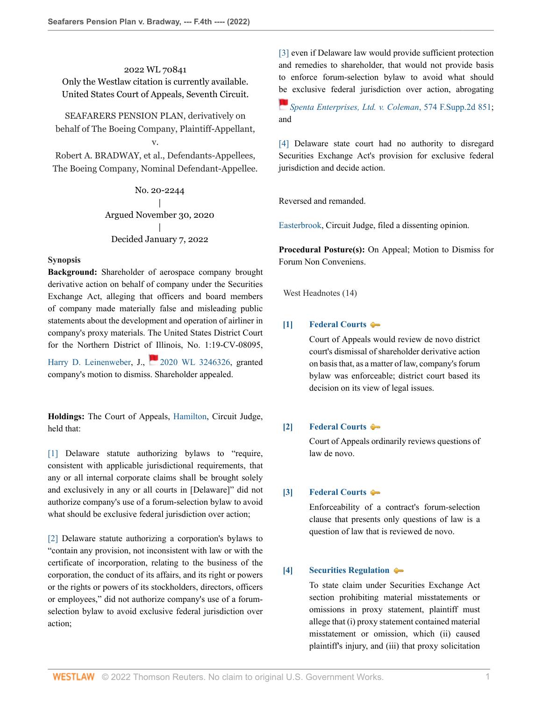2022 WL 70841 Only the Westlaw citation is currently available. United States Court of Appeals, Seventh Circuit.

SEAFARERS PENSION PLAN, derivatively on behalf of The Boeing Company, Plaintiff-Appellant,

Robert A. BRADWAY, et al., Defendants-Appellees, The Boeing Company, Nominal Defendant-Appellee.

v.

No. 20-2244 | Argued November 30, 2020 | Decided January 7, 2022

#### **Synopsis**

**Background:** Shareholder of aerospace company brought derivative action on behalf of company under the Securities Exchange Act, alleging that officers and board members of company made materially false and misleading public statements about the development and operation of airliner in company's proxy materials. The United States District Court for the Northern District of Illinois, No. 1:19-CV-08095,

[Harry D. Leinenweber,](http://www.westlaw.com/Link/Document/FullText?findType=h&pubNum=176284&cite=0232327301&originatingDoc=Ia5e00410700211ec9d07baaeba647595&refType=RQ&originationContext=document&vr=3.0&rs=cblt1.0&transitionType=DocumentItem&contextData=(sc.Keycite)) J., [2020 WL 3246326](http://www.westlaw.com/Link/Document/FullText?findType=Y&serNum=2051259967&pubNum=0000999&originatingDoc=Ia5e00410700211ec9d07baaeba647595&refType=RP&originationContext=document&vr=3.0&rs=cblt1.0&transitionType=DocumentItem&contextData=(sc.Keycite)), granted company's motion to dismiss. Shareholder appealed.

**Holdings:** The Court of Appeals, [Hamilton,](http://www.westlaw.com/Link/Document/FullText?findType=h&pubNum=176284&cite=0184945601&originatingDoc=Ia5e00410700211ec9d07baaeba647595&refType=RQ&originationContext=document&vr=3.0&rs=cblt1.0&transitionType=DocumentItem&contextData=(sc.Keycite)) Circuit Judge, held that:

[\[1\]](#page-1-0) Delaware statute authorizing bylaws to "require, consistent with applicable jurisdictional requirements, that any or all internal corporate claims shall be brought solely and exclusively in any or all courts in [Delaware]" did not authorize company's use of a forum-selection bylaw to avoid what should be exclusive federal jurisdiction over action;

[\[2\]](#page-1-1) Delaware statute authorizing a corporation's bylaws to "contain any provision, not inconsistent with law or with the certificate of incorporation, relating to the business of the corporation, the conduct of its affairs, and its right or powers or the rights or powers of its stockholders, directors, officers or employees," did not authorize company's use of a forumselection bylaw to avoid exclusive federal jurisdiction over action;

[\[3\]](#page-2-0) even if Delaware law would provide sufficient protection and remedies to shareholder, that would not provide basis to enforce forum-selection bylaw to avoid what should [be](https://1.next.westlaw.com/Link/RelatedInformation/Flag?documentGuid=Ia9810ad162d711ddbc7bf97f340af743&transitionType=InlineKeyCiteFlags&originationContext=docHeaderFlag&Rank=0&ppcid=87af63fa54164b0496d5b848dd82ec18&contextData=(sc.Keycite) ) exclusive federal jurisdiction over action, abrogating

*[Spenta Enterprises, Ltd. v. Coleman](http://www.westlaw.com/Link/Document/FullText?findType=Y&serNum=2016679314&pubNum=0004637&originatingDoc=Ia5e00410700211ec9d07baaeba647595&refType=RP&originationContext=document&vr=3.0&rs=cblt1.0&transitionType=DocumentItem&contextData=(sc.Keycite))*, 574 F.Supp.2d 851; and

[\[4\]](#page-2-1) Delaware state court had no authority to disregard Securities Exchange Act's provision for exclusive federal jurisdiction and decide action.

Reversed and remanded.

[Easterbrook](http://www.westlaw.com/Link/Document/FullText?findType=h&pubNum=176284&cite=0183259901&originatingDoc=Ia5e00410700211ec9d07baaeba647595&refType=RQ&originationContext=document&vr=3.0&rs=cblt1.0&transitionType=DocumentItem&contextData=(sc.Keycite)), Circuit Judge, filed a dissenting opinion.

**Procedural Posture(s):** On Appeal; Motion to Dismiss for Forum Non Conveniens.

West Headnotes (14)

# <span id="page-0-0"></span>**[\[1\]](#page-3-0) [Federal Courts](http://www.westlaw.com/Browse/Home/KeyNumber/170B/View.html?docGuid=Ia5e00410700211ec9d07baaeba647595&originationContext=document&vr=3.0&rs=cblt1.0&transitionType=DocumentItem&contextData=(sc.Keycite))**

Court of Appeals would review de novo district court's dismissal of shareholder derivative action on basis that, as a matter of law, company's forum bylaw was enforceable; district court based its decision on its view of legal issues.

## <span id="page-0-1"></span>**[\[2\]](#page-3-1) [Federal Courts](http://www.westlaw.com/Browse/Home/KeyNumber/170B/View.html?docGuid=Ia5e00410700211ec9d07baaeba647595&originationContext=document&vr=3.0&rs=cblt1.0&transitionType=DocumentItem&contextData=(sc.Keycite))**

Court of Appeals ordinarily reviews questions of law de novo.

## <span id="page-0-2"></span>**[\[3\]](#page-3-2) [Federal Courts](http://www.westlaw.com/Browse/Home/KeyNumber/170B/View.html?docGuid=Ia5e00410700211ec9d07baaeba647595&originationContext=document&vr=3.0&rs=cblt1.0&transitionType=DocumentItem&contextData=(sc.Keycite))**

Enforceability of a contract's forum-selection clause that presents only questions of law is a question of law that is reviewed de novo.

## <span id="page-0-3"></span>**[\[4\]](#page-4-0) [Securities Regulation](http://www.westlaw.com/Browse/Home/KeyNumber/349B/View.html?docGuid=Ia5e00410700211ec9d07baaeba647595&originationContext=document&vr=3.0&rs=cblt1.0&transitionType=DocumentItem&contextData=(sc.Keycite))**

To state claim under Securities Exchange Act section prohibiting material misstatements or omissions in proxy statement, plaintiff must allege that (i) proxy statement contained material misstatement or omission, which (ii) caused plaintiff's injury, and (iii) that proxy solicitation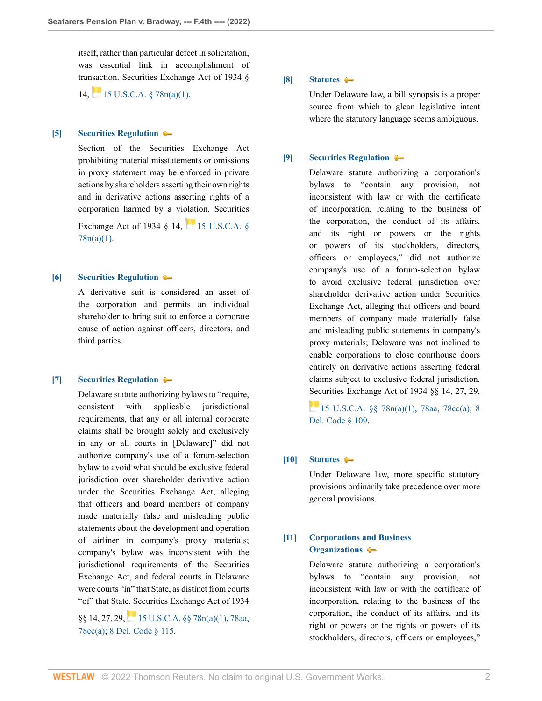itself, rather than particular defect in solicitation, was essential link in accomplishment of transaction. Securities Exchange Act of 1934 §

14, [15 U.S.C.A. § 78n\(a\)\(1\)](http://www.westlaw.com/Link/Document/FullText?findType=L&pubNum=1000546&cite=15USCAS78N&originatingDoc=Ia5e00410700211ec9d07baaeba647595&refType=SP&originationContext=document&vr=3.0&rs=cblt1.0&transitionType=DocumentItem&contextData=(sc.Keycite)#co_pp_7b9b000044381).

#### <span id="page-1-2"></span>**[\[5\]](#page-4-1) [Securities Regulation](http://www.westlaw.com/Browse/Home/KeyNumber/349B/View.html?docGuid=Ia5e00410700211ec9d07baaeba647595&originationContext=document&vr=3.0&rs=cblt1.0&transitionType=DocumentItem&contextData=(sc.Keycite))**

Section of the Securities Exchange Act prohibiting material misstatements or omissions in proxy statement may be enforced in private actions by shareholders asserting their own rights and in derivative actions asserting rights of a corporation harmed by a violation. Securities

Exchange Act of 1934  $\frac{8}{14}$ , 15 U.S.C.A.  $\frac{8}{15}$  $78n(a)(1)$ .

## <span id="page-1-3"></span>**[\[6\]](#page-4-2) [Securities Regulation](http://www.westlaw.com/Browse/Home/KeyNumber/349B/View.html?docGuid=Ia5e00410700211ec9d07baaeba647595&originationContext=document&vr=3.0&rs=cblt1.0&transitionType=DocumentItem&contextData=(sc.Keycite))**

A derivative suit is considered an asset of the corporation and permits an individual shareholder to bring suit to enforce a corporate cause of action against officers, directors, and third parties.

#### <span id="page-1-0"></span>**[\[7\]](#page-5-0) [Securities Regulation](http://www.westlaw.com/Browse/Home/KeyNumber/349B/View.html?docGuid=Ia5e00410700211ec9d07baaeba647595&originationContext=document&vr=3.0&rs=cblt1.0&transitionType=DocumentItem&contextData=(sc.Keycite))**

Delaware statute authorizing bylaws to "require, consistent with applicable jurisdictional requirements, that any or all internal corporate claims shall be brought solely and exclusively in any or all courts in [Delaware]" did not authorize company's use of a forum-selection bylaw to avoid what should be exclusive federal jurisdiction over shareholder derivative action under the Securities Exchange Act, alleging that officers and board members of company made materially false and misleading public statements about the development and operation of airliner in company's proxy materials; company's bylaw was inconsistent with the jurisdictional requirements of the Securities Exchange Act, and federal courts in Delaware were courts "in" that State, as distinct from courts "of" that State. Securities Exchange Act of 1934

 $§$ §14, 27, 29, 15 U.S.C.A.  $§$ § 78n(a)(1), [78aa](http://www.westlaw.com/Link/Document/FullText?findType=L&pubNum=1000546&cite=15USCAS78AA&originatingDoc=Ia5e00410700211ec9d07baaeba647595&refType=LQ&originationContext=document&vr=3.0&rs=cblt1.0&transitionType=DocumentItem&contextData=(sc.Keycite)), [78cc\(a\)](http://www.westlaw.com/Link/Document/FullText?findType=L&pubNum=1000546&cite=15USCAS78CC&originatingDoc=Ia5e00410700211ec9d07baaeba647595&refType=SP&originationContext=document&vr=3.0&rs=cblt1.0&transitionType=DocumentItem&contextData=(sc.Keycite)#co_pp_8b3b0000958a4); [8 Del. Code § 115](http://www.westlaw.com/Link/Document/FullText?findType=L&pubNum=1000005&cite=DESTT8S115&originatingDoc=Ia5e00410700211ec9d07baaeba647595&refType=LQ&originationContext=document&vr=3.0&rs=cblt1.0&transitionType=DocumentItem&contextData=(sc.Keycite)).

## <span id="page-1-4"></span>**[\[8\]](#page-5-1) [Statutes](http://www.westlaw.com/Browse/Home/KeyNumber/361/View.html?docGuid=Ia5e00410700211ec9d07baaeba647595&originationContext=document&vr=3.0&rs=cblt1.0&transitionType=DocumentItem&contextData=(sc.Keycite))**

Under Delaware law, a bill synopsis is a proper source from which to glean legislative intent where the statutory language seems ambiguous.

#### <span id="page-1-1"></span>**[\[9\]](#page-6-0) [Securities Regulation](http://www.westlaw.com/Browse/Home/KeyNumber/349B/View.html?docGuid=Ia5e00410700211ec9d07baaeba647595&originationContext=document&vr=3.0&rs=cblt1.0&transitionType=DocumentItem&contextData=(sc.Keycite))**

Delaware statute authorizing a corporation's bylaws to "contain any provision, not inconsistent with law or with the certificate of incorporation, relating to the business of the corporation, the conduct of its affairs, and its right or powers or the rights or powers of its stockholders, directors, officers or employees," did not authorize company's use of a forum-selection bylaw to avoid exclusive federal jurisdiction over shareholder derivative action under Securities Exchange Act, alleging that officers and board members of company made materially false and misleading public statements in company's proxy materials; Delaware was not inclined to enable corporations to close courthouse doors entirely on derivative actions asserting federal claims subject to exclusive federal jurisdiction. [Sec](https://1.next.westlaw.com/Link/RelatedInformation/Flag?documentGuid=N12A89830954011E1818090478E4A26AF&transitionType=InlineKeyCiteFlags&originationContext=docHeaderFlag&Rank=0&ppcid=87af63fa54164b0496d5b848dd82ec18&contextData=(sc.Keycite) )urities Exchange Act of 1934 §§ 14, 27, 29,

15 U.S.C.A.  $\S$  78n(a)(1), [78aa](http://www.westlaw.com/Link/Document/FullText?findType=L&pubNum=1000546&cite=15USCAS78AA&originatingDoc=Ia5e00410700211ec9d07baaeba647595&refType=LQ&originationContext=document&vr=3.0&rs=cblt1.0&transitionType=DocumentItem&contextData=(sc.Keycite)), [78cc\(a\);](http://www.westlaw.com/Link/Document/FullText?findType=L&pubNum=1000546&cite=15USCAS78CC&originatingDoc=Ia5e00410700211ec9d07baaeba647595&refType=SP&originationContext=document&vr=3.0&rs=cblt1.0&transitionType=DocumentItem&contextData=(sc.Keycite)#co_pp_8b3b0000958a4) [8](http://www.westlaw.com/Link/Document/FullText?findType=L&pubNum=1000005&cite=DESTT8S109&originatingDoc=Ia5e00410700211ec9d07baaeba647595&refType=LQ&originationContext=document&vr=3.0&rs=cblt1.0&transitionType=DocumentItem&contextData=(sc.Keycite)) [Del. Code § 109](http://www.westlaw.com/Link/Document/FullText?findType=L&pubNum=1000005&cite=DESTT8S109&originatingDoc=Ia5e00410700211ec9d07baaeba647595&refType=LQ&originationContext=document&vr=3.0&rs=cblt1.0&transitionType=DocumentItem&contextData=(sc.Keycite)).

## <span id="page-1-5"></span>**[\[10\]](#page-6-1) [Statutes](http://www.westlaw.com/Browse/Home/KeyNumber/361/View.html?docGuid=Ia5e00410700211ec9d07baaeba647595&originationContext=document&vr=3.0&rs=cblt1.0&transitionType=DocumentItem&contextData=(sc.Keycite))**

Under Delaware law, more specific statutory provisions ordinarily take precedence over more general provisions.

# <span id="page-1-6"></span>**[\[11\]](#page-6-2) [Corporations and Business](http://www.westlaw.com/Browse/Home/KeyNumber/101/View.html?docGuid=Ia5e00410700211ec9d07baaeba647595&originationContext=document&vr=3.0&rs=cblt1.0&transitionType=DocumentItem&contextData=(sc.Keycite)) [Organizations](http://www.westlaw.com/Browse/Home/KeyNumber/101/View.html?docGuid=Ia5e00410700211ec9d07baaeba647595&originationContext=document&vr=3.0&rs=cblt1.0&transitionType=DocumentItem&contextData=(sc.Keycite))**

Delaware statute authorizing a corporation's bylaws to "contain any provision, not inconsistent with law or with the certificate of incorporation, relating to the business of the corporation, the conduct of its affairs, and its right or powers or the rights or powers of its stockholders, directors, officers or employees,"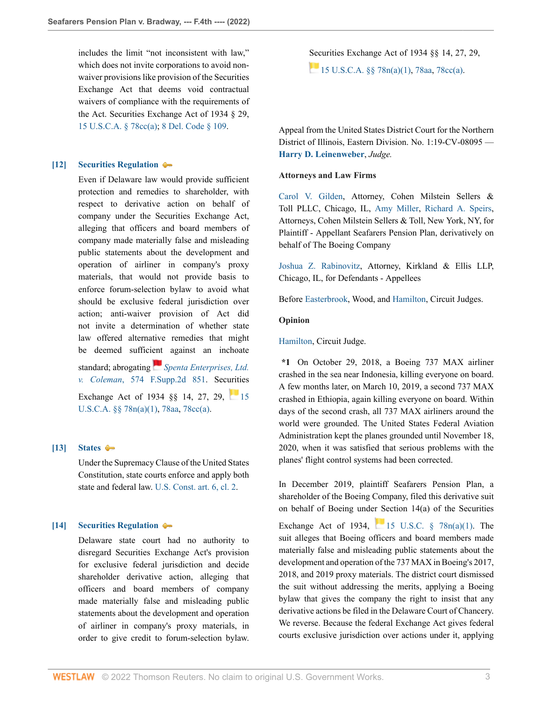includes the limit "not inconsistent with law," which does not invite corporations to avoid nonwaiver provisions like provision of the Securities Exchange Act that deems void contractual waivers of compliance with the requirements of the Act. Securities Exchange Act of 1934 § 29, [15 U.S.C.A. § 78cc\(a\);](http://www.westlaw.com/Link/Document/FullText?findType=L&pubNum=1000546&cite=15USCAS78CC&originatingDoc=Ia5e00410700211ec9d07baaeba647595&refType=SP&originationContext=document&vr=3.0&rs=cblt1.0&transitionType=DocumentItem&contextData=(sc.Keycite)#co_pp_8b3b0000958a4) [8 Del. Code § 109.](http://www.westlaw.com/Link/Document/FullText?findType=L&pubNum=1000005&cite=DESTT8S109&originatingDoc=Ia5e00410700211ec9d07baaeba647595&refType=LQ&originationContext=document&vr=3.0&rs=cblt1.0&transitionType=DocumentItem&contextData=(sc.Keycite))

#### <span id="page-2-0"></span>**[\[12\]](#page-9-0) [Securities Regulation](http://www.westlaw.com/Browse/Home/KeyNumber/349B/View.html?docGuid=Ia5e00410700211ec9d07baaeba647595&originationContext=document&vr=3.0&rs=cblt1.0&transitionType=DocumentItem&contextData=(sc.Keycite))**

Even if Delaware law would provide sufficient protection and remedies to shareholder, with respect to derivative action on behalf of company under the Securities Exchange Act, alleging that officers and board members of company made materially false and misleading public statements about the development and operation of airliner in company's proxy materials, that would not provide basis to enforce forum-selection bylaw to avoid what should be exclusive federal jurisdiction over action; anti-waiver provision of Act did not invite a determination of whether state law offered alternative remedies that might be deemed suffici[ent](https://1.next.westlaw.com/Link/RelatedInformation/Flag?documentGuid=Ia9810ad162d711ddbc7bf97f340af743&transitionType=InlineKeyCiteFlags&originationContext=docHeaderFlag&Rank=0&ppcid=87af63fa54164b0496d5b848dd82ec18&contextData=(sc.Keycite) ) against an inchoate standard; abrogating *[Spenta Enterprises, Ltd.](http://www.westlaw.com/Link/Document/FullText?findType=Y&serNum=2016679314&pubNum=0004637&originatingDoc=Ia5e00410700211ec9d07baaeba647595&refType=RP&originationContext=document&vr=3.0&rs=cblt1.0&transitionType=DocumentItem&contextData=(sc.Keycite))*

*v. Coleman*[, 574 F.Supp.2d 851](http://www.westlaw.com/Link/Document/FullText?findType=Y&serNum=2016679314&pubNum=0004637&originatingDoc=Ia5e00410700211ec9d07baaeba647595&refType=RP&originationContext=document&vr=3.0&rs=cblt1.0&transitionType=DocumentItem&contextData=(sc.Keycite)). Securities Exchange Act of 1934 §§ 14, 27, 29, [15](http://www.westlaw.com/Link/Document/FullText?findType=L&pubNum=1000546&cite=15USCAS78N&originatingDoc=Ia5e00410700211ec9d07baaeba647595&refType=SP&originationContext=document&vr=3.0&rs=cblt1.0&transitionType=DocumentItem&contextData=(sc.Keycite)#co_pp_7b9b000044381)

[U.S.C.A. §§ 78n\(a\)\(1\),](http://www.westlaw.com/Link/Document/FullText?findType=L&pubNum=1000546&cite=15USCAS78N&originatingDoc=Ia5e00410700211ec9d07baaeba647595&refType=SP&originationContext=document&vr=3.0&rs=cblt1.0&transitionType=DocumentItem&contextData=(sc.Keycite)#co_pp_7b9b000044381) [78aa,](http://www.westlaw.com/Link/Document/FullText?findType=L&pubNum=1000546&cite=15USCAS78AA&originatingDoc=Ia5e00410700211ec9d07baaeba647595&refType=LQ&originationContext=document&vr=3.0&rs=cblt1.0&transitionType=DocumentItem&contextData=(sc.Keycite)) [78cc\(a\).](http://www.westlaw.com/Link/Document/FullText?findType=L&pubNum=1000546&cite=15USCAS78CC&originatingDoc=Ia5e00410700211ec9d07baaeba647595&refType=SP&originationContext=document&vr=3.0&rs=cblt1.0&transitionType=DocumentItem&contextData=(sc.Keycite)#co_pp_8b3b0000958a4)

## <span id="page-2-2"></span>**[\[13\]](#page-10-0) [States](http://www.westlaw.com/Browse/Home/KeyNumber/360/View.html?docGuid=Ia5e00410700211ec9d07baaeba647595&originationContext=document&vr=3.0&rs=cblt1.0&transitionType=DocumentItem&contextData=(sc.Keycite))**

Under the Supremacy Clause of the United States Constitution, state courts enforce and apply both state and federal law. [U.S. Const. art. 6, cl. 2.](http://www.westlaw.com/Link/Document/FullText?findType=L&pubNum=1000583&cite=USCOARTVICL2&originatingDoc=Ia5e00410700211ec9d07baaeba647595&refType=LQ&originationContext=document&vr=3.0&rs=cblt1.0&transitionType=DocumentItem&contextData=(sc.Keycite))

## <span id="page-2-1"></span>**[\[14\]](#page-10-1) [Securities Regulation](http://www.westlaw.com/Browse/Home/KeyNumber/349B/View.html?docGuid=Ia5e00410700211ec9d07baaeba647595&originationContext=document&vr=3.0&rs=cblt1.0&transitionType=DocumentItem&contextData=(sc.Keycite))**

Delaware state court had no authority to disregard Securities Exchange Act's provision for exclusive federal jurisdiction and decide shareholder derivative action, alleging that officers and board members of company made materially false and misleading public statements about the development and operation of airliner in company's proxy materials, in order to give credit to forum-selection bylaw.

[Sec](https://1.next.westlaw.com/Link/RelatedInformation/Flag?documentGuid=N12A89830954011E1818090478E4A26AF&transitionType=InlineKeyCiteFlags&originationContext=docHeaderFlag&Rank=0&ppcid=87af63fa54164b0496d5b848dd82ec18&contextData=(sc.Keycite) )urities Exchange Act of 1934 §§ 14, 27, 29, 15 U.S.C.A.  $\frac{8}{3}$  78n(a)(1), [78aa](http://www.westlaw.com/Link/Document/FullText?findType=L&pubNum=1000546&cite=15USCAS78AA&originatingDoc=Ia5e00410700211ec9d07baaeba647595&refType=LQ&originationContext=document&vr=3.0&rs=cblt1.0&transitionType=DocumentItem&contextData=(sc.Keycite)), [78cc\(a\).](http://www.westlaw.com/Link/Document/FullText?findType=L&pubNum=1000546&cite=15USCAS78CC&originatingDoc=Ia5e00410700211ec9d07baaeba647595&refType=SP&originationContext=document&vr=3.0&rs=cblt1.0&transitionType=DocumentItem&contextData=(sc.Keycite)#co_pp_8b3b0000958a4)

Appeal from the United States District Court for the Northern District of Illinois, Eastern Division. No. 1:19-CV-08095 — **[Harry D. Leinenweber](http://www.westlaw.com/Link/Document/FullText?findType=h&pubNum=176284&cite=0232327301&originatingDoc=Ia5e00410700211ec9d07baaeba647595&refType=RQ&originationContext=document&vr=3.0&rs=cblt1.0&transitionType=DocumentItem&contextData=(sc.Keycite))**, *Judge.*

## **Attorneys and Law Firms**

[Carol V. Gilden](http://www.westlaw.com/Link/Document/FullText?findType=h&pubNum=176284&cite=0163856901&originatingDoc=Ia5e00410700211ec9d07baaeba647595&refType=RQ&originationContext=document&vr=3.0&rs=cblt1.0&transitionType=DocumentItem&contextData=(sc.Keycite)), Attorney, Cohen Milstein Sellers & Toll PLLC, Chicago, IL, [Amy Miller](http://www.westlaw.com/Link/Document/FullText?findType=h&pubNum=176284&cite=0328506601&originatingDoc=Ia5e00410700211ec9d07baaeba647595&refType=RQ&originationContext=document&vr=3.0&rs=cblt1.0&transitionType=DocumentItem&contextData=(sc.Keycite)), [Richard A. Speirs](http://www.westlaw.com/Link/Document/FullText?findType=h&pubNum=176284&cite=0217553101&originatingDoc=Ia5e00410700211ec9d07baaeba647595&refType=RQ&originationContext=document&vr=3.0&rs=cblt1.0&transitionType=DocumentItem&contextData=(sc.Keycite)), Attorneys, Cohen Milstein Sellers & Toll, New York, NY, for Plaintiff - Appellant Seafarers Pension Plan, derivatively on behalf of The Boeing Company

[Joshua Z. Rabinovitz,](http://www.westlaw.com/Link/Document/FullText?findType=h&pubNum=176284&cite=0358561801&originatingDoc=Ia5e00410700211ec9d07baaeba647595&refType=RQ&originationContext=document&vr=3.0&rs=cblt1.0&transitionType=DocumentItem&contextData=(sc.Keycite)) Attorney, Kirkland & Ellis LLP, Chicago, IL, for Defendants - Appellees

Before [Easterbrook,](http://www.westlaw.com/Link/Document/FullText?findType=h&pubNum=176284&cite=0183259901&originatingDoc=Ia5e00410700211ec9d07baaeba647595&refType=RQ&originationContext=document&vr=3.0&rs=cblt1.0&transitionType=DocumentItem&contextData=(sc.Keycite)) Wood, and [Hamilton](http://www.westlaw.com/Link/Document/FullText?findType=h&pubNum=176284&cite=0184945601&originatingDoc=Ia5e00410700211ec9d07baaeba647595&refType=RQ&originationContext=document&vr=3.0&rs=cblt1.0&transitionType=DocumentItem&contextData=(sc.Keycite)), Circuit Judges.

## **Opinion**

[Hamilton,](http://www.westlaw.com/Link/Document/FullText?findType=h&pubNum=176284&cite=0184945601&originatingDoc=Ia5e00410700211ec9d07baaeba647595&refType=RQ&originationContext=document&vr=3.0&rs=cblt1.0&transitionType=DocumentItem&contextData=(sc.Keycite)) Circuit Judge.

**\*1** On October 29, 2018, a Boeing 737 MAX airliner crashed in the sea near Indonesia, killing everyone on board. A few months later, on March 10, 2019, a second 737 MAX crashed in Ethiopia, again killing everyone on board. Within days of the second crash, all 737 MAX airliners around the world were grounded. The United States Federal Aviation Administration kept the planes grounded until November 18, 2020, when it was satisfied that serious problems with the planes' flight control systems had been corrected.

In December 2019, plaintiff Seafarers Pension Plan, a shareholder of the Boeing Company, filed this derivative suit on behalf of Boeing under Section 14(a) of the Securities

Exchange Act of 1934,  $\frac{15 \text{ U.S.C. } }{$}$  78n(a)(1). The suit alleges that Boeing officers and board members made materially false and misleading public statements about the development and operation of the 737 MAX in Boeing's 2017, 2018, and 2019 proxy materials. The district court dismissed the suit without addressing the merits, applying a Boeing bylaw that gives the company the right to insist that any derivative actions be filed in the Delaware Court of Chancery. We reverse. Because the federal Exchange Act gives federal courts exclusive jurisdiction over actions under it, applying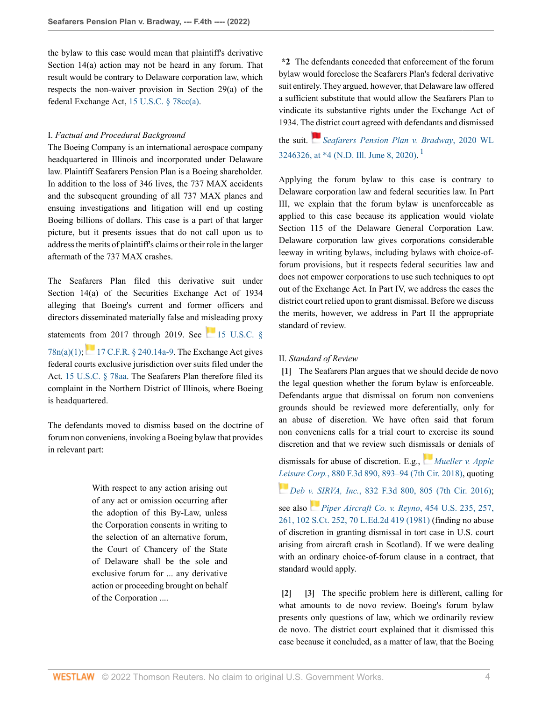the bylaw to this case would mean that plaintiff's derivative Section 14(a) action may not be heard in any forum. That result would be contrary to Delaware corporation law, which respects the non-waiver provision in Section 29(a) of the federal Exchange Act, [15 U.S.C. § 78cc\(a\).](http://www.westlaw.com/Link/Document/FullText?findType=L&pubNum=1000546&cite=15USCAS78CC&originatingDoc=Ia5e00410700211ec9d07baaeba647595&refType=RB&originationContext=document&vr=3.0&rs=cblt1.0&transitionType=DocumentItem&contextData=(sc.Keycite)#co_pp_8b3b0000958a4)

#### I. *Factual and Procedural Background*

The Boeing Company is an international aerospace company headquartered in Illinois and incorporated under Delaware law. Plaintiff Seafarers Pension Plan is a Boeing shareholder. In addition to the loss of 346 lives, the 737 MAX accidents and the subsequent grounding of all 737 MAX planes and ensuing investigations and litigation will end up costing Boeing billions of dollars. This case is a part of that larger picture, but it presents issues that do not call upon us to address the merits of plaintiff's claims or their role in the larger aftermath of the 737 MAX crashes.

The Seafarers Plan filed this derivative suit under Section 14(a) of the Securities Exchange Act of 1934 alleging that Boeing's current and former officers and directors disseminated materially false and misleading proxy statements from 2017 through 2019. See  $15$  U.S.C. §  $78n(a)(1)$ ;[17 C.F.R. § 240.14a-9](http://www.westlaw.com/Link/Document/FullText?findType=L&pubNum=1000547&cite=17CFRS240.14A-9&originatingDoc=Ia5e00410700211ec9d07baaeba647595&refType=LQ&originationContext=document&vr=3.0&rs=cblt1.0&transitionType=DocumentItem&contextData=(sc.Keycite)). The Exchange Act gives federal courts exclusive jurisdiction over suits filed under the Act. [15 U.S.C. § 78aa](http://www.westlaw.com/Link/Document/FullText?findType=L&pubNum=1000546&cite=15USCAS78AA&originatingDoc=Ia5e00410700211ec9d07baaeba647595&refType=LQ&originationContext=document&vr=3.0&rs=cblt1.0&transitionType=DocumentItem&contextData=(sc.Keycite)). The Seafarers Plan therefore filed its complaint in the Northern District of Illinois, where Boeing is headquartered.

The defendants moved to dismiss based on the doctrine of forum non conveniens, invoking a Boeing bylaw that provides in relevant part:

> With respect to any action arising out of any act or omission occurring after the adoption of this By-Law, unless the Corporation consents in writing to the selection of an alternative forum, the Court of Chancery of the State of Delaware shall be the sole and exclusive forum for ... any derivative action or proceeding brought on behalf of the Corporation ....

**\*2** The defendants conceded that enforcement of the forum bylaw would foreclose the Seafarers Plan's federal derivative suit entirely. They argued, however, that Delaware law offered a sufficient substitute that would allow the Seafarers Plan to vindicate its substantive rights under the Exchange Act of 1934. Th[e dis](https://1.next.westlaw.com/Link/RelatedInformation/Flag?documentGuid=I0d835840b00811ea93a0cf5da1431849&transitionType=InlineKeyCiteFlags&originationContext=docHeaderFlag&Rank=0&ppcid=87af63fa54164b0496d5b848dd82ec18&contextData=(sc.Keycite) )trict court agreed with defendants and dismissed

<span id="page-3-3"></span>the suit. *[Seafarers Pension Plan v. Bradway](http://www.westlaw.com/Link/Document/FullText?findType=Y&serNum=2051259967&pubNum=0000999&originatingDoc=Ia5e00410700211ec9d07baaeba647595&refType=RP&fi=co_pp_sp_999_4&originationContext=document&vr=3.0&rs=cblt1.0&transitionType=DocumentItem&contextData=(sc.Keycite)#co_pp_sp_999_4)*, 2020 WL 3246326, at  $*4$  (N.D. Ill. June 8, 2020).<sup>[1](#page-13-0)</sup>

Applying the forum bylaw to this case is contrary to Delaware corporation law and federal securities law. In Part III, we explain that the forum bylaw is unenforceable as applied to this case because its application would violate Section 115 of the Delaware General Corporation Law. Delaware corporation law gives corporations considerable leeway in writing bylaws, including bylaws with choice-offorum provisions, but it respects federal securities law and does not empower corporations to use such techniques to opt out of the Exchange Act. In Part IV, we address the cases the district court relied upon to grant dismissal. Before we discuss the merits, however, we address in Part II the appropriate standard of review.

#### II. *Standard of Review*

<span id="page-3-0"></span>**[\[1\]](#page-0-0)** The Seafarers Plan argues that we should decide de novo the legal question whether the forum bylaw is enforceable. Defendants argue that dismissal on forum non conveniens grounds should be reviewed more deferentially, only for an abuse of discretion. We have often said that forum non conveniens calls for a trial court to exercise its sound discretion and that we review such dis[miss](https://1.next.westlaw.com/Link/RelatedInformation/Flag?documentGuid=I45f1804002f811e890b3a4cf54beb9bd&transitionType=InlineKeyCiteFlags&originationContext=docHeaderFlag&Rank=0&ppcid=87af63fa54164b0496d5b848dd82ec18&contextData=(sc.Keycite) )als or denials of

dismissals for abuse of discretion. E.g., *[Mueller v. Apple](http://www.westlaw.com/Link/Document/FullText?findType=Y&serNum=2043686353&pubNum=0000506&originatingDoc=Ia5e00410700211ec9d07baaeba647595&refType=RP&fi=co_pp_sp_506_893&originationContext=document&vr=3.0&rs=cblt1.0&transitionType=DocumentItem&contextData=(sc.Keycite)#co_pp_sp_506_893) [Leis](https://1.next.westlaw.com/Link/RelatedInformation/Flag?documentGuid=I71806aa0606a11e6a46fa4c1b9f16bf3&transitionType=InlineKeyCiteFlags&originationContext=docHeaderFlag&Rank=0&ppcid=87af63fa54164b0496d5b848dd82ec18&contextData=(sc.Keycite) )ure Corp.*[, 880 F.3d 890, 893–94 \(7th Cir. 2018\),](http://www.westlaw.com/Link/Document/FullText?findType=Y&serNum=2043686353&pubNum=0000506&originatingDoc=Ia5e00410700211ec9d07baaeba647595&refType=RP&fi=co_pp_sp_506_893&originationContext=document&vr=3.0&rs=cblt1.0&transitionType=DocumentItem&contextData=(sc.Keycite)#co_pp_sp_506_893) quoting *Deb [v. S](https://1.next.westlaw.com/Link/RelatedInformation/Flag?documentGuid=I6b4690de9c2511d9bc61beebb95be672&transitionType=InlineKeyCiteFlags&originationContext=docHeaderFlag&Rank=0&ppcid=87af63fa54164b0496d5b848dd82ec18&contextData=(sc.Keycite) )IRVA, Inc.*[, 832 F.3d 800, 805 \(7th Cir. 2016\)](http://www.westlaw.com/Link/Document/FullText?findType=Y&serNum=2039558107&pubNum=0000506&originatingDoc=Ia5e00410700211ec9d07baaeba647595&refType=RP&fi=co_pp_sp_506_805&originationContext=document&vr=3.0&rs=cblt1.0&transitionType=DocumentItem&contextData=(sc.Keycite)#co_pp_sp_506_805); see also *[Piper Aircraft Co. v. Reyno](http://www.westlaw.com/Link/Document/FullText?findType=Y&serNum=1981151372&pubNum=0000780&originatingDoc=Ia5e00410700211ec9d07baaeba647595&refType=RP&fi=co_pp_sp_780_257&originationContext=document&vr=3.0&rs=cblt1.0&transitionType=DocumentItem&contextData=(sc.Keycite)#co_pp_sp_780_257)*, 454 U.S. 235, 257, [261, 102 S.Ct. 252, 70 L.Ed.2d 419 \(1981\)](http://www.westlaw.com/Link/Document/FullText?findType=Y&serNum=1981151372&pubNum=0000780&originatingDoc=Ia5e00410700211ec9d07baaeba647595&refType=RP&fi=co_pp_sp_780_257&originationContext=document&vr=3.0&rs=cblt1.0&transitionType=DocumentItem&contextData=(sc.Keycite)#co_pp_sp_780_257) (finding no abuse of discretion in granting dismissal in tort case in U.S. court arising from aircraft crash in Scotland). If we were dealing with an ordinary choice-of-forum clause in a contract, that standard would apply.

<span id="page-3-2"></span><span id="page-3-1"></span>**[\[2\]](#page-0-1) [\[3\]](#page-0-2)** The specific problem here is different, calling for what amounts to de novo review. Boeing's forum bylaw presents only questions of law, which we ordinarily review de novo. The district court explained that it dismissed this case because it concluded, as a matter of law, that the Boeing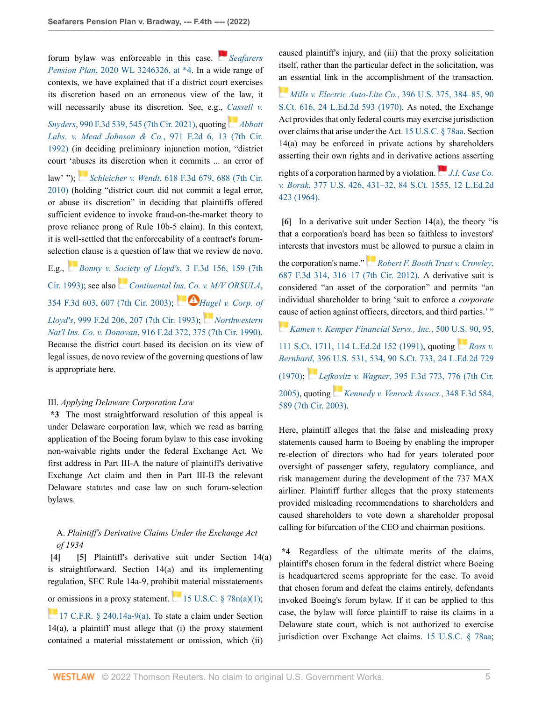forum bylaw was enforceable in this case. *[Seafarers](http://www.westlaw.com/Link/Document/FullText?findType=Y&serNum=2051259967&pubNum=0000999&originatingDoc=Ia5e00410700211ec9d07baaeba647595&refType=RP&fi=co_pp_sp_999_4&originationContext=document&vr=3.0&rs=cblt1.0&transitionType=DocumentItem&contextData=(sc.Keycite)#co_pp_sp_999_4) Pension Plan*[, 2020 WL 3246326, at \\*4](http://www.westlaw.com/Link/Document/FullText?findType=Y&serNum=2051259967&pubNum=0000999&originatingDoc=Ia5e00410700211ec9d07baaeba647595&refType=RP&fi=co_pp_sp_999_4&originationContext=document&vr=3.0&rs=cblt1.0&transitionType=DocumentItem&contextData=(sc.Keycite)#co_pp_sp_999_4). In a wide range of contexts, we have explained that if a district court exercises its discretion based on an erroneous view of the law, it will necessarily abuse its discretion. See, e.g., *[Cassell v.](http://www.westlaw.com/Link/Document/FullText?findType=Y&serNum=2053188361&pubNum=0000506&originatingDoc=Ia5e00410700211ec9d07baaeba647595&refType=RP&fi=co_pp_sp_506_545&originationContext=document&vr=3.0&rs=cblt1.0&transitionType=DocumentItem&contextData=(sc.Keycite)#co_pp_sp_506_545) Snyders*[, 990 F.3d 539, 545 \(7th Cir. 2021\),](http://www.westlaw.com/Link/Document/FullText?findType=Y&serNum=2053188361&pubNum=0000506&originatingDoc=Ia5e00410700211ec9d07baaeba647595&refType=RP&fi=co_pp_sp_506_545&originationContext=document&vr=3.0&rs=cblt1.0&transitionType=DocumentItem&contextData=(sc.Keycite)#co_pp_sp_506_545) quoting *[Abbott](http://www.westlaw.com/Link/Document/FullText?findType=Y&serNum=1992131932&pubNum=0000350&originatingDoc=Ia5e00410700211ec9d07baaeba647595&refType=RP&fi=co_pp_sp_350_13&originationContext=document&vr=3.0&rs=cblt1.0&transitionType=DocumentItem&contextData=(sc.Keycite)#co_pp_sp_350_13) [Labs. v. Mead Johnson & Co.](http://www.westlaw.com/Link/Document/FullText?findType=Y&serNum=1992131932&pubNum=0000350&originatingDoc=Ia5e00410700211ec9d07baaeba647595&refType=RP&fi=co_pp_sp_350_13&originationContext=document&vr=3.0&rs=cblt1.0&transitionType=DocumentItem&contextData=(sc.Keycite)#co_pp_sp_350_13)*, 971 F.2d 6, 13 (7th Cir. [1992\)](http://www.westlaw.com/Link/Document/FullText?findType=Y&serNum=1992131932&pubNum=0000350&originatingDoc=Ia5e00410700211ec9d07baaeba647595&refType=RP&fi=co_pp_sp_350_13&originationContext=document&vr=3.0&rs=cblt1.0&transitionType=DocumentItem&contextData=(sc.Keycite)#co_pp_sp_350_13) (in deciding preliminary injunction motion, "district

law' "); *Schleicher v. Wendt*[, 618 F.3d 679, 688 \(7th Cir.](http://www.westlaw.com/Link/Document/FullText?findType=Y&serNum=2022814357&pubNum=0000506&originatingDoc=Ia5e00410700211ec9d07baaeba647595&refType=RP&fi=co_pp_sp_506_688&originationContext=document&vr=3.0&rs=cblt1.0&transitionType=DocumentItem&contextData=(sc.Keycite)#co_pp_sp_506_688) [2010\)](http://www.westlaw.com/Link/Document/FullText?findType=Y&serNum=2022814357&pubNum=0000506&originatingDoc=Ia5e00410700211ec9d07baaeba647595&refType=RP&fi=co_pp_sp_506_688&originationContext=document&vr=3.0&rs=cblt1.0&transitionType=DocumentItem&contextData=(sc.Keycite)#co_pp_sp_506_688) (holding "district court did not commit a legal error, or abuse its discretion" in deciding that plaintiffs offered sufficient evidence to invoke fraud-on-the-market theory to prove reliance prong of Rule 10b-5 claim). In this context, it is well-settled that the enforceability of a contract's forumselect[ion](https://1.next.westlaw.com/Link/RelatedInformation/Flag?documentGuid=Id7d5058796fb11d9bdd1cfdd544ca3a4&transitionType=InlineKeyCiteFlags&originationContext=docHeaderFlag&Rank=0&ppcid=87af63fa54164b0496d5b848dd82ec18&contextData=(sc.Keycite) ) clause is a question of law that we review de novo.

court 'a[buse](https://1.next.westlaw.com/Link/RelatedInformation/Flag?documentGuid=I518adcb9ac6a11df8228ac372eb82649&transitionType=InlineKeyCiteFlags&originationContext=docHeaderFlag&Rank=0&ppcid=87af63fa54164b0496d5b848dd82ec18&contextData=(sc.Keycite) )s its discretion when it commits ... an error of

E.g., *[Bonny v. Society of Lloyd's](http://www.westlaw.com/Link/Document/FullText?findType=Y&serNum=1993156385&pubNum=0000506&originatingDoc=Ia5e00410700211ec9d07baaeba647595&refType=RP&fi=co_pp_sp_506_159&originationContext=document&vr=3.0&rs=cblt1.0&transitionType=DocumentItem&contextData=(sc.Keycite)#co_pp_sp_506_159)*, 3 F.3d 156, 159 (7th [Cir. 1993\)](http://www.westlaw.com/Link/Document/FullText?findType=Y&serNum=1993156385&pubNum=0000506&originatingDoc=Ia5e00410700211ec9d07baaeba647595&refType=RP&fi=co_pp_sp_506_159&originationContext=document&vr=3.0&rs=cblt1.0&transitionType=DocumentItem&contextData=(sc.Keycite)#co_pp_sp_506_159); see also *[Continental Ins. Co. v. M/V ORSULA](http://www.westlaw.com/Link/Document/FullText?findType=Y&serNum=2003944995&pubNum=0000506&originatingDoc=Ia5e00410700211ec9d07baaeba647595&refType=RP&fi=co_pp_sp_506_607&originationContext=document&vr=3.0&rs=cblt1.0&transitionType=DocumentItem&contextData=(sc.Keycite)#co_pp_sp_506_607)*, [354 F.3d 603, 607 \(7th Cir. 2003\);](http://www.westlaw.com/Link/Document/FullText?findType=Y&serNum=2003944995&pubNum=0000506&originatingDoc=Ia5e00410700211ec9d07baaeba647595&refType=RP&fi=co_pp_sp_506_607&originationContext=document&vr=3.0&rs=cblt1.0&transitionType=DocumentItem&contextData=(sc.Keycite)#co_pp_sp_506_607) *[Hugel v. Corp. of](http://www.westlaw.com/Link/Document/FullText?findType=Y&serNum=1993140962&pubNum=0000350&originatingDoc=Ia5e00410700211ec9d07baaeba647595&refType=RP&fi=co_pp_sp_350_207&originationContext=document&vr=3.0&rs=cblt1.0&transitionType=DocumentItem&contextData=(sc.Keycite)#co_pp_sp_350_207) Lloyd's*[, 999 F.2d 206, 207 \(7th Cir. 1993\)](http://www.westlaw.com/Link/Document/FullText?findType=Y&serNum=1993140962&pubNum=0000350&originatingDoc=Ia5e00410700211ec9d07baaeba647595&refType=RP&fi=co_pp_sp_350_207&originationContext=document&vr=3.0&rs=cblt1.0&transitionType=DocumentItem&contextData=(sc.Keycite)#co_pp_sp_350_207); *[Northwestern](http://www.westlaw.com/Link/Document/FullText?findType=Y&serNum=1990147910&pubNum=0000350&originatingDoc=Ia5e00410700211ec9d07baaeba647595&refType=RP&fi=co_pp_sp_350_375&originationContext=document&vr=3.0&rs=cblt1.0&transitionType=DocumentItem&contextData=(sc.Keycite)#co_pp_sp_350_375) Nat'l Ins. Co. v. Donovan*[, 916 F.2d 372, 375 \(7th Cir. 1990\)](http://www.westlaw.com/Link/Document/FullText?findType=Y&serNum=1990147910&pubNum=0000350&originatingDoc=Ia5e00410700211ec9d07baaeba647595&refType=RP&fi=co_pp_sp_350_375&originationContext=document&vr=3.0&rs=cblt1.0&transitionType=DocumentItem&contextData=(sc.Keycite)#co_pp_sp_350_375). Because the district court based its decision on its view of legal issues, de novo review of the governing questions of law is appropriate here.

#### III. *Applying Delaware Corporation Law*

**\*3** The most straightforward resolution of this appeal is under Delaware corporation law, which we read as barring application of the Boeing forum bylaw to this case invoking non-waivable rights under the federal Exchange Act. We first address in Part III-A the nature of plaintiff's derivative Exchange Act claim and then in Part III-B the relevant Delaware statutes and case law on such forum-selection bylaws.

# <span id="page-4-1"></span>A. *Plaintiff's Derivative Claims Under the Exchange Act of 1934*

<span id="page-4-0"></span>**[\[4\]](#page-0-3) [\[5\]](#page-1-2)** Plaintiff's derivative suit under Section 14(a) is straightforward. Section 14(a) and its implementing regulation, SEC Rule 14a-9, prohibit material misstatements [or o](https://1.next.westlaw.com/Link/RelatedInformation/Flag?documentGuid=NBE1009101D3B11EB84EBA65175C65D59&transitionType=InlineKeyCiteFlags&originationContext=docHeaderFlag&Rank=0&ppcid=87af63fa54164b0496d5b848dd82ec18&contextData=(sc.Keycite) )missions in a proxy statement.  $15$  U.S.C. § 78n(a)(1);

[17 C.F.R. § 240.14a-9\(a\).](http://www.westlaw.com/Link/Document/FullText?findType=L&pubNum=1000547&cite=17CFRS240.14A-9&originatingDoc=Ia5e00410700211ec9d07baaeba647595&refType=RB&originationContext=document&vr=3.0&rs=cblt1.0&transitionType=DocumentItem&contextData=(sc.Keycite)#co_pp_8b3b0000958a4) To state a claim under Section 14(a), a plaintiff must allege that (i) the proxy statement contained a material misstatement or omission, which (ii) caused plaintiff's injury, and (iii) that the proxy solicitation itself, rather than the particular defect in the solicitation, was [an](https://1.next.westlaw.com/Link/RelatedInformation/Flag?documentGuid=Ie9bfc7179c1b11d9bdd1cfdd544ca3a4&transitionType=InlineKeyCiteFlags&originationContext=docHeaderFlag&Rank=0&ppcid=87af63fa54164b0496d5b848dd82ec18&contextData=(sc.Keycite) ) essential link in the accomplishment of the transaction.

*[Mills v. Electric Auto-Lite Co.](http://www.westlaw.com/Link/Document/FullText?findType=Y&serNum=1970134171&pubNum=0000780&originatingDoc=Ia5e00410700211ec9d07baaeba647595&refType=RP&fi=co_pp_sp_780_384&originationContext=document&vr=3.0&rs=cblt1.0&transitionType=DocumentItem&contextData=(sc.Keycite)#co_pp_sp_780_384)*, 396 U.S. 375, 384–85, 90 [S.Ct. 616, 24 L.Ed.2d 593 \(1970\).](http://www.westlaw.com/Link/Document/FullText?findType=Y&serNum=1970134171&pubNum=0000780&originatingDoc=Ia5e00410700211ec9d07baaeba647595&refType=RP&fi=co_pp_sp_780_384&originationContext=document&vr=3.0&rs=cblt1.0&transitionType=DocumentItem&contextData=(sc.Keycite)#co_pp_sp_780_384) As noted, the Exchange Act provides that only federal courts may exercise jurisdiction over claims that arise under the Act. [15 U.S.C. § 78aa.](http://www.westlaw.com/Link/Document/FullText?findType=L&pubNum=1000546&cite=15USCAS78AA&originatingDoc=Ia5e00410700211ec9d07baaeba647595&refType=LQ&originationContext=document&vr=3.0&rs=cblt1.0&transitionType=DocumentItem&contextData=(sc.Keycite)) Section 14(a) may be enforced in private actions by shareholders asserting their own rights and in derivative [actio](https://1.next.westlaw.com/Link/RelatedInformation/Flag?documentGuid=Id38e8bce9be911d993e6d35cc61aab4a&transitionType=InlineKeyCiteFlags&originationContext=docHeaderFlag&Rank=0&ppcid=87af63fa54164b0496d5b848dd82ec18&contextData=(sc.Keycite) )ns asserting rights of a corporation harmed by a violation. *[J.I. Case Co.](http://www.westlaw.com/Link/Document/FullText?findType=Y&serNum=1964124853&pubNum=0000780&originatingDoc=Ia5e00410700211ec9d07baaeba647595&refType=RP&fi=co_pp_sp_780_431&originationContext=document&vr=3.0&rs=cblt1.0&transitionType=DocumentItem&contextData=(sc.Keycite)#co_pp_sp_780_431) v. Borak*[, 377 U.S. 426, 431–32, 84 S.Ct. 1555, 12 L.Ed.2d](http://www.westlaw.com/Link/Document/FullText?findType=Y&serNum=1964124853&pubNum=0000780&originatingDoc=Ia5e00410700211ec9d07baaeba647595&refType=RP&fi=co_pp_sp_780_431&originationContext=document&vr=3.0&rs=cblt1.0&transitionType=DocumentItem&contextData=(sc.Keycite)#co_pp_sp_780_431) [423 \(1964\)](http://www.westlaw.com/Link/Document/FullText?findType=Y&serNum=1964124853&pubNum=0000780&originatingDoc=Ia5e00410700211ec9d07baaeba647595&refType=RP&fi=co_pp_sp_780_431&originationContext=document&vr=3.0&rs=cblt1.0&transitionType=DocumentItem&contextData=(sc.Keycite)#co_pp_sp_780_431).

<span id="page-4-2"></span>**[\[6\]](#page-1-3)** In a derivative suit under Section 14(a), the theory "is that a corporation's board has been so faithless to investors' interests that investors [must](https://1.next.westlaw.com/Link/RelatedInformation/Flag?documentGuid=I1eaa4163b4ff11e191598982704508d1&transitionType=InlineKeyCiteFlags&originationContext=docHeaderFlag&Rank=0&ppcid=87af63fa54164b0496d5b848dd82ec18&contextData=(sc.Keycite) ) be allowed to pursue a claim in

the corporation's name." *[Robert F. Booth Trust v. Crowley](http://www.westlaw.com/Link/Document/FullText?findType=Y&serNum=2027892919&pubNum=0000506&originatingDoc=Ia5e00410700211ec9d07baaeba647595&refType=RP&fi=co_pp_sp_506_316&originationContext=document&vr=3.0&rs=cblt1.0&transitionType=DocumentItem&contextData=(sc.Keycite)#co_pp_sp_506_316)*, [687 F.3d 314, 316–17 \(7th Cir. 2012\).](http://www.westlaw.com/Link/Document/FullText?findType=Y&serNum=2027892919&pubNum=0000506&originatingDoc=Ia5e00410700211ec9d07baaeba647595&refType=RP&fi=co_pp_sp_506_316&originationContext=document&vr=3.0&rs=cblt1.0&transitionType=DocumentItem&contextData=(sc.Keycite)#co_pp_sp_506_316) A derivative suit is considered "an asset of the corporation" and permits "an individual shareholder to bring 'suit to enforce a *corporate* [cau](https://1.next.westlaw.com/Link/RelatedInformation/Flag?documentGuid=I862efbb59c9011d993e6d35cc61aab4a&transitionType=InlineKeyCiteFlags&originationContext=docHeaderFlag&Rank=0&ppcid=87af63fa54164b0496d5b848dd82ec18&contextData=(sc.Keycite) )se of action against officers, directors, and third parties.' "

*[Kamen v. Kemper Financial Servs., Inc.](http://www.westlaw.com/Link/Document/FullText?findType=Y&serNum=1991093646&pubNum=0000780&originatingDoc=Ia5e00410700211ec9d07baaeba647595&refType=RP&fi=co_pp_sp_780_95&originationContext=document&vr=3.0&rs=cblt1.0&transitionType=DocumentItem&contextData=(sc.Keycite)#co_pp_sp_780_95)*, 500 [U.S.](https://1.next.westlaw.com/Link/RelatedInformation/Flag?documentGuid=I1d1c77f09c9711d993e6d35cc61aab4a&transitionType=InlineKeyCiteFlags&originationContext=docHeaderFlag&Rank=0&ppcid=87af63fa54164b0496d5b848dd82ec18&contextData=(sc.Keycite) ) 90, 95, [111 S.Ct. 1711, 114 L.Ed.2d 152 \(1991\)](http://www.westlaw.com/Link/Document/FullText?findType=Y&serNum=1991093646&pubNum=0000780&originatingDoc=Ia5e00410700211ec9d07baaeba647595&refType=RP&fi=co_pp_sp_780_95&originationContext=document&vr=3.0&rs=cblt1.0&transitionType=DocumentItem&contextData=(sc.Keycite)#co_pp_sp_780_95), quoting *[Ross v.](http://www.westlaw.com/Link/Document/FullText?findType=Y&serNum=1970134179&pubNum=0000780&originatingDoc=Ia5e00410700211ec9d07baaeba647595&refType=RP&fi=co_pp_sp_780_534&originationContext=document&vr=3.0&rs=cblt1.0&transitionType=DocumentItem&contextData=(sc.Keycite)#co_pp_sp_780_534) Bernhard*[, 396 U.S. 531, 534, 90 S.Ct. 733, 24 L.Ed.2d 729](http://www.westlaw.com/Link/Document/FullText?findType=Y&serNum=1970134179&pubNum=0000780&originatingDoc=Ia5e00410700211ec9d07baaeba647595&refType=RP&fi=co_pp_sp_780_534&originationContext=document&vr=3.0&rs=cblt1.0&transitionType=DocumentItem&contextData=(sc.Keycite)#co_pp_sp_780_534) [\(1970\);](http://www.westlaw.com/Link/Document/FullText?findType=Y&serNum=1970134179&pubNum=0000780&originatingDoc=Ia5e00410700211ec9d07baaeba647595&refType=RP&fi=co_pp_sp_780_534&originationContext=document&vr=3.0&rs=cblt1.0&transitionType=DocumentItem&contextData=(sc.Keycite)#co_pp_sp_780_534) *Lef[kovi](https://1.next.westlaw.com/Link/RelatedInformation/Flag?documentGuid=I7550d10589ef11d9ac45f46c5ea084a3&transitionType=InlineKeyCiteFlags&originationContext=docHeaderFlag&Rank=0&ppcid=87af63fa54164b0496d5b848dd82ec18&contextData=(sc.Keycite) )tz v. Wagner*[, 395 F.3d 773, 776 \(7th Cir.](http://www.westlaw.com/Link/Document/FullText?findType=Y&serNum=2005995668&pubNum=0000506&originatingDoc=Ia5e00410700211ec9d07baaeba647595&refType=RP&fi=co_pp_sp_506_776&originationContext=document&vr=3.0&rs=cblt1.0&transitionType=DocumentItem&contextData=(sc.Keycite)#co_pp_sp_506_776) [2005\)](http://www.westlaw.com/Link/Document/FullText?findType=Y&serNum=2005995668&pubNum=0000506&originatingDoc=Ia5e00410700211ec9d07baaeba647595&refType=RP&fi=co_pp_sp_506_776&originationContext=document&vr=3.0&rs=cblt1.0&transitionType=DocumentItem&contextData=(sc.Keycite)#co_pp_sp_506_776), quoting *[Kennedy v. Venrock Assocs.](http://www.westlaw.com/Link/Document/FullText?findType=Y&serNum=2003730784&pubNum=0000506&originatingDoc=Ia5e00410700211ec9d07baaeba647595&refType=RP&fi=co_pp_sp_506_589&originationContext=document&vr=3.0&rs=cblt1.0&transitionType=DocumentItem&contextData=(sc.Keycite)#co_pp_sp_506_589)*, 348 F.3d 584, [589 \(7th Cir. 2003\).](http://www.westlaw.com/Link/Document/FullText?findType=Y&serNum=2003730784&pubNum=0000506&originatingDoc=Ia5e00410700211ec9d07baaeba647595&refType=RP&fi=co_pp_sp_506_589&originationContext=document&vr=3.0&rs=cblt1.0&transitionType=DocumentItem&contextData=(sc.Keycite)#co_pp_sp_506_589)

Here, plaintiff alleges that the false and misleading proxy statements caused harm to Boeing by enabling the improper re-election of directors who had for years tolerated poor oversight of passenger safety, regulatory compliance, and risk management during the development of the 737 MAX airliner. Plaintiff further alleges that the proxy statements provided misleading recommendations to shareholders and caused shareholders to vote down a shareholder proposal calling for bifurcation of the CEO and chairman positions.

**\*4** Regardless of the ultimate merits of the claims, plaintiff's chosen forum in the federal district where Boeing is headquartered seems appropriate for the case. To avoid that chosen forum and defeat the claims entirely, defendants invoked Boeing's forum bylaw. If it can be applied to this case, the bylaw will force plaintiff to raise its claims in a Delaware state court, which is not authorized to exercise jurisdiction over Exchange Act claims. [15 U.S.C. § 78aa](http://www.westlaw.com/Link/Document/FullText?findType=L&pubNum=1000546&cite=15USCAS78AA&originatingDoc=Ia5e00410700211ec9d07baaeba647595&refType=LQ&originationContext=document&vr=3.0&rs=cblt1.0&transitionType=DocumentItem&contextData=(sc.Keycite));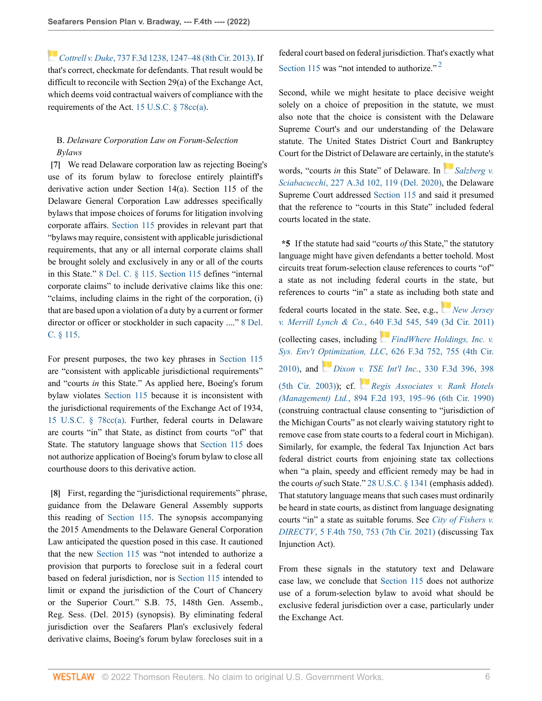*[C](https://1.next.westlaw.com/Link/RelatedInformation/Flag?documentGuid=I694324be680511e3a341ea44e5e1f25f&transitionType=InlineKeyCiteFlags&originationContext=docHeaderFlag&Rank=0&ppcid=87af63fa54164b0496d5b848dd82ec18&contextData=(sc.Keycite) )ottrell v. Duke*[, 737 F.3d 1238, 1247–48 \(8th Cir. 2013\)](http://www.westlaw.com/Link/Document/FullText?findType=Y&serNum=2032326211&pubNum=0000506&originatingDoc=Ia5e00410700211ec9d07baaeba647595&refType=RP&fi=co_pp_sp_506_1247&originationContext=document&vr=3.0&rs=cblt1.0&transitionType=DocumentItem&contextData=(sc.Keycite)#co_pp_sp_506_1247). If that's correct, checkmate for defendants. That result would be difficult to reconcile with Section 29(a) of the Exchange Act, which deems void contractual waivers of compliance with the requirements of the Act. [15 U.S.C. § 78cc\(a\).](http://www.westlaw.com/Link/Document/FullText?findType=L&pubNum=1000546&cite=15USCAS78CC&originatingDoc=Ia5e00410700211ec9d07baaeba647595&refType=RB&originationContext=document&vr=3.0&rs=cblt1.0&transitionType=DocumentItem&contextData=(sc.Keycite)#co_pp_8b3b0000958a4)

# B. *Delaware Corporation Law on Forum-Selection Bylaws*

<span id="page-5-0"></span>**[\[7\]](#page-1-0)** We read Delaware corporation law as rejecting Boeing's use of its forum bylaw to foreclose entirely plaintiff's derivative action under Section 14(a). Section 115 of the Delaware General Corporation Law addresses specifically bylaws that impose choices of forums for litigation involving corporate affairs. [Section 115](http://www.westlaw.com/Link/Document/FullText?findType=L&pubNum=1000005&cite=DESTT8S115&originatingDoc=Ia5e00410700211ec9d07baaeba647595&refType=LQ&originationContext=document&vr=3.0&rs=cblt1.0&transitionType=DocumentItem&contextData=(sc.Keycite)) provides in relevant part that "bylaws may require, consistent with applicable jurisdictional requirements, that any or all internal corporate claims shall be brought solely and exclusively in any or all of the courts in this State." [8 Del. C. § 115](http://www.westlaw.com/Link/Document/FullText?findType=L&pubNum=1000005&cite=DESTT8S115&originatingDoc=Ia5e00410700211ec9d07baaeba647595&refType=LQ&originationContext=document&vr=3.0&rs=cblt1.0&transitionType=DocumentItem&contextData=(sc.Keycite)). [Section 115](http://www.westlaw.com/Link/Document/FullText?findType=L&pubNum=1000005&cite=DESTT8S115&originatingDoc=Ia5e00410700211ec9d07baaeba647595&refType=LQ&originationContext=document&vr=3.0&rs=cblt1.0&transitionType=DocumentItem&contextData=(sc.Keycite)) defines "internal corporate claims" to include derivative claims like this one: "claims, including claims in the right of the corporation, (i) that are based upon a violation of a duty by a current or former director or officer or stockholder in such capacity ...." [8 Del.](http://www.westlaw.com/Link/Document/FullText?findType=L&pubNum=1000005&cite=DESTT8S115&originatingDoc=Ia5e00410700211ec9d07baaeba647595&refType=LQ&originationContext=document&vr=3.0&rs=cblt1.0&transitionType=DocumentItem&contextData=(sc.Keycite)) [C. § 115.](http://www.westlaw.com/Link/Document/FullText?findType=L&pubNum=1000005&cite=DESTT8S115&originatingDoc=Ia5e00410700211ec9d07baaeba647595&refType=LQ&originationContext=document&vr=3.0&rs=cblt1.0&transitionType=DocumentItem&contextData=(sc.Keycite))

For present purposes, the two key phrases in [Section 115](http://www.westlaw.com/Link/Document/FullText?findType=L&pubNum=1000005&cite=DESTT8S115&originatingDoc=Ia5e00410700211ec9d07baaeba647595&refType=LQ&originationContext=document&vr=3.0&rs=cblt1.0&transitionType=DocumentItem&contextData=(sc.Keycite)) are "consistent with applicable jurisdictional requirements" and "courts *in* this State." As applied here, Boeing's forum bylaw violates [Section 115](http://www.westlaw.com/Link/Document/FullText?findType=L&pubNum=1000005&cite=DESTT8S115&originatingDoc=Ia5e00410700211ec9d07baaeba647595&refType=LQ&originationContext=document&vr=3.0&rs=cblt1.0&transitionType=DocumentItem&contextData=(sc.Keycite)) because it is inconsistent with the jurisdictional requirements of the Exchange Act of 1934, [15 U.S.C. § 78cc\(a\)](http://www.westlaw.com/Link/Document/FullText?findType=L&pubNum=1000546&cite=15USCAS78CC&originatingDoc=Ia5e00410700211ec9d07baaeba647595&refType=RB&originationContext=document&vr=3.0&rs=cblt1.0&transitionType=DocumentItem&contextData=(sc.Keycite)#co_pp_8b3b0000958a4). Further, federal courts in Delaware are courts "in" that State, as distinct from courts "of" that State. The statutory language shows that [Section 115](http://www.westlaw.com/Link/Document/FullText?findType=L&pubNum=1000005&cite=DESTT8S115&originatingDoc=Ia5e00410700211ec9d07baaeba647595&refType=LQ&originationContext=document&vr=3.0&rs=cblt1.0&transitionType=DocumentItem&contextData=(sc.Keycite)) does not authorize application of Boeing's forum bylaw to close all courthouse doors to this derivative action.

<span id="page-5-1"></span>**[\[8\]](#page-1-4)** First, regarding the "jurisdictional requirements" phrase, guidance from the Delaware General Assembly supports this reading of [Section 115](http://www.westlaw.com/Link/Document/FullText?findType=L&pubNum=1000005&cite=DESTT8S115&originatingDoc=Ia5e00410700211ec9d07baaeba647595&refType=LQ&originationContext=document&vr=3.0&rs=cblt1.0&transitionType=DocumentItem&contextData=(sc.Keycite)). The synopsis accompanying the 2015 Amendments to the Delaware General Corporation Law anticipated the question posed in this case. It cautioned that the new [Section 115](http://www.westlaw.com/Link/Document/FullText?findType=L&pubNum=1000005&cite=DESTT8S115&originatingDoc=Ia5e00410700211ec9d07baaeba647595&refType=LQ&originationContext=document&vr=3.0&rs=cblt1.0&transitionType=DocumentItem&contextData=(sc.Keycite)) was "not intended to authorize a provision that purports to foreclose suit in a federal court based on federal jurisdiction, nor is [Section 115](http://www.westlaw.com/Link/Document/FullText?findType=L&pubNum=1000005&cite=DESTT8S115&originatingDoc=Ia5e00410700211ec9d07baaeba647595&refType=LQ&originationContext=document&vr=3.0&rs=cblt1.0&transitionType=DocumentItem&contextData=(sc.Keycite)) intended to limit or expand the jurisdiction of the Court of Chancery or the Superior Court." S.B. 75, 148th Gen. Assemb., Reg. Sess. (Del. 2015) (synopsis). By eliminating federal jurisdiction over the Seafarers Plan's exclusively federal derivative claims, Boeing's forum bylaw forecloses suit in a

<span id="page-5-2"></span>federal court based on federal jurisdiction. That's exactly what [Section 115](http://www.westlaw.com/Link/Document/FullText?findType=L&pubNum=1000005&cite=DESTT8S115&originatingDoc=Ia5e00410700211ec9d07baaeba647595&refType=LQ&originationContext=document&vr=3.0&rs=cblt1.0&transitionType=DocumentItem&contextData=(sc.Keycite)) was "not intended to authorize."<sup>[2](#page-14-0)</sup>

Second, while we might hesitate to place decisive weight solely on a choice of preposition in the statute, we must also note that the choice is consistent with the Delaware Supreme Court's and our understanding of the Delaware statute. The United States District Court and Bankruptcy Court for the District of Delaware are certainly, [in t](https://1.next.westlaw.com/Link/RelatedInformation/Flag?documentGuid=I240b5c60693c11ea81d388262956b33a&transitionType=InlineKeyCiteFlags&originationContext=docHeaderFlag&Rank=0&ppcid=87af63fa54164b0496d5b848dd82ec18&contextData=(sc.Keycite) )he statute's

words, "courts *in* this State" of Delaware. In *[Salzberg v.](http://www.westlaw.com/Link/Document/FullText?findType=Y&serNum=2050587897&pubNum=0007691&originatingDoc=Ia5e00410700211ec9d07baaeba647595&refType=RP&fi=co_pp_sp_7691_119&originationContext=document&vr=3.0&rs=cblt1.0&transitionType=DocumentItem&contextData=(sc.Keycite)#co_pp_sp_7691_119) Sciabacucchi*[, 227 A.3d 102, 119 \(Del. 2020\)](http://www.westlaw.com/Link/Document/FullText?findType=Y&serNum=2050587897&pubNum=0007691&originatingDoc=Ia5e00410700211ec9d07baaeba647595&refType=RP&fi=co_pp_sp_7691_119&originationContext=document&vr=3.0&rs=cblt1.0&transitionType=DocumentItem&contextData=(sc.Keycite)#co_pp_sp_7691_119), the Delaware Supreme Court addressed [Section 115](http://www.westlaw.com/Link/Document/FullText?findType=L&pubNum=1000005&cite=DESTT8S115&originatingDoc=Ia5e00410700211ec9d07baaeba647595&refType=LQ&originationContext=document&vr=3.0&rs=cblt1.0&transitionType=DocumentItem&contextData=(sc.Keycite)) and said it presumed that the reference to "courts in this State" included federal courts located in the state.

**\*5** If the statute had said "courts *of* this State," the statutory language might have given defendants a better toehold. Most circuits treat forum-selection clause references to courts "of" a state as not including federal courts in the state, but references to courts "in" a state as including [bot](https://1.next.westlaw.com/Link/RelatedInformation/Flag?documentGuid=I20978c19815911e0a8a2938374af9660&transitionType=InlineKeyCiteFlags&originationContext=docHeaderFlag&Rank=0&ppcid=87af63fa54164b0496d5b848dd82ec18&contextData=(sc.Keycite) )h state and federal courts located in the state. See, e.g., *[New Jersey](http://www.westlaw.com/Link/Document/FullText?findType=Y&serNum=2025311258&pubNum=0000506&originatingDoc=Ia5e00410700211ec9d07baaeba647595&refType=RP&fi=co_pp_sp_506_549&originationContext=document&vr=3.0&rs=cblt1.0&transitionType=DocumentItem&contextData=(sc.Keycite)#co_pp_sp_506_549) v. Merrill Lynch & Co.*[, 640 F.3d 545, 549 \(3d Cir. 2011\)](http://www.westlaw.com/Link/Document/FullText?findType=Y&serNum=2025311258&pubNum=0000506&originatingDoc=Ia5e00410700211ec9d07baaeba647595&refType=RP&fi=co_pp_sp_506_549&originationContext=document&vr=3.0&rs=cblt1.0&transitionType=DocumentItem&contextData=(sc.Keycite)#co_pp_sp_506_549) (collecting cases, including *[FindWhere Holdings, Inc. v.](http://www.westlaw.com/Link/Document/FullText?findType=Y&serNum=2023892871&pubNum=0000506&originatingDoc=Ia5e00410700211ec9d07baaeba647595&refType=RP&fi=co_pp_sp_506_755&originationContext=document&vr=3.0&rs=cblt1.0&transitionType=DocumentItem&contextData=(sc.Keycite)#co_pp_sp_506_755) Sys. Env't [Opti](https://1.next.westlaw.com/Link/RelatedInformation/Flag?documentGuid=Ib5ed56df89d511d9ac45f46c5ea084a3&transitionType=InlineKeyCiteFlags&originationContext=docHeaderFlag&Rank=0&ppcid=87af63fa54164b0496d5b848dd82ec18&contextData=(sc.Keycite) )mization, LLC*[, 626 F.3d 752, 755 \(4th Cir.](http://www.westlaw.com/Link/Document/FullText?findType=Y&serNum=2023892871&pubNum=0000506&originatingDoc=Ia5e00410700211ec9d07baaeba647595&refType=RP&fi=co_pp_sp_506_755&originationContext=document&vr=3.0&rs=cblt1.0&transitionType=DocumentItem&contextData=(sc.Keycite)#co_pp_sp_506_755) [2010\)](http://www.westlaw.com/Link/Document/FullText?findType=Y&serNum=2023892871&pubNum=0000506&originatingDoc=Ia5e00410700211ec9d07baaeba647595&refType=RP&fi=co_pp_sp_506_755&originationContext=document&vr=3.0&rs=cblt1.0&transitionType=DocumentItem&contextData=(sc.Keycite)#co_pp_sp_506_755), and *[Dixon v. TSE Int'l Inc.](http://www.westlaw.com/Link/Document/FullText?findType=Y&serNum=2003329439&pubNum=0000506&originatingDoc=Ia5e00410700211ec9d07baaeba647595&refType=RP&fi=co_pp_sp_506_398&originationContext=document&vr=3.0&rs=cblt1.0&transitionType=DocumentItem&contextData=(sc.Keycite)#co_pp_sp_506_398)*, 330 F.3d 396, 398 [\(5th Cir. 2003\)\)](http://www.westlaw.com/Link/Document/FullText?findType=Y&serNum=2003329439&pubNum=0000506&originatingDoc=Ia5e00410700211ec9d07baaeba647595&refType=RP&fi=co_pp_sp_506_398&originationContext=document&vr=3.0&rs=cblt1.0&transitionType=DocumentItem&contextData=(sc.Keycite)#co_pp_sp_506_398); cf. *[Regis Associates v. Rank Hotels](http://www.westlaw.com/Link/Document/FullText?findType=Y&serNum=1990024994&pubNum=0000350&originatingDoc=Ia5e00410700211ec9d07baaeba647595&refType=RP&fi=co_pp_sp_350_195&originationContext=document&vr=3.0&rs=cblt1.0&transitionType=DocumentItem&contextData=(sc.Keycite)#co_pp_sp_350_195) (Management) Ltd.*[, 894 F.2d 193, 195–96 \(6th Cir. 1990\)](http://www.westlaw.com/Link/Document/FullText?findType=Y&serNum=1990024994&pubNum=0000350&originatingDoc=Ia5e00410700211ec9d07baaeba647595&refType=RP&fi=co_pp_sp_350_195&originationContext=document&vr=3.0&rs=cblt1.0&transitionType=DocumentItem&contextData=(sc.Keycite)#co_pp_sp_350_195) (construing contractual clause consenting to "jurisdiction of the Michigan Courts" as not clearly waiving statutory right to remove case from state courts to a federal court in Michigan). Similarly, for example, the federal Tax Injunction Act bars federal district courts from enjoining state tax collections when "a plain, speedy and efficient remedy may be had in the courts *of* such State." [28 U.S.C. § 1341](http://www.westlaw.com/Link/Document/FullText?findType=L&pubNum=1000546&cite=28USCAS1341&originatingDoc=Ia5e00410700211ec9d07baaeba647595&refType=LQ&originationContext=document&vr=3.0&rs=cblt1.0&transitionType=DocumentItem&contextData=(sc.Keycite)) (emphasis added). That statutory language means that such cases must ordinarily be heard in state courts, as distinct from language designating courts "in" a state as suitable forums. See *[City of Fishers v.](http://www.westlaw.com/Link/Document/FullText?findType=Y&serNum=2054140869&pubNum=0008173&originatingDoc=Ia5e00410700211ec9d07baaeba647595&refType=RP&fi=co_pp_sp_8173_753&originationContext=document&vr=3.0&rs=cblt1.0&transitionType=DocumentItem&contextData=(sc.Keycite)#co_pp_sp_8173_753) DIRECTV*[, 5 F.4th 750, 753 \(7th Cir. 2021\)](http://www.westlaw.com/Link/Document/FullText?findType=Y&serNum=2054140869&pubNum=0008173&originatingDoc=Ia5e00410700211ec9d07baaeba647595&refType=RP&fi=co_pp_sp_8173_753&originationContext=document&vr=3.0&rs=cblt1.0&transitionType=DocumentItem&contextData=(sc.Keycite)#co_pp_sp_8173_753) (discussing Tax Injunction Act).

From these signals in the statutory text and Delaware case law, we conclude that [Section 115](http://www.westlaw.com/Link/Document/FullText?findType=L&pubNum=1000005&cite=DESTT8S115&originatingDoc=Ia5e00410700211ec9d07baaeba647595&refType=LQ&originationContext=document&vr=3.0&rs=cblt1.0&transitionType=DocumentItem&contextData=(sc.Keycite)) does not authorize use of a forum-selection bylaw to avoid what should be exclusive federal jurisdiction over a case, particularly under the Exchange Act.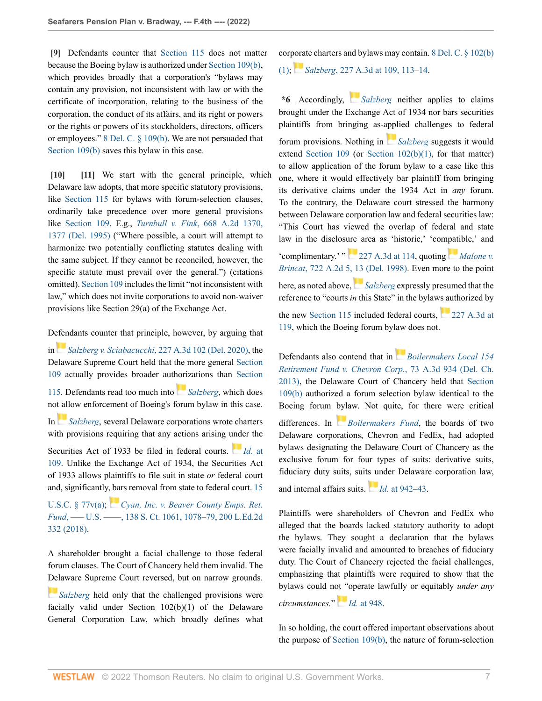<span id="page-6-0"></span>**[\[9\]](#page-1-1)** Defendants counter that [Section 115](http://www.westlaw.com/Link/Document/FullText?findType=L&pubNum=1000005&cite=DESTT8S115&originatingDoc=Ia5e00410700211ec9d07baaeba647595&refType=LQ&originationContext=document&vr=3.0&rs=cblt1.0&transitionType=DocumentItem&contextData=(sc.Keycite)) does not matter because the Boeing bylaw is authorized under [Section 109\(b\),](http://www.westlaw.com/Link/Document/FullText?findType=L&pubNum=1000005&cite=DESTT8S109&originatingDoc=Ia5e00410700211ec9d07baaeba647595&refType=SP&originationContext=document&vr=3.0&rs=cblt1.0&transitionType=DocumentItem&contextData=(sc.Keycite)#co_pp_a83b000018c76) which provides broadly that a corporation's "bylaws may contain any provision, not inconsistent with law or with the certificate of incorporation, relating to the business of the corporation, the conduct of its affairs, and its right or powers or the rights or powers of its stockholders, directors, officers or employees." [8 Del. C. § 109\(b\)](http://www.westlaw.com/Link/Document/FullText?findType=L&pubNum=1000005&cite=DESTT8S109&originatingDoc=Ia5e00410700211ec9d07baaeba647595&refType=SP&originationContext=document&vr=3.0&rs=cblt1.0&transitionType=DocumentItem&contextData=(sc.Keycite)#co_pp_a83b000018c76). We are not persuaded that [Section 109\(b\)](http://www.westlaw.com/Link/Document/FullText?findType=L&pubNum=1000005&cite=DESTT8S109&originatingDoc=Ia5e00410700211ec9d07baaeba647595&refType=SP&originationContext=document&vr=3.0&rs=cblt1.0&transitionType=DocumentItem&contextData=(sc.Keycite)#co_pp_a83b000018c76) saves this bylaw in this case.

<span id="page-6-2"></span><span id="page-6-1"></span>**[\[10\]](#page-1-5) [\[11](#page-1-6)]** We start with the general principle, which Delaware law adopts, that more specific statutory provisions, like [Section 115](http://www.westlaw.com/Link/Document/FullText?findType=L&pubNum=1000005&cite=DESTT8S115&originatingDoc=Ia5e00410700211ec9d07baaeba647595&refType=LQ&originationContext=document&vr=3.0&rs=cblt1.0&transitionType=DocumentItem&contextData=(sc.Keycite)) for bylaws with forum-selection clauses, ordinarily take precedence over more general provisions like [Section 109.](http://www.westlaw.com/Link/Document/FullText?findType=L&pubNum=1000005&cite=DESTT8S109&originatingDoc=Ia5e00410700211ec9d07baaeba647595&refType=LQ&originationContext=document&vr=3.0&rs=cblt1.0&transitionType=DocumentItem&contextData=(sc.Keycite)) E.g., *Turnbull v. Fink*[, 668 A.2d 1370,](http://www.westlaw.com/Link/Document/FullText?findType=Y&serNum=1995238256&pubNum=0000162&originatingDoc=Ia5e00410700211ec9d07baaeba647595&refType=RP&fi=co_pp_sp_162_1377&originationContext=document&vr=3.0&rs=cblt1.0&transitionType=DocumentItem&contextData=(sc.Keycite)#co_pp_sp_162_1377) [1377 \(Del. 1995\)](http://www.westlaw.com/Link/Document/FullText?findType=Y&serNum=1995238256&pubNum=0000162&originatingDoc=Ia5e00410700211ec9d07baaeba647595&refType=RP&fi=co_pp_sp_162_1377&originationContext=document&vr=3.0&rs=cblt1.0&transitionType=DocumentItem&contextData=(sc.Keycite)#co_pp_sp_162_1377) ("Where possible, a court will attempt to harmonize two potentially conflicting statutes dealing with the same subject. If they cannot be reconciled, however, the specific statute must prevail over the general.") (citations omitted). [Section 109](http://www.westlaw.com/Link/Document/FullText?findType=L&pubNum=1000005&cite=DESTT8S109&originatingDoc=Ia5e00410700211ec9d07baaeba647595&refType=LQ&originationContext=document&vr=3.0&rs=cblt1.0&transitionType=DocumentItem&contextData=(sc.Keycite)) includes the limit "not inconsistent with law," which does not invite corporations to avoid non-waiver provisions like Section 29(a) of the Exchange Act.

D[efen](https://1.next.westlaw.com/Link/RelatedInformation/Flag?documentGuid=I240b5c60693c11ea81d388262956b33a&transitionType=InlineKeyCiteFlags&originationContext=docHeaderFlag&Rank=0&ppcid=87af63fa54164b0496d5b848dd82ec18&contextData=(sc.Keycite) )dants counter that principle, however, by arguing that

in *Salzberg v. Sciabacucchi*[, 227 A.3d 102 \(Del. 2020\)](http://www.westlaw.com/Link/Document/FullText?findType=Y&serNum=2050587897&pubNum=0007691&originatingDoc=Ia5e00410700211ec9d07baaeba647595&refType=RP&originationContext=document&vr=3.0&rs=cblt1.0&transitionType=DocumentItem&contextData=(sc.Keycite)), the Delaware Supreme Court held that the more general [Section](http://www.westlaw.com/Link/Document/FullText?findType=L&pubNum=1000005&cite=DESTT8S109&originatingDoc=Ia5e00410700211ec9d07baaeba647595&refType=LQ&originationContext=document&vr=3.0&rs=cblt1.0&transitionType=DocumentItem&contextData=(sc.Keycite)) [109](http://www.westlaw.com/Link/Document/FullText?findType=L&pubNum=1000005&cite=DESTT8S109&originatingDoc=Ia5e00410700211ec9d07baaeba647595&refType=LQ&originationContext=document&vr=3.0&rs=cblt1.0&transitionType=DocumentItem&contextData=(sc.Keycite)) actually provides broader aut[hori](https://1.next.westlaw.com/Link/RelatedInformation/Flag?documentGuid=I240b5c60693c11ea81d388262956b33a&transitionType=InlineKeyCiteFlags&originationContext=docHeaderFlag&Rank=0&ppcid=87af63fa54164b0496d5b848dd82ec18&contextData=(sc.Keycite) )zations than [Section](http://www.westlaw.com/Link/Document/FullText?findType=L&pubNum=1000005&cite=DESTT8S115&originatingDoc=Ia5e00410700211ec9d07baaeba647595&refType=LQ&originationContext=document&vr=3.0&rs=cblt1.0&transitionType=DocumentItem&contextData=(sc.Keycite)) [115.](http://www.westlaw.com/Link/Document/FullText?findType=L&pubNum=1000005&cite=DESTT8S115&originatingDoc=Ia5e00410700211ec9d07baaeba647595&refType=LQ&originationContext=document&vr=3.0&rs=cblt1.0&transitionType=DocumentItem&contextData=(sc.Keycite)) Defendants read too much into *[Salzberg](http://www.westlaw.com/Link/Document/FullText?findType=Y&serNum=2050587897&pubNum=0007691&originatingDoc=Ia5e00410700211ec9d07baaeba647595&refType=RP&originationContext=document&vr=3.0&rs=cblt1.0&transitionType=DocumentItem&contextData=(sc.Keycite))*, which does no[t all](https://1.next.westlaw.com/Link/RelatedInformation/Flag?documentGuid=I240b5c60693c11ea81d388262956b33a&transitionType=InlineKeyCiteFlags&originationContext=docHeaderFlag&Rank=0&ppcid=87af63fa54164b0496d5b848dd82ec18&contextData=(sc.Keycite) )ow enforcement of Boeing's forum bylaw in this case. In *[Salzberg](http://www.westlaw.com/Link/Document/FullText?findType=Y&serNum=2050587897&pubNum=0007691&originatingDoc=Ia5e00410700211ec9d07baaeba647595&refType=RP&originationContext=document&vr=3.0&rs=cblt1.0&transitionType=DocumentItem&contextData=(sc.Keycite))*, several Delaware corporations wrote charters with provisions requiring that any actions arising [unde](https://1.next.westlaw.com/Link/RelatedInformation/Flag?documentGuid=I240b5c60693c11ea81d388262956b33a&transitionType=InlineKeyCiteFlags&originationContext=docHeaderFlag&Rank=0&ppcid=87af63fa54164b0496d5b848dd82ec18&contextData=(sc.Keycite) )r the Securities Act of 1933 be filed in federal courts. *Id.* [at](http://www.westlaw.com/Link/Document/FullText?findType=Y&serNum=2050587897&pubNum=0007691&originatingDoc=Ia5e00410700211ec9d07baaeba647595&refType=RP&fi=co_pp_sp_7691_109&originationContext=document&vr=3.0&rs=cblt1.0&transitionType=DocumentItem&contextData=(sc.Keycite)#co_pp_sp_7691_109) [109](http://www.westlaw.com/Link/Document/FullText?findType=Y&serNum=2050587897&pubNum=0007691&originatingDoc=Ia5e00410700211ec9d07baaeba647595&refType=RP&fi=co_pp_sp_7691_109&originationContext=document&vr=3.0&rs=cblt1.0&transitionType=DocumentItem&contextData=(sc.Keycite)#co_pp_sp_7691_109). Unlike the Exchange Act of 1934, the Securities Act of 1933 allows plaintiffs to file suit in state *or* federal court and, significantly[, ba](https://1.next.westlaw.com/Link/RelatedInformation/Flag?documentGuid=Ia9be3f502c3b11e8ab20b3103407982a&transitionType=InlineKeyCiteFlags&originationContext=docHeaderFlag&Rank=0&ppcid=87af63fa54164b0496d5b848dd82ec18&contextData=(sc.Keycite) )rs removal from state to federal court. [15](http://www.westlaw.com/Link/Document/FullText?findType=L&pubNum=1000546&cite=15USCAS77V&originatingDoc=Ia5e00410700211ec9d07baaeba647595&refType=RB&originationContext=document&vr=3.0&rs=cblt1.0&transitionType=DocumentItem&contextData=(sc.Keycite)#co_pp_8b3b0000958a4)

[U.S.C. § 77v\(a\);](http://www.westlaw.com/Link/Document/FullText?findType=L&pubNum=1000546&cite=15USCAS77V&originatingDoc=Ia5e00410700211ec9d07baaeba647595&refType=RB&originationContext=document&vr=3.0&rs=cblt1.0&transitionType=DocumentItem&contextData=(sc.Keycite)#co_pp_8b3b0000958a4) *[Cyan, Inc. v. Beaver County Emps. Ret.](http://www.westlaw.com/Link/Document/FullText?findType=Y&serNum=2044092153&pubNum=0000708&originatingDoc=Ia5e00410700211ec9d07baaeba647595&refType=RP&fi=co_pp_sp_708_1078&originationContext=document&vr=3.0&rs=cblt1.0&transitionType=DocumentItem&contextData=(sc.Keycite)#co_pp_sp_708_1078) Fund*, — U.S. — , 138 S. Ct. 1061, 1078-79, 200 L.Ed.2d [332 \(2018\)](http://www.westlaw.com/Link/Document/FullText?findType=Y&serNum=2044092153&pubNum=0000708&originatingDoc=Ia5e00410700211ec9d07baaeba647595&refType=RP&fi=co_pp_sp_708_1078&originationContext=document&vr=3.0&rs=cblt1.0&transitionType=DocumentItem&contextData=(sc.Keycite)#co_pp_sp_708_1078).

A shareholder brought a facial challenge to those federal forum clauses. The Court of Chancery held them invalid. The [Del](https://1.next.westlaw.com/Link/RelatedInformation/Flag?documentGuid=I240b5c60693c11ea81d388262956b33a&transitionType=InlineKeyCiteFlags&originationContext=docHeaderFlag&Rank=0&ppcid=87af63fa54164b0496d5b848dd82ec18&contextData=(sc.Keycite) )aware Supreme Court reversed, but on narrow grounds.

*[Salzberg](http://www.westlaw.com/Link/Document/FullText?findType=Y&serNum=2050587897&pubNum=0007691&originatingDoc=Ia5e00410700211ec9d07baaeba647595&refType=RP&originationContext=document&vr=3.0&rs=cblt1.0&transitionType=DocumentItem&contextData=(sc.Keycite))* held only that the challenged provisions were facially valid under Section 102(b)(1) of the Delaware General Corporation Law, which broadly defines what cor[pora](https://1.next.westlaw.com/Link/RelatedInformation/Flag?documentGuid=I240b5c60693c11ea81d388262956b33a&transitionType=InlineKeyCiteFlags&originationContext=docHeaderFlag&Rank=0&ppcid=87af63fa54164b0496d5b848dd82ec18&contextData=(sc.Keycite) )te charters and bylaws may contain. [8 Del. C. § 102\(b\)](http://www.westlaw.com/Link/Document/FullText?findType=L&pubNum=1000005&cite=DESTT8S102&originatingDoc=Ia5e00410700211ec9d07baaeba647595&refType=SP&originationContext=document&vr=3.0&rs=cblt1.0&transitionType=DocumentItem&contextData=(sc.Keycite)#co_pp_3fed000053a85) [\(1\);](http://www.westlaw.com/Link/Document/FullText?findType=L&pubNum=1000005&cite=DESTT8S102&originatingDoc=Ia5e00410700211ec9d07baaeba647595&refType=SP&originationContext=document&vr=3.0&rs=cblt1.0&transitionType=DocumentItem&contextData=(sc.Keycite)#co_pp_3fed000053a85) *Salzberg*[, 227 A.3d at 109, 113–14](http://www.westlaw.com/Link/Document/FullText?findType=Y&serNum=2050587897&pubNum=0007691&originatingDoc=Ia5e00410700211ec9d07baaeba647595&refType=RP&fi=co_pp_sp_7691_109&originationContext=document&vr=3.0&rs=cblt1.0&transitionType=DocumentItem&contextData=(sc.Keycite)#co_pp_sp_7691_109).

**\*6** Accordingly, *[Salzberg](http://www.westlaw.com/Link/Document/FullText?findType=Y&serNum=2050587897&pubNum=0007691&originatingDoc=Ia5e00410700211ec9d07baaeba647595&refType=RP&originationContext=document&vr=3.0&rs=cblt1.0&transitionType=DocumentItem&contextData=(sc.Keycite))* neither applies to claims brought under the Exchange Act of 1934 nor bars securities plaintiffs from bringing as-[appl](https://1.next.westlaw.com/Link/RelatedInformation/Flag?documentGuid=I240b5c60693c11ea81d388262956b33a&transitionType=InlineKeyCiteFlags&originationContext=docHeaderFlag&Rank=0&ppcid=87af63fa54164b0496d5b848dd82ec18&contextData=(sc.Keycite) )ied challenges to federal forum provisions. Nothing in *[Salzberg](http://www.westlaw.com/Link/Document/FullText?findType=Y&serNum=2050587897&pubNum=0007691&originatingDoc=Ia5e00410700211ec9d07baaeba647595&refType=RP&originationContext=document&vr=3.0&rs=cblt1.0&transitionType=DocumentItem&contextData=(sc.Keycite))* suggests it would extend [Section 109](http://www.westlaw.com/Link/Document/FullText?findType=L&pubNum=1000005&cite=DESTT8S109&originatingDoc=Ia5e00410700211ec9d07baaeba647595&refType=LQ&originationContext=document&vr=3.0&rs=cblt1.0&transitionType=DocumentItem&contextData=(sc.Keycite)) (or [Section 102\(b\)\(1\)](http://www.westlaw.com/Link/Document/FullText?findType=L&pubNum=1000005&cite=DESTT8S102&originatingDoc=Ia5e00410700211ec9d07baaeba647595&refType=SP&originationContext=document&vr=3.0&rs=cblt1.0&transitionType=DocumentItem&contextData=(sc.Keycite)#co_pp_3fed000053a85), for that matter) to allow application of the forum bylaw to a case like this one, where it would effectively bar plaintiff from bringing its derivative claims under the 1934 Act in *any* forum. To the contrary, the Delaware court stressed the harmony between Delaware corporation law and federal securities law: "This Court has viewed the overlap of federal and state law in the disclosure area as 'historic,' 'co[mpati](https://1.next.westlaw.com/Link/RelatedInformation/Flag?documentGuid=Idbaca639371b11d986b0aa9c82c164c0&transitionType=InlineKeyCiteFlags&originationContext=docHeaderFlag&Rank=0&ppcid=87af63fa54164b0496d5b848dd82ec18&contextData=(sc.Keycite) )ble,' and 'complimentary.' $\cdot$   $\cdot$   $\cdot$  [227 A.3d at 114,](http://www.westlaw.com/Link/Document/FullText?findType=Y&serNum=2050587897&pubNum=0007691&originatingDoc=Ia5e00410700211ec9d07baaeba647595&refType=RP&fi=co_pp_sp_7691_114&originationContext=document&vr=3.0&rs=cblt1.0&transitionType=DocumentItem&contextData=(sc.Keycite)#co_pp_sp_7691_114) quoting *[Malone v.](http://www.westlaw.com/Link/Document/FullText?findType=Y&serNum=1999028865&pubNum=0000162&originatingDoc=Ia5e00410700211ec9d07baaeba647595&refType=RP&fi=co_pp_sp_162_13&originationContext=document&vr=3.0&rs=cblt1.0&transitionType=DocumentItem&contextData=(sc.Keycite)#co_pp_sp_162_13) Brincat*[, 722 A.2d 5, 13 \(Del. 1998\).](http://www.westlaw.com/Link/Document/FullText?findType=Y&serNum=1999028865&pubNum=0000162&originatingDoc=Ia5e00410700211ec9d07baaeba647595&refType=RP&fi=co_pp_sp_162_13&originationContext=document&vr=3.0&rs=cblt1.0&transitionType=DocumentItem&contextData=(sc.Keycite)#co_pp_sp_162_13) Even more to the point here, as noted above, *[Salzberg](http://www.westlaw.com/Link/Document/FullText?findType=Y&serNum=2050587897&pubNum=0007691&originatingDoc=Ia5e00410700211ec9d07baaeba647595&refType=RP&originationContext=document&vr=3.0&rs=cblt1.0&transitionType=DocumentItem&contextData=(sc.Keycite))* expressly presumed that the reference to "courts *in* this State" in the bylaws authorized by the new [Section 115](http://www.westlaw.com/Link/Document/FullText?findType=L&pubNum=1000005&cite=DESTT8S115&originatingDoc=Ia5e00410700211ec9d07baaeba647595&refType=LQ&originationContext=document&vr=3.0&rs=cblt1.0&transitionType=DocumentItem&contextData=(sc.Keycite)) included federal courts, [227 A.3d at](http://www.westlaw.com/Link/Document/FullText?findType=Y&serNum=2050587897&pubNum=0007691&originatingDoc=Ia5e00410700211ec9d07baaeba647595&refType=RP&fi=co_pp_sp_7691_119&originationContext=document&vr=3.0&rs=cblt1.0&transitionType=DocumentItem&contextData=(sc.Keycite)#co_pp_sp_7691_119) [119,](http://www.westlaw.com/Link/Document/FullText?findType=Y&serNum=2050587897&pubNum=0007691&originatingDoc=Ia5e00410700211ec9d07baaeba647595&refType=RP&fi=co_pp_sp_7691_119&originationContext=document&vr=3.0&rs=cblt1.0&transitionType=DocumentItem&contextData=(sc.Keycite)#co_pp_sp_7691_119) which the Boeing forum bylaw does not.

Defendants also contend that in *[Boilermakers Local 154](http://www.westlaw.com/Link/Document/FullText?findType=Y&serNum=2030866726&pubNum=0007691&originatingDoc=Ia5e00410700211ec9d07baaeba647595&refType=RP&originationContext=document&vr=3.0&rs=cblt1.0&transitionType=DocumentItem&contextData=(sc.Keycite)) [Retirement Fund v. Chevron Corp.](http://www.westlaw.com/Link/Document/FullText?findType=Y&serNum=2030866726&pubNum=0007691&originatingDoc=Ia5e00410700211ec9d07baaeba647595&refType=RP&originationContext=document&vr=3.0&rs=cblt1.0&transitionType=DocumentItem&contextData=(sc.Keycite))*, 73 A.3d 934 (Del. Ch. [2013\)](http://www.westlaw.com/Link/Document/FullText?findType=Y&serNum=2030866726&pubNum=0007691&originatingDoc=Ia5e00410700211ec9d07baaeba647595&refType=RP&originationContext=document&vr=3.0&rs=cblt1.0&transitionType=DocumentItem&contextData=(sc.Keycite)), the Delaware Court of Chancery held that [Section](http://www.westlaw.com/Link/Document/FullText?findType=L&pubNum=1000005&cite=DESTT8S109&originatingDoc=Ia5e00410700211ec9d07baaeba647595&refType=SP&originationContext=document&vr=3.0&rs=cblt1.0&transitionType=DocumentItem&contextData=(sc.Keycite)#co_pp_a83b000018c76) [109\(b\)](http://www.westlaw.com/Link/Document/FullText?findType=L&pubNum=1000005&cite=DESTT8S109&originatingDoc=Ia5e00410700211ec9d07baaeba647595&refType=SP&originationContext=document&vr=3.0&rs=cblt1.0&transitionType=DocumentItem&contextData=(sc.Keycite)#co_pp_a83b000018c76) authorized a forum selection bylaw identical to the Boeing forum [byla](https://1.next.westlaw.com/Link/RelatedInformation/Flag?documentGuid=I3196de07de1011e2a98ec867961a22de&transitionType=InlineKeyCiteFlags&originationContext=docHeaderFlag&Rank=0&ppcid=87af63fa54164b0496d5b848dd82ec18&contextData=(sc.Keycite) )w. Not quite, for there were critical differences. In *[Boilermakers Fund](http://www.westlaw.com/Link/Document/FullText?findType=Y&serNum=2030866726&originatingDoc=Ia5e00410700211ec9d07baaeba647595&refType=RP&originationContext=document&vr=3.0&rs=cblt1.0&transitionType=DocumentItem&contextData=(sc.Keycite))*, the boards of two Delaware corporations, Chevron and FedEx, had adopted bylaws designating the Delaware Court of Chancery as the exclusive forum for four types of suits: derivative suits, fiduciary duty suits, suit[s un](https://1.next.westlaw.com/Link/RelatedInformation/Flag?documentGuid=I3196de07de1011e2a98ec867961a22de&transitionType=InlineKeyCiteFlags&originationContext=docHeaderFlag&Rank=0&ppcid=87af63fa54164b0496d5b848dd82ec18&contextData=(sc.Keycite) )der Delaware corporation law, and internal affairs suits. *Id.* [at 942–43.](http://www.westlaw.com/Link/Document/FullText?findType=Y&serNum=2030866726&pubNum=0007691&originatingDoc=Ia5e00410700211ec9d07baaeba647595&refType=RP&fi=co_pp_sp_7691_942&originationContext=document&vr=3.0&rs=cblt1.0&transitionType=DocumentItem&contextData=(sc.Keycite)#co_pp_sp_7691_942)

Plaintiffs were shareholders of Chevron and FedEx who alleged that the boards lacked statutory authority to adopt the bylaws. They sought a declaration that the bylaws were facially invalid and amounted to breaches of fiduciary duty. The Court of Chancery rejected the facial challenges, emphasizing that plaintiffs were required to show that the bylaws could n[ot "o](https://1.next.westlaw.com/Link/RelatedInformation/Flag?documentGuid=I3196de07de1011e2a98ec867961a22de&transitionType=InlineKeyCiteFlags&originationContext=docHeaderFlag&Rank=0&ppcid=87af63fa54164b0496d5b848dd82ec18&contextData=(sc.Keycite) )perate lawfully or equitably *under any circumstances.*" *Id.* [at 948.](http://www.westlaw.com/Link/Document/FullText?findType=Y&serNum=2030866726&pubNum=0007691&originatingDoc=Ia5e00410700211ec9d07baaeba647595&refType=RP&fi=co_pp_sp_7691_948&originationContext=document&vr=3.0&rs=cblt1.0&transitionType=DocumentItem&contextData=(sc.Keycite)#co_pp_sp_7691_948)

In so holding, the court offered important observations about the purpose of [Section 109\(b\)](http://www.westlaw.com/Link/Document/FullText?findType=L&pubNum=1000005&cite=DESTT8S109&originatingDoc=Ia5e00410700211ec9d07baaeba647595&refType=SP&originationContext=document&vr=3.0&rs=cblt1.0&transitionType=DocumentItem&contextData=(sc.Keycite)#co_pp_a83b000018c76), the nature of forum-selection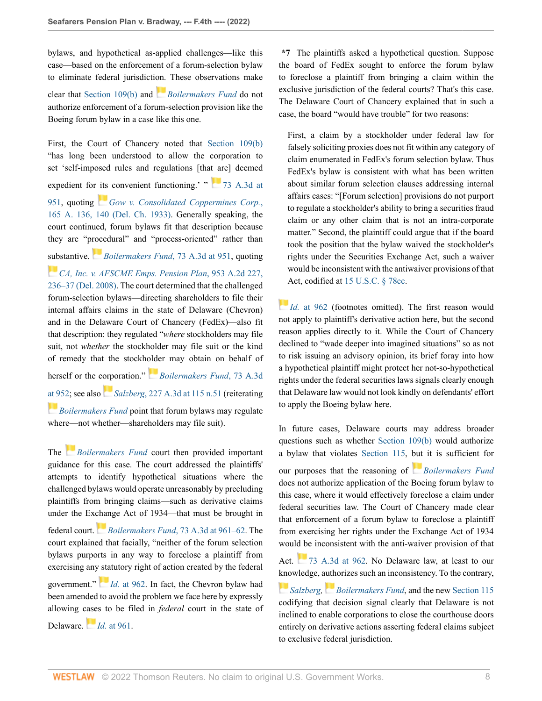bylaws, and hypothetical as-applied challenges—like this case—based on the enforcement of a forum-selection bylaw to eliminate federal jurisdicti[on.](https://1.next.westlaw.com/Link/RelatedInformation/Flag?documentGuid=I3196de07de1011e2a98ec867961a22de&transitionType=InlineKeyCiteFlags&originationContext=docHeaderFlag&Rank=0&ppcid=87af63fa54164b0496d5b848dd82ec18&contextData=(sc.Keycite) ) These observations make

clear that [Section 109\(b\)](http://www.westlaw.com/Link/Document/FullText?findType=L&pubNum=1000005&cite=DESTT8S109&originatingDoc=Ia5e00410700211ec9d07baaeba647595&refType=SP&originationContext=document&vr=3.0&rs=cblt1.0&transitionType=DocumentItem&contextData=(sc.Keycite)#co_pp_a83b000018c76) and *[Boilermakers Fund](http://www.westlaw.com/Link/Document/FullText?findType=Y&serNum=2030866726&pubNum=0007691&originatingDoc=Ia5e00410700211ec9d07baaeba647595&refType=RP&originationContext=document&vr=3.0&rs=cblt1.0&transitionType=DocumentItem&contextData=(sc.Keycite))* do not authorize enforcement of a forum-selection provision like the Boeing forum bylaw in a case like this one.

First, the Court of Chancery noted that [Section 109\(b\)](http://www.westlaw.com/Link/Document/FullText?findType=L&pubNum=1000005&cite=DESTT8S109&originatingDoc=Ia5e00410700211ec9d07baaeba647595&refType=SP&originationContext=document&vr=3.0&rs=cblt1.0&transitionType=DocumentItem&contextData=(sc.Keycite)#co_pp_a83b000018c76) "has long been understood to allow the corporation to set 'self-imposed rules and regulations [that are] deemed expedient for [its](https://1.next.westlaw.com/Link/RelatedInformation/Flag?documentGuid=I26324ea4337d11d986b0aa9c82c164c0&transitionType=InlineKeyCiteFlags&originationContext=docHeaderFlag&Rank=0&ppcid=87af63fa54164b0496d5b848dd82ec18&contextData=(sc.Keycite) ) convenient functioning.' " [73 A.3d at](http://www.westlaw.com/Link/Document/FullText?findType=Y&serNum=2030866726&pubNum=0007691&originatingDoc=Ia5e00410700211ec9d07baaeba647595&refType=RP&fi=co_pp_sp_7691_951&originationContext=document&vr=3.0&rs=cblt1.0&transitionType=DocumentItem&contextData=(sc.Keycite)#co_pp_sp_7691_951) [951](http://www.westlaw.com/Link/Document/FullText?findType=Y&serNum=2030866726&pubNum=0007691&originatingDoc=Ia5e00410700211ec9d07baaeba647595&refType=RP&fi=co_pp_sp_7691_951&originationContext=document&vr=3.0&rs=cblt1.0&transitionType=DocumentItem&contextData=(sc.Keycite)#co_pp_sp_7691_951), quoting *[Gow v. Consolidated Coppermines Corp.](http://www.westlaw.com/Link/Document/FullText?findType=Y&serNum=1933116203&pubNum=0000161&originatingDoc=Ia5e00410700211ec9d07baaeba647595&refType=RP&fi=co_pp_sp_161_140&originationContext=document&vr=3.0&rs=cblt1.0&transitionType=DocumentItem&contextData=(sc.Keycite)#co_pp_sp_161_140)*, [165 A. 136, 140 \(Del. Ch. 1933\).](http://www.westlaw.com/Link/Document/FullText?findType=Y&serNum=1933116203&pubNum=0000161&originatingDoc=Ia5e00410700211ec9d07baaeba647595&refType=RP&fi=co_pp_sp_161_140&originationContext=document&vr=3.0&rs=cblt1.0&transitionType=DocumentItem&contextData=(sc.Keycite)#co_pp_sp_161_140) Generally speaking, the court continued, forum bylaws fit that description because they are "p[roce](https://1.next.westlaw.com/Link/RelatedInformation/Flag?documentGuid=I3196de07de1011e2a98ec867961a22de&transitionType=InlineKeyCiteFlags&originationContext=docHeaderFlag&Rank=0&ppcid=87af63fa54164b0496d5b848dd82ec18&contextData=(sc.Keycite) )dural" and "process-oriented" rather than [sub](https://1.next.westlaw.com/Link/RelatedInformation/Flag?documentGuid=Iea320c9954e711ddbc7bf97f340af743&transitionType=InlineKeyCiteFlags&originationContext=docHeaderFlag&Rank=0&ppcid=87af63fa54164b0496d5b848dd82ec18&contextData=(sc.Keycite) )stantive. *[Boilermakers Fund](http://www.westlaw.com/Link/Document/FullText?findType=Y&serNum=2030866726&pubNum=0007691&originatingDoc=Ia5e00410700211ec9d07baaeba647595&refType=RP&fi=co_pp_sp_7691_951&originationContext=document&vr=3.0&rs=cblt1.0&transitionType=DocumentItem&contextData=(sc.Keycite)#co_pp_sp_7691_951)*, 73 A.3d at 951, quoting *[CA, Inc. v. AFSCME Emps. Pension Plan](http://www.westlaw.com/Link/Document/FullText?findType=Y&serNum=2016554095&pubNum=0000162&originatingDoc=Ia5e00410700211ec9d07baaeba647595&refType=RP&fi=co_pp_sp_162_236&originationContext=document&vr=3.0&rs=cblt1.0&transitionType=DocumentItem&contextData=(sc.Keycite)#co_pp_sp_162_236)*, 953 A.2d 227, [236–37 \(Del. 2008\)](http://www.westlaw.com/Link/Document/FullText?findType=Y&serNum=2016554095&pubNum=0000162&originatingDoc=Ia5e00410700211ec9d07baaeba647595&refType=RP&fi=co_pp_sp_162_236&originationContext=document&vr=3.0&rs=cblt1.0&transitionType=DocumentItem&contextData=(sc.Keycite)#co_pp_sp_162_236). The court determined that the challenged forum-selection bylaws—directing shareholders to file their internal affairs claims in the state of Delaware (Chevron) and in the Delaware Court of Chancery (FedEx)—also fit that description: they regulated "*where* stockholders may file suit, not *whether* the stockholder may file suit or the kind of remedy that the stockh[olde](https://1.next.westlaw.com/Link/RelatedInformation/Flag?documentGuid=I3196de07de1011e2a98ec867961a22de&transitionType=InlineKeyCiteFlags&originationContext=docHeaderFlag&Rank=0&ppcid=87af63fa54164b0496d5b848dd82ec18&contextData=(sc.Keycite) )r may obtain on behalf of herself or the c[orp](https://1.next.westlaw.com/Link/RelatedInformation/Flag?documentGuid=I240b5c60693c11ea81d388262956b33a&transitionType=InlineKeyCiteFlags&originationContext=docHeaderFlag&Rank=0&ppcid=87af63fa54164b0496d5b848dd82ec18&contextData=(sc.Keycite) )oration." *[Boilermakers Fund](http://www.westlaw.com/Link/Document/FullText?findType=Y&serNum=2030866726&pubNum=0007691&originatingDoc=Ia5e00410700211ec9d07baaeba647595&refType=RP&fi=co_pp_sp_7691_952&originationContext=document&vr=3.0&rs=cblt1.0&transitionType=DocumentItem&contextData=(sc.Keycite)#co_pp_sp_7691_952)*, 73 A.3d [at 952](http://www.westlaw.com/Link/Document/FullText?findType=Y&serNum=2030866726&pubNum=0007691&originatingDoc=Ia5e00410700211ec9d07baaeba647595&refType=RP&fi=co_pp_sp_7691_952&originationContext=document&vr=3.0&rs=cblt1.0&transitionType=DocumentItem&contextData=(sc.Keycite)#co_pp_sp_7691_952); see also *Salzberg*[, 227 A.3d at 115 n.51](http://www.westlaw.com/Link/Document/FullText?findType=Y&serNum=2050587897&pubNum=0007691&originatingDoc=Ia5e00410700211ec9d07baaeba647595&refType=RP&fi=co_pp_sp_7691_115&originationContext=document&vr=3.0&rs=cblt1.0&transitionType=DocumentItem&contextData=(sc.Keycite)#co_pp_sp_7691_115) (reiterating **[Boilermakers Fund](http://www.westlaw.com/Link/Document/FullText?findType=Y&serNum=2030866726&pubNum=0007691&originatingDoc=Ia5e00410700211ec9d07baaeba647595&refType=RP&originationContext=document&vr=3.0&rs=cblt1.0&transitionType=DocumentItem&contextData=(sc.Keycite)) point that forum bylaws may regulate** where—not whether—shareholders may file suit).

The *[Boilermakers Fund](http://www.westlaw.com/Link/Document/FullText?findType=Y&serNum=2030866726&pubNum=0007691&originatingDoc=Ia5e00410700211ec9d07baaeba647595&refType=RP&originationContext=document&vr=3.0&rs=cblt1.0&transitionType=DocumentItem&contextData=(sc.Keycite))* court then provided important guidance for this case. The court addressed the plaintiffs' attempts to identify hypothetical situations where the challenged bylaws would operate unreasonably by precluding plaintiffs from bringing claims—such as derivative claims under the Ex[chan](https://1.next.westlaw.com/Link/RelatedInformation/Flag?documentGuid=I3196de07de1011e2a98ec867961a22de&transitionType=InlineKeyCiteFlags&originationContext=docHeaderFlag&Rank=0&ppcid=87af63fa54164b0496d5b848dd82ec18&contextData=(sc.Keycite) )ge Act of 1934—that must be brought in federal court. *Boilermakers Fund*[, 73 A.3d at 961–62.](http://www.westlaw.com/Link/Document/FullText?findType=Y&serNum=2030866726&pubNum=0007691&originatingDoc=Ia5e00410700211ec9d07baaeba647595&refType=RP&fi=co_pp_sp_7691_961&originationContext=document&vr=3.0&rs=cblt1.0&transitionType=DocumentItem&contextData=(sc.Keycite)#co_pp_sp_7691_961) The court explained that facially, "neither of the forum selection bylaws purports in any way to foreclose a plaintiff from exercising any [sta](https://1.next.westlaw.com/Link/RelatedInformation/Flag?documentGuid=I3196de07de1011e2a98ec867961a22de&transitionType=InlineKeyCiteFlags&originationContext=docHeaderFlag&Rank=0&ppcid=87af63fa54164b0496d5b848dd82ec18&contextData=(sc.Keycite) )tutory right of action created by the federal government." *Id.* [at 962](http://www.westlaw.com/Link/Document/FullText?findType=Y&serNum=2030866726&pubNum=0007691&originatingDoc=Ia5e00410700211ec9d07baaeba647595&refType=RP&fi=co_pp_sp_7691_962&originationContext=document&vr=3.0&rs=cblt1.0&transitionType=DocumentItem&contextData=(sc.Keycite)#co_pp_sp_7691_962). In fact, the Chevron bylaw had been amended to avoid the problem we face here by expressly allowing [case](https://1.next.westlaw.com/Link/RelatedInformation/Flag?documentGuid=I3196de07de1011e2a98ec867961a22de&transitionType=InlineKeyCiteFlags&originationContext=docHeaderFlag&Rank=0&ppcid=87af63fa54164b0496d5b848dd82ec18&contextData=(sc.Keycite) )s to be filed in *federal* court in the state of

Delaware. *Id.* [at 961](http://www.westlaw.com/Link/Document/FullText?findType=Y&serNum=2030866726&pubNum=0007691&originatingDoc=Ia5e00410700211ec9d07baaeba647595&refType=RP&fi=co_pp_sp_7691_961&originationContext=document&vr=3.0&rs=cblt1.0&transitionType=DocumentItem&contextData=(sc.Keycite)#co_pp_sp_7691_961).

**\*7** The plaintiffs asked a hypothetical question. Suppose the board of FedEx sought to enforce the forum bylaw to foreclose a plaintiff from bringing a claim within the exclusive jurisdiction of the federal courts? That's this case. The Delaware Court of Chancery explained that in such a case, the board "would have trouble" for two reasons:

First, a claim by a stockholder under federal law for falsely soliciting proxies does not fit within any category of claim enumerated in FedEx's forum selection bylaw. Thus FedEx's bylaw is consistent with what has been written about similar forum selection clauses addressing internal affairs cases: "[Forum selection] provisions do not purport to regulate a stockholder's ability to bring a securities fraud claim or any other claim that is not an intra-corporate matter." Second, the plaintiff could argue that if the board took the position that the bylaw waived the stockholder's rights under the Securities Exchange Act, such a waiver would be inconsistent with the antiwaiver provisions of that Act, codified at [15 U.S.C. § 78cc.](http://www.westlaw.com/Link/Document/FullText?findType=L&pubNum=1000546&cite=15USCAS78CC&originatingDoc=Ia5e00410700211ec9d07baaeba647595&refType=LQ&originationContext=document&vr=3.0&rs=cblt1.0&transitionType=DocumentItem&contextData=(sc.Keycite))

*[I](https://1.next.westlaw.com/Link/RelatedInformation/Flag?documentGuid=I3196de07de1011e2a98ec867961a22de&transitionType=InlineKeyCiteFlags&originationContext=docHeaderFlag&Rank=0&ppcid=87af63fa54164b0496d5b848dd82ec18&contextData=(sc.Keycite) )d.* [at 962](http://www.westlaw.com/Link/Document/FullText?findType=Y&serNum=2030866726&pubNum=0007691&originatingDoc=Ia5e00410700211ec9d07baaeba647595&refType=RP&fi=co_pp_sp_7691_962&originationContext=document&vr=3.0&rs=cblt1.0&transitionType=DocumentItem&contextData=(sc.Keycite)#co_pp_sp_7691_962) (footnotes omitted). The first reason would not apply to plaintiff's derivative action here, but the second reason applies directly to it. While the Court of Chancery declined to "wade deeper into imagined situations" so as not to risk issuing an advisory opinion, its brief foray into how a hypothetical plaintiff might protect her not-so-hypothetical rights under the federal securities laws signals clearly enough that Delaware law would not look kindly on defendants' effort to apply the Boeing bylaw here.

In future cases, Delaware courts may address broader questions such as whether [Section 109\(b\)](http://www.westlaw.com/Link/Document/FullText?findType=L&pubNum=1000005&cite=DESTT8S109&originatingDoc=Ia5e00410700211ec9d07baaeba647595&refType=SP&originationContext=document&vr=3.0&rs=cblt1.0&transitionType=DocumentItem&contextData=(sc.Keycite)#co_pp_a83b000018c76) would authorize a bylaw that violates [Section 115,](http://www.westlaw.com/Link/Document/FullText?findType=L&pubNum=1000005&cite=DESTT8S115&originatingDoc=Ia5e00410700211ec9d07baaeba647595&refType=LQ&originationContext=document&vr=3.0&rs=cblt1.0&transitionType=DocumentItem&contextData=(sc.Keycite)) [but](https://1.next.westlaw.com/Link/RelatedInformation/Flag?documentGuid=I3196de07de1011e2a98ec867961a22de&transitionType=InlineKeyCiteFlags&originationContext=docHeaderFlag&Rank=0&ppcid=87af63fa54164b0496d5b848dd82ec18&contextData=(sc.Keycite) ) it is sufficient for our purposes that the reasoning of *[Boilermakers Fund](http://www.westlaw.com/Link/Document/FullText?findType=Y&serNum=2030866726&pubNum=0007691&originatingDoc=Ia5e00410700211ec9d07baaeba647595&refType=RP&originationContext=document&vr=3.0&rs=cblt1.0&transitionType=DocumentItem&contextData=(sc.Keycite))*

does not authorize application of the Boeing forum bylaw to this case, where it would effectively foreclose a claim under federal securities law. The Court of Chancery made clear that enforcement of a forum bylaw to foreclose a plaintiff from exercising her rights under the Exchange Act of 1934 would be inconsistent with the anti-waiver provision of that

Act.  $\frac{1}{2}$  [73 A.3d at 962](http://www.westlaw.com/Link/Document/FullText?findType=Y&serNum=2030866726&pubNum=0007691&originatingDoc=Ia5e00410700211ec9d07baaeba647595&refType=RP&fi=co_pp_sp_7691_962&originationContext=document&vr=3.0&rs=cblt1.0&transitionType=DocumentItem&contextData=(sc.Keycite)#co_pp_sp_7691_962). No Delaware law, at least to our [kno](https://1.next.westlaw.com/Link/RelatedInformation/Flag?documentGuid=I240b5c60693c11ea81d388262956b33a&transitionType=InlineKeyCiteFlags&originationContext=docHeaderFlag&Rank=0&ppcid=87af63fa54164b0496d5b848dd82ec18&contextData=(sc.Keycite) )wledge, authorizes such an inconsistency. To the contrary,

*[Salzberg](http://www.westlaw.com/Link/Document/FullText?findType=Y&serNum=2050587897&pubNum=0007691&originatingDoc=Ia5e00410700211ec9d07baaeba647595&refType=RP&originationContext=document&vr=3.0&rs=cblt1.0&transitionType=DocumentItem&contextData=(sc.Keycite)),[Boilermakers Fund](http://www.westlaw.com/Link/Document/FullText?findType=Y&serNum=2030866726&pubNum=0007691&originatingDoc=Ia5e00410700211ec9d07baaeba647595&refType=RP&originationContext=document&vr=3.0&rs=cblt1.0&transitionType=DocumentItem&contextData=(sc.Keycite))*, and the new [Section 115](http://www.westlaw.com/Link/Document/FullText?findType=L&pubNum=1000005&cite=DESTT8S115&originatingDoc=Ia5e00410700211ec9d07baaeba647595&refType=LQ&originationContext=document&vr=3.0&rs=cblt1.0&transitionType=DocumentItem&contextData=(sc.Keycite)) codifying that decision signal clearly that Delaware is not inclined to enable corporations to close the courthouse doors entirely on derivative actions asserting federal claims subject to exclusive federal jurisdiction.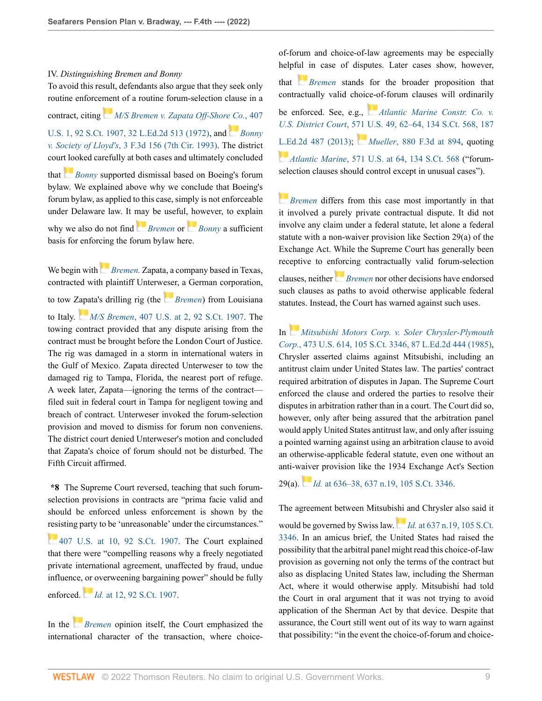#### IV. *Distinguishing Bremen and Bonny*

To avoid this result, defendants also argue that they seek only routine enforce[men](https://1.next.westlaw.com/Link/RelatedInformation/Flag?documentGuid=Id79979f2517711dca1e6fa81e64372bf&transitionType=InlineKeyCiteFlags&originationContext=docHeaderFlag&Rank=0&ppcid=87af63fa54164b0496d5b848dd82ec18&contextData=(sc.Keycite) )t of a routine forum-selection clause in a contract, citing *[M/S Bremen v. Zapata Off-Shore Co.](http://www.westlaw.com/Link/Document/FullText?findType=Y&serNum=1972127141&pubNum=0000708&originatingDoc=Ia5e00410700211ec9d07baaeba647595&refType=RP&originationContext=document&vr=3.0&rs=cblt1.0&transitionType=DocumentItem&contextData=(sc.Keycite))*, 407 [U.S. 1, 92 S.Ct. 1907, 32 L.Ed.2d 513 \(1972\),](http://www.westlaw.com/Link/Document/FullText?findType=Y&serNum=1972127141&pubNum=0000708&originatingDoc=Ia5e00410700211ec9d07baaeba647595&refType=RP&originationContext=document&vr=3.0&rs=cblt1.0&transitionType=DocumentItem&contextData=(sc.Keycite)) and *[Bonny](http://www.westlaw.com/Link/Document/FullText?findType=Y&serNum=1993156385&pubNum=0000506&originatingDoc=Ia5e00410700211ec9d07baaeba647595&refType=RP&originationContext=document&vr=3.0&rs=cblt1.0&transitionType=DocumentItem&contextData=(sc.Keycite)) v. Society of Lloyd's*[, 3 F.3d 156 \(7th Cir. 1993\)](http://www.westlaw.com/Link/Document/FullText?findType=Y&serNum=1993156385&pubNum=0000506&originatingDoc=Ia5e00410700211ec9d07baaeba647595&refType=RP&originationContext=document&vr=3.0&rs=cblt1.0&transitionType=DocumentItem&contextData=(sc.Keycite)). The district cour[t loo](https://1.next.westlaw.com/Link/RelatedInformation/Flag?documentGuid=Id7d5058796fb11d9bdd1cfdd544ca3a4&transitionType=InlineKeyCiteFlags&originationContext=docHeaderFlag&Rank=0&ppcid=87af63fa54164b0496d5b848dd82ec18&contextData=(sc.Keycite) )ked carefully at both cases and ultimately concluded that *[Bonny](http://www.westlaw.com/Link/Document/FullText?findType=Y&serNum=1993156385&pubNum=0000506&originatingDoc=Ia5e00410700211ec9d07baaeba647595&refType=RP&originationContext=document&vr=3.0&rs=cblt1.0&transitionType=DocumentItem&contextData=(sc.Keycite))* supported dismissal based on Boeing's forum

bylaw. We explained above why we conclude that Boeing's forum bylaw, as applied to this case, simply is not enforceable under Delaware law. It [may](https://1.next.westlaw.com/Link/RelatedInformation/Flag?documentGuid=Id79979f2517711dca1e6fa81e64372bf&transitionType=InlineKeyCiteFlags&originationContext=docHeaderFlag&Rank=0&ppcid=87af63fa54164b0496d5b848dd82ec18&contextData=(sc.Keycite) ) be useful[, ho](https://1.next.westlaw.com/Link/RelatedInformation/Flag?documentGuid=Id7d5058796fb11d9bdd1cfdd544ca3a4&transitionType=InlineKeyCiteFlags&originationContext=docHeaderFlag&Rank=0&ppcid=87af63fa54164b0496d5b848dd82ec18&contextData=(sc.Keycite) )wever, to explain why we also do not find *[Bremen](http://www.westlaw.com/Link/Document/FullText?findType=Y&serNum=1972127141&pubNum=0000780&originatingDoc=Ia5e00410700211ec9d07baaeba647595&refType=RP&originationContext=document&vr=3.0&rs=cblt1.0&transitionType=DocumentItem&contextData=(sc.Keycite))* or *[Bonny](http://www.westlaw.com/Link/Document/FullText?findType=Y&serNum=1993156385&pubNum=0000506&originatingDoc=Ia5e00410700211ec9d07baaeba647595&refType=RP&originationContext=document&vr=3.0&rs=cblt1.0&transitionType=DocumentItem&contextData=(sc.Keycite))* a sufficient basis for enforcing the forum bylaw here.

We begin with*[Bremen](http://www.westlaw.com/Link/Document/FullText?findType=Y&serNum=1972127141&pubNum=0000780&originatingDoc=Ia5e00410700211ec9d07baaeba647595&refType=RP&originationContext=document&vr=3.0&rs=cblt1.0&transitionType=DocumentItem&contextData=(sc.Keycite)).* Zapata, a company based in Texas, contracted with plaintiff Unterw[eser](https://1.next.westlaw.com/Link/RelatedInformation/Flag?documentGuid=Id79979f2517711dca1e6fa81e64372bf&transitionType=InlineKeyCiteFlags&originationContext=docHeaderFlag&Rank=0&ppcid=87af63fa54164b0496d5b848dd82ec18&contextData=(sc.Keycite) ), a German corporation, to tow [Zapa](https://1.next.westlaw.com/Link/RelatedInformation/Flag?documentGuid=Id79979f2517711dca1e6fa81e64372bf&transitionType=InlineKeyCiteFlags&originationContext=docHeaderFlag&Rank=0&ppcid=87af63fa54164b0496d5b848dd82ec18&contextData=(sc.Keycite) )ta's drilling rig (the *[Bremen](http://www.westlaw.com/Link/Document/FullText?findType=Y&serNum=1972127141&pubNum=0000780&originatingDoc=Ia5e00410700211ec9d07baaeba647595&refType=RP&originationContext=document&vr=3.0&rs=cblt1.0&transitionType=DocumentItem&contextData=(sc.Keycite))*) from Louisiana to Italy. *M/S Bremen*[, 407 U.S. at 2, 92 S.Ct. 1907.](http://www.westlaw.com/Link/Document/FullText?findType=Y&serNum=1972127141&pubNum=0000780&originatingDoc=Ia5e00410700211ec9d07baaeba647595&refType=RP&fi=co_pp_sp_780_2&originationContext=document&vr=3.0&rs=cblt1.0&transitionType=DocumentItem&contextData=(sc.Keycite)#co_pp_sp_780_2) The towing contract provided that any dispute arising from the contract must be brought before the London Court of Justice. The rig was damaged in a storm in international waters in the Gulf of Mexico. Zapata directed Unterweser to tow the damaged rig to Tampa, Florida, the nearest port of refuge. A week later, Zapata—ignoring the terms of the contract filed suit in federal court in Tampa for negligent towing and breach of contract. Unterweser invoked the forum-selection provision and moved to dismiss for forum non conveniens. The district court denied Unterweser's motion and concluded that Zapata's choice of forum should not be disturbed. The Fifth Circuit affirmed.

**\*8** The Supreme Court reversed, teaching that such forumselection provisions in contracts are "prima facie valid and should be enforced unless enforcement is shown by the [resi](https://1.next.westlaw.com/Link/RelatedInformation/Flag?documentGuid=Id79979f2517711dca1e6fa81e64372bf&transitionType=InlineKeyCiteFlags&originationContext=docHeaderFlag&Rank=0&ppcid=87af63fa54164b0496d5b848dd82ec18&contextData=(sc.Keycite) )sting party to be 'unreasonable' under the circumstances."

[407 U.S. at 10, 92 S.Ct. 1907](http://www.westlaw.com/Link/Document/FullText?findType=Y&serNum=1972127141&pubNum=0000780&originatingDoc=Ia5e00410700211ec9d07baaeba647595&refType=RP&fi=co_pp_sp_780_10&originationContext=document&vr=3.0&rs=cblt1.0&transitionType=DocumentItem&contextData=(sc.Keycite)#co_pp_sp_780_10). The Court explained that there were "compelling reasons why a freely negotiated private international agreement, unaffected by fraud, undue influence, [or o](https://1.next.westlaw.com/Link/RelatedInformation/Flag?documentGuid=Id79979f2517711dca1e6fa81e64372bf&transitionType=InlineKeyCiteFlags&originationContext=docHeaderFlag&Rank=0&ppcid=87af63fa54164b0496d5b848dd82ec18&contextData=(sc.Keycite) )verweening bargaining power" should be fully enforced. *Id.* [at 12, 92 S.Ct. 1907.](http://www.westlaw.com/Link/Document/FullText?findType=Y&serNum=1972127141&pubNum=0000708&originatingDoc=Ia5e00410700211ec9d07baaeba647595&refType=RP&originationContext=document&vr=3.0&rs=cblt1.0&transitionType=DocumentItem&contextData=(sc.Keycite))

In the *[Bremen](http://www.westlaw.com/Link/Document/FullText?findType=Y&serNum=1972127141&pubNum=0000780&originatingDoc=Ia5e00410700211ec9d07baaeba647595&refType=RP&originationContext=document&vr=3.0&rs=cblt1.0&transitionType=DocumentItem&contextData=(sc.Keycite))* opinion itself, the Court emphasized the international character of the transaction, where choice-

of-forum and choice-of-law agreements may be especially helpf[ul i](https://1.next.westlaw.com/Link/RelatedInformation/Flag?documentGuid=Id79979f2517711dca1e6fa81e64372bf&transitionType=InlineKeyCiteFlags&originationContext=docHeaderFlag&Rank=0&ppcid=87af63fa54164b0496d5b848dd82ec18&contextData=(sc.Keycite) )n case of disputes. Later cases show, however, that *[Bremen](http://www.westlaw.com/Link/Document/FullText?findType=Y&serNum=1972127141&pubNum=0000780&originatingDoc=Ia5e00410700211ec9d07baaeba647595&refType=RP&originationContext=document&vr=3.0&rs=cblt1.0&transitionType=DocumentItem&contextData=(sc.Keycite))* stands for the broader proposition that contractually valid choi[ce-o](https://1.next.westlaw.com/Link/RelatedInformation/Flag?documentGuid=Ia870dd0559ad11e38912df21cb42a557&transitionType=InlineKeyCiteFlags&originationContext=docHeaderFlag&Rank=0&ppcid=87af63fa54164b0496d5b848dd82ec18&contextData=(sc.Keycite) )f-forum clauses will ordinarily be enforced. See, e.g., *[Atlantic Marine Constr. Co. v.](http://www.westlaw.com/Link/Document/FullText?findType=Y&serNum=2032188004&pubNum=0000780&originatingDoc=Ia5e00410700211ec9d07baaeba647595&refType=RP&fi=co_pp_sp_780_62&originationContext=document&vr=3.0&rs=cblt1.0&transitionType=DocumentItem&contextData=(sc.Keycite)#co_pp_sp_780_62) U.S. District Court*[, 571 U.S. 49, 62–64, 134 S.Ct. 568, 187](http://www.westlaw.com/Link/Document/FullText?findType=Y&serNum=2032188004&pubNum=0000780&originatingDoc=Ia5e00410700211ec9d07baaeba647595&refType=RP&fi=co_pp_sp_780_62&originationContext=document&vr=3.0&rs=cblt1.0&transitionType=DocumentItem&contextData=(sc.Keycite)#co_pp_sp_780_62) [L.Ed.2d 487 \(2013\);](http://www.westlaw.com/Link/Document/FullText?findType=Y&serNum=2032188004&pubNum=0000780&originatingDoc=Ia5e00410700211ec9d07baaeba647595&refType=RP&fi=co_pp_sp_780_62&originationContext=document&vr=3.0&rs=cblt1.0&transitionType=DocumentItem&contextData=(sc.Keycite)#co_pp_sp_780_62) *Mueller*[, 880 F.3d at 894,](http://www.westlaw.com/Link/Document/FullText?findType=Y&serNum=2043686353&pubNum=0000506&originatingDoc=Ia5e00410700211ec9d07baaeba647595&refType=RP&fi=co_pp_sp_506_894&originationContext=document&vr=3.0&rs=cblt1.0&transitionType=DocumentItem&contextData=(sc.Keycite)#co_pp_sp_506_894) quoting *Atlantic Marine*[, 571 U.S. at 64, 134 S.Ct. 568](http://www.westlaw.com/Link/Document/FullText?findType=Y&serNum=2032188004&pubNum=0000780&originatingDoc=Ia5e00410700211ec9d07baaeba647595&refType=RP&fi=co_pp_sp_780_64&originationContext=document&vr=3.0&rs=cblt1.0&transitionType=DocumentItem&contextData=(sc.Keycite)#co_pp_sp_780_64) ("forumselection clauses should control except in unusual cases").

*[Bremen](http://www.westlaw.com/Link/Document/FullText?findType=Y&serNum=1972127141&pubNum=0000780&originatingDoc=Ia5e00410700211ec9d07baaeba647595&refType=RP&originationContext=document&vr=3.0&rs=cblt1.0&transitionType=DocumentItem&contextData=(sc.Keycite))* differs from this case most importantly in that it involved a purely private contractual dispute. It did not involve any claim under a federal statute, let alone a federal statute with a non-waiver provision like Section 29(a) of the Exchange Act. While the Supreme Court has generally been receptive to e[nforc](https://1.next.westlaw.com/Link/RelatedInformation/Flag?documentGuid=Id79979f2517711dca1e6fa81e64372bf&transitionType=InlineKeyCiteFlags&originationContext=docHeaderFlag&Rank=0&ppcid=87af63fa54164b0496d5b848dd82ec18&contextData=(sc.Keycite) )ing contractually valid forum-selection clauses, neither *[Bremen](http://www.westlaw.com/Link/Document/FullText?findType=Y&serNum=1972127141&pubNum=0000780&originatingDoc=Ia5e00410700211ec9d07baaeba647595&refType=RP&originationContext=document&vr=3.0&rs=cblt1.0&transitionType=DocumentItem&contextData=(sc.Keycite))* nor other decisions have endorsed such clauses as paths to avoid otherwise applicable federal statutes. Instead, the Court has warned against such uses.

In *[Mitsubishi Motors Corp. v. Soler Chrysler-Plymouth](http://www.westlaw.com/Link/Document/FullText?findType=Y&serNum=1985133734&pubNum=0000708&originatingDoc=Ia5e00410700211ec9d07baaeba647595&refType=RP&originationContext=document&vr=3.0&rs=cblt1.0&transitionType=DocumentItem&contextData=(sc.Keycite)) Corp.*[, 473 U.S. 614, 105 S.Ct. 3346, 87 L.Ed.2d 444 \(1985\),](http://www.westlaw.com/Link/Document/FullText?findType=Y&serNum=1985133734&pubNum=0000708&originatingDoc=Ia5e00410700211ec9d07baaeba647595&refType=RP&originationContext=document&vr=3.0&rs=cblt1.0&transitionType=DocumentItem&contextData=(sc.Keycite)) Chrysler asserted claims against Mitsubishi, including an antitrust claim under United States law. The parties' contract required arbitration of disputes in Japan. The Supreme Court enforced the clause and ordered the parties to resolve their disputes in arbitration rather than in a court. The Court did so, however, only after being assured that the arbitration panel would apply United States antitrust law, and only after issuing a pointed warning against using an arbitration clause to avoid an otherwise-applicable federal statute, even one without an anti-w[aive](https://1.next.westlaw.com/Link/RelatedInformation/Flag?documentGuid=Ic1d899969c1e11d991d0cc6b54f12d4d&transitionType=InlineKeyCiteFlags&originationContext=docHeaderFlag&Rank=0&ppcid=87af63fa54164b0496d5b848dd82ec18&contextData=(sc.Keycite) )r provision like the 1934 Exchange Act's Section

29(a). *Id.* [at 636–38, 637 n.19, 105 S.Ct. 3346.](http://www.westlaw.com/Link/Document/FullText?findType=Y&serNum=1985133734&pubNum=0000708&originatingDoc=Ia5e00410700211ec9d07baaeba647595&refType=RP&originationContext=document&vr=3.0&rs=cblt1.0&transitionType=DocumentItem&contextData=(sc.Keycite))

The agreement between Mitsubi[shi a](https://1.next.westlaw.com/Link/RelatedInformation/Flag?documentGuid=Ic1d899969c1e11d991d0cc6b54f12d4d&transitionType=InlineKeyCiteFlags&originationContext=docHeaderFlag&Rank=0&ppcid=87af63fa54164b0496d5b848dd82ec18&contextData=(sc.Keycite) )nd Chrysler also said it

would be governed by Swiss law. *Id.* [at 637 n.19, 105 S.Ct.](http://www.westlaw.com/Link/Document/FullText?findType=Y&serNum=1985133734&pubNum=0000708&originatingDoc=Ia5e00410700211ec9d07baaeba647595&refType=RP&originationContext=document&vr=3.0&rs=cblt1.0&transitionType=DocumentItem&contextData=(sc.Keycite)) [3346](http://www.westlaw.com/Link/Document/FullText?findType=Y&serNum=1985133734&pubNum=0000708&originatingDoc=Ia5e00410700211ec9d07baaeba647595&refType=RP&originationContext=document&vr=3.0&rs=cblt1.0&transitionType=DocumentItem&contextData=(sc.Keycite)). In an amicus brief, the United States had raised the possibility that the arbitral panel might read this choice-of-law provision as governing not only the terms of the contract but also as displacing United States law, including the Sherman Act, where it would otherwise apply. Mitsubishi had told the Court in oral argument that it was not trying to avoid application of the Sherman Act by that device. Despite that assurance, the Court still went out of its way to warn against that possibility: "in the event the choice-of-forum and choice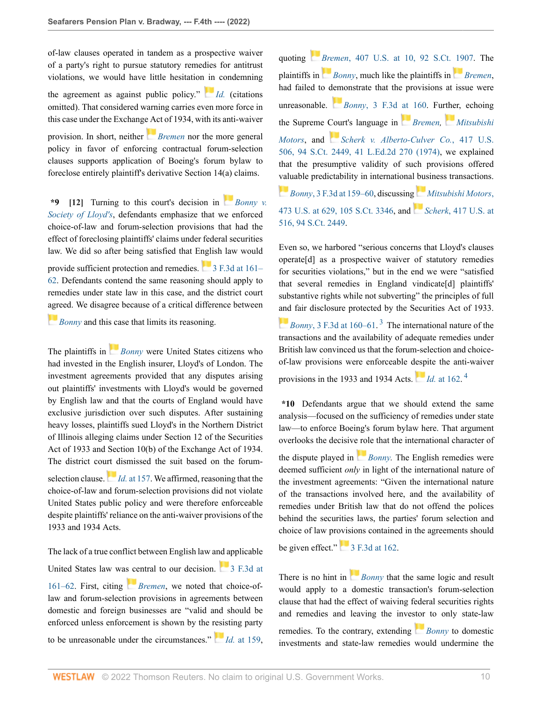of-law clauses operated in tandem as a prospective waiver of a party's right to pursue statutory remedies for antitrust violations, we would have little hesitation [in](https://1.next.westlaw.com/Link/RelatedInformation/Flag?documentGuid=Ic1d899969c1e11d991d0cc6b54f12d4d&transitionType=InlineKeyCiteFlags&originationContext=docHeaderFlag&Rank=0&ppcid=87af63fa54164b0496d5b848dd82ec18&contextData=(sc.Keycite) ) condemning the agreement as against public policy." *[Id.](http://www.westlaw.com/Link/Document/FullText?findType=Y&serNum=1985133734&pubNum=0000780&originatingDoc=Ia5e00410700211ec9d07baaeba647595&refType=RP&originationContext=document&vr=3.0&rs=cblt1.0&transitionType=DocumentItem&contextData=(sc.Keycite))* (citations omitted). That considered warning carries even more force in this case under the Exchang[e Ac](https://1.next.westlaw.com/Link/RelatedInformation/Flag?documentGuid=Id79979f2517711dca1e6fa81e64372bf&transitionType=InlineKeyCiteFlags&originationContext=docHeaderFlag&Rank=0&ppcid=87af63fa54164b0496d5b848dd82ec18&contextData=(sc.Keycite) )t of 1934, with its anti-waiver provision. In short, neither *[Bremen](http://www.westlaw.com/Link/Document/FullText?findType=Y&serNum=1972127141&pubNum=0000780&originatingDoc=Ia5e00410700211ec9d07baaeba647595&refType=RP&originationContext=document&vr=3.0&rs=cblt1.0&transitionType=DocumentItem&contextData=(sc.Keycite))* nor the more general policy in favor of enforcing contractual forum-selection clauses supports application of Boeing's forum bylaw to foreclose entirely plaintiff's derivative Section 14(a) claims.

<span id="page-9-0"></span>**\*9 [\[12](#page-2-0)]** Turning to this court's decision in *[Bonny v.](http://www.westlaw.com/Link/Document/FullText?findType=Y&serNum=1993156385&pubNum=0000506&originatingDoc=Ia5e00410700211ec9d07baaeba647595&refType=RP&originationContext=document&vr=3.0&rs=cblt1.0&transitionType=DocumentItem&contextData=(sc.Keycite)) [Society of Lloyd's](http://www.westlaw.com/Link/Document/FullText?findType=Y&serNum=1993156385&pubNum=0000506&originatingDoc=Ia5e00410700211ec9d07baaeba647595&refType=RP&originationContext=document&vr=3.0&rs=cblt1.0&transitionType=DocumentItem&contextData=(sc.Keycite))*, defendants emphasize that we enforced choice-of-law and forum-selection provisions that had the effect of foreclosing plaintiffs' claims under federal securities law. We did so after being satisfied that English law would provide sufficient protection and remedies. [3 F.3d at 161–](http://www.westlaw.com/Link/Document/FullText?findType=Y&serNum=1993156385&pubNum=0000506&originatingDoc=Ia5e00410700211ec9d07baaeba647595&refType=RP&fi=co_pp_sp_506_161&originationContext=document&vr=3.0&rs=cblt1.0&transitionType=DocumentItem&contextData=(sc.Keycite)#co_pp_sp_506_161) [62](http://www.westlaw.com/Link/Document/FullText?findType=Y&serNum=1993156385&pubNum=0000506&originatingDoc=Ia5e00410700211ec9d07baaeba647595&refType=RP&fi=co_pp_sp_506_161&originationContext=document&vr=3.0&rs=cblt1.0&transitionType=DocumentItem&contextData=(sc.Keycite)#co_pp_sp_506_161). Defendants contend the same reasoning should apply to remedies under state law in this case, and the district court [agre](https://1.next.westlaw.com/Link/RelatedInformation/Flag?documentGuid=Id7d5058796fb11d9bdd1cfdd544ca3a4&transitionType=InlineKeyCiteFlags&originationContext=docHeaderFlag&Rank=0&ppcid=87af63fa54164b0496d5b848dd82ec18&contextData=(sc.Keycite) )ed. We disagree because of a critical difference between

*[Bonny](http://www.westlaw.com/Link/Document/FullText?findType=Y&serNum=1993156385&pubNum=0000506&originatingDoc=Ia5e00410700211ec9d07baaeba647595&refType=RP&originationContext=document&vr=3.0&rs=cblt1.0&transitionType=DocumentItem&contextData=(sc.Keycite))* and this case that limits its reasoning.

The plaintiffs in **[Bonny](http://www.westlaw.com/Link/Document/FullText?findType=Y&serNum=1993156385&pubNum=0000506&originatingDoc=Ia5e00410700211ec9d07baaeba647595&refType=RP&originationContext=document&vr=3.0&rs=cblt1.0&transitionType=DocumentItem&contextData=(sc.Keycite))** were United States citizens who had invested in the English insurer, Lloyd's of London. The investment agreements provided that any disputes arising out plaintiffs' investments with Lloyd's would be governed by English law and that the courts of England would have exclusive jurisdiction over such disputes. After sustaining heavy losses, plaintiffs sued Lloyd's in the Northern District of Illinois alleging claims under Section 12 of the Securities Act of 1933 and Section 10(b) of the Exchange Act of 1934. The district court dismissed the suit based on the forumselectionclause. *Id.* [at 157.](http://www.westlaw.com/Link/Document/FullText?findType=Y&serNum=1993156385&pubNum=0000506&originatingDoc=Ia5e00410700211ec9d07baaeba647595&refType=RP&fi=co_pp_sp_506_157&originationContext=document&vr=3.0&rs=cblt1.0&transitionType=DocumentItem&contextData=(sc.Keycite)#co_pp_sp_506_157) We affirmed, reasoning that the choice-of-law and forum-selection provisions did not violate United States public policy and were therefore enforceable despite plaintiffs' reliance on the anti-waiver provisions of the 1933 and 1934 Acts.

The lack of a true conflict between English law and applicable United States law wa[s ce](https://1.next.westlaw.com/Link/RelatedInformation/Flag?documentGuid=Id79979f2517711dca1e6fa81e64372bf&transitionType=InlineKeyCiteFlags&originationContext=docHeaderFlag&Rank=0&ppcid=87af63fa54164b0496d5b848dd82ec18&contextData=(sc.Keycite) )ntral to our decision.  $\Box$  [3 F.3d at](http://www.westlaw.com/Link/Document/FullText?findType=Y&serNum=1993156385&pubNum=0000506&originatingDoc=Ia5e00410700211ec9d07baaeba647595&refType=RP&fi=co_pp_sp_506_161&originationContext=document&vr=3.0&rs=cblt1.0&transitionType=DocumentItem&contextData=(sc.Keycite)#co_pp_sp_506_161) [161–62](http://www.westlaw.com/Link/Document/FullText?findType=Y&serNum=1993156385&pubNum=0000506&originatingDoc=Ia5e00410700211ec9d07baaeba647595&refType=RP&fi=co_pp_sp_506_161&originationContext=document&vr=3.0&rs=cblt1.0&transitionType=DocumentItem&contextData=(sc.Keycite)#co_pp_sp_506_161). First, citing *[Bremen](http://www.westlaw.com/Link/Document/FullText?findType=Y&serNum=1972127141&pubNum=0000780&originatingDoc=Ia5e00410700211ec9d07baaeba647595&refType=RP&originationContext=document&vr=3.0&rs=cblt1.0&transitionType=DocumentItem&contextData=(sc.Keycite))*, we noted that choice-oflaw and forum-selection provisions in agreements between domestic and foreign businesses are "valid and should be enforced unless enforcement is shown by the [resis](https://1.next.westlaw.com/Link/RelatedInformation/Flag?documentGuid=Id7d5058796fb11d9bdd1cfdd544ca3a4&transitionType=InlineKeyCiteFlags&originationContext=docHeaderFlag&Rank=0&ppcid=87af63fa54164b0496d5b848dd82ec18&contextData=(sc.Keycite) )ting party to be unreasonable under the circumstances." *Id.* [at 159](http://www.westlaw.com/Link/Document/FullText?findType=Y&serNum=1993156385&pubNum=0000506&originatingDoc=Ia5e00410700211ec9d07baaeba647595&refType=RP&fi=co_pp_sp_506_159&originationContext=document&vr=3.0&rs=cblt1.0&transitionType=DocumentItem&contextData=(sc.Keycite)#co_pp_sp_506_159), quoting *[Bre](https://1.next.westlaw.com/Link/RelatedInformation/Flag?documentGuid=Id7d5058796fb11d9bdd1cfdd544ca3a4&transitionType=InlineKeyCiteFlags&originationContext=docHeaderFlag&Rank=0&ppcid=87af63fa54164b0496d5b848dd82ec18&contextData=(sc.Keycite) )men*[, 407 U.S. at 10, 92 S.Ct. 1907.](http://www.westlaw.com/Link/Document/FullText?findType=Y&serNum=1972127141&pubNum=0000780&originatingDoc=Ia5e00410700211ec9d07baaeba647595&refType=RP&fi=co_pp_sp_780_10&originationContext=document&vr=3.0&rs=cblt1.0&transitionType=DocumentItem&contextData=(sc.Keycite)#co_pp_sp_780_10) The plaintiffs in *[Bonny](http://www.westlaw.com/Link/Document/FullText?findType=Y&serNum=1993156385&pubNum=0000506&originatingDoc=Ia5e00410700211ec9d07baaeba647595&refType=RP&originationContext=document&vr=3.0&rs=cblt1.0&transitionType=DocumentItem&contextData=(sc.Keycite))*, much like the plaintiffs in *[Bremen](http://www.westlaw.com/Link/Document/FullText?findType=Y&serNum=1972127141&pubNum=0000780&originatingDoc=Ia5e00410700211ec9d07baaeba647595&refType=RP&originationContext=document&vr=3.0&rs=cblt1.0&transitionType=DocumentItem&contextData=(sc.Keycite))*, had failed to [dem](https://1.next.westlaw.com/Link/RelatedInformation/Flag?documentGuid=Id7d5058796fb11d9bdd1cfdd544ca3a4&transitionType=InlineKeyCiteFlags&originationContext=docHeaderFlag&Rank=0&ppcid=87af63fa54164b0496d5b848dd82ec18&contextData=(sc.Keycite) )onstrate that the provisions at issue were unreasonable. *Bonny*[, 3 F.3d at 160.](http://www.westlaw.com/Link/Document/FullText?findType=Y&serNum=1993156385&pubNum=0000506&originatingDoc=Ia5e00410700211ec9d07baaeba647595&refType=RP&fi=co_pp_sp_506_160&originationContext=document&vr=3.0&rs=cblt1.0&transitionType=DocumentItem&contextData=(sc.Keycite)#co_pp_sp_506_160) Further, echoing the Supreme [Cou](https://1.next.westlaw.com/Link/RelatedInformation/Flag?documentGuid=I222b9c4f9bf011d993e6d35cc61aab4a&transitionType=InlineKeyCiteFlags&originationContext=docHeaderFlag&Rank=0&ppcid=87af63fa54164b0496d5b848dd82ec18&contextData=(sc.Keycite) )rt's language in *[Bremen,](http://www.westlaw.com/Link/Document/FullText?findType=Y&serNum=1972127141&pubNum=0000780&originatingDoc=Ia5e00410700211ec9d07baaeba647595&refType=RP&originationContext=document&vr=3.0&rs=cblt1.0&transitionType=DocumentItem&contextData=(sc.Keycite)) [Mitsubishi](http://www.westlaw.com/Link/Document/FullText?findType=Y&serNum=1985133734&pubNum=0000780&originatingDoc=Ia5e00410700211ec9d07baaeba647595&refType=RP&originationContext=document&vr=3.0&rs=cblt1.0&transitionType=DocumentItem&contextData=(sc.Keycite)) [Motors](http://www.westlaw.com/Link/Document/FullText?findType=Y&serNum=1985133734&pubNum=0000780&originatingDoc=Ia5e00410700211ec9d07baaeba647595&refType=RP&originationContext=document&vr=3.0&rs=cblt1.0&transitionType=DocumentItem&contextData=(sc.Keycite))*, and *[Scherk v. Alberto-Culver Co.](http://www.westlaw.com/Link/Document/FullText?findType=Y&serNum=1974127217&pubNum=0000708&originatingDoc=Ia5e00410700211ec9d07baaeba647595&refType=RP&originationContext=document&vr=3.0&rs=cblt1.0&transitionType=DocumentItem&contextData=(sc.Keycite))*, 417 U.S. [506, 94 S.Ct. 2449, 41 L.Ed.2d 270 \(1974\),](http://www.westlaw.com/Link/Document/FullText?findType=Y&serNum=1974127217&pubNum=0000708&originatingDoc=Ia5e00410700211ec9d07baaeba647595&refType=RP&originationContext=document&vr=3.0&rs=cblt1.0&transitionType=DocumentItem&contextData=(sc.Keycite)) we explained that the presumptive validity of such provisions offered [valu](https://1.next.westlaw.com/Link/RelatedInformation/Flag?documentGuid=Id7d5058796fb11d9bdd1cfdd544ca3a4&transitionType=InlineKeyCiteFlags&originationContext=docHeaderFlag&Rank=0&ppcid=87af63fa54164b0496d5b848dd82ec18&contextData=(sc.Keycite) )able predictability in international [bus](https://1.next.westlaw.com/Link/RelatedInformation/Flag?documentGuid=Ic1d899969c1e11d991d0cc6b54f12d4d&transitionType=InlineKeyCiteFlags&originationContext=docHeaderFlag&Rank=0&ppcid=87af63fa54164b0496d5b848dd82ec18&contextData=(sc.Keycite) )iness transactions. *Bonny*[, 3 F.3d at 159–60](http://www.westlaw.com/Link/Document/FullText?findType=Y&serNum=1993156385&pubNum=0000506&originatingDoc=Ia5e00410700211ec9d07baaeba647595&refType=RP&fi=co_pp_sp_506_159&originationContext=document&vr=3.0&rs=cblt1.0&transitionType=DocumentItem&contextData=(sc.Keycite)#co_pp_sp_506_159), discussin[g](https://1.next.westlaw.com/Link/RelatedInformation/Flag?documentGuid=I222b9c4f9bf011d993e6d35cc61aab4a&transitionType=InlineKeyCiteFlags&originationContext=docHeaderFlag&Rank=0&ppcid=87af63fa54164b0496d5b848dd82ec18&contextData=(sc.Keycite) ) *[Mitsubishi Motors](http://www.westlaw.com/Link/Document/FullText?findType=Y&serNum=1985133734&pubNum=0000780&originatingDoc=Ia5e00410700211ec9d07baaeba647595&refType=RP&fi=co_pp_sp_780_629&originationContext=document&vr=3.0&rs=cblt1.0&transitionType=DocumentItem&contextData=(sc.Keycite)#co_pp_sp_780_629)*, [473 U.S. at 629, 105 S.Ct. 3346](http://www.westlaw.com/Link/Document/FullText?findType=Y&serNum=1985133734&pubNum=0000780&originatingDoc=Ia5e00410700211ec9d07baaeba647595&refType=RP&fi=co_pp_sp_780_629&originationContext=document&vr=3.0&rs=cblt1.0&transitionType=DocumentItem&contextData=(sc.Keycite)#co_pp_sp_780_629), and *Scherk*[, 417 U.S. at](http://www.westlaw.com/Link/Document/FullText?findType=Y&serNum=1974127217&pubNum=0000780&originatingDoc=Ia5e00410700211ec9d07baaeba647595&refType=RP&fi=co_pp_sp_780_516&originationContext=document&vr=3.0&rs=cblt1.0&transitionType=DocumentItem&contextData=(sc.Keycite)#co_pp_sp_780_516) [516, 94 S.Ct. 2449.](http://www.westlaw.com/Link/Document/FullText?findType=Y&serNum=1974127217&pubNum=0000780&originatingDoc=Ia5e00410700211ec9d07baaeba647595&refType=RP&fi=co_pp_sp_780_516&originationContext=document&vr=3.0&rs=cblt1.0&transitionType=DocumentItem&contextData=(sc.Keycite)#co_pp_sp_780_516)

Even so, we harbored "serious concerns that Lloyd's clauses operate[d] as a prospective waiver of statutory remedies for securities violations," but in the end we were "satisfied that several remedies in England vindicate[d] plaintiffs' substantive rights while not subverting" the principles of full [and](https://1.next.westlaw.com/Link/RelatedInformation/Flag?documentGuid=Id7d5058796fb11d9bdd1cfdd544ca3a4&transitionType=InlineKeyCiteFlags&originationContext=docHeaderFlag&Rank=0&ppcid=87af63fa54164b0496d5b848dd82ec18&contextData=(sc.Keycite) ) fair disclosure protected by the Securities Act of 1933.

<span id="page-9-1"></span>*Bonny*[, 3 F.3d at 160–61.](http://www.westlaw.com/Link/Document/FullText?findType=Y&serNum=1993156385&pubNum=0000506&originatingDoc=Ia5e00410700211ec9d07baaeba647595&refType=RP&fi=co_pp_sp_506_160&originationContext=document&vr=3.0&rs=cblt1.0&transitionType=DocumentItem&contextData=(sc.Keycite)#co_pp_sp_506_160) [3](#page-14-1) The international nature of the transactions and the availability of adequate remedies under British law convinced us that the forum-selection and choiceof-law provisions were enforceable [desp](https://1.next.westlaw.com/Link/RelatedInformation/Flag?documentGuid=Id7d5058796fb11d9bdd1cfdd544ca3a4&transitionType=InlineKeyCiteFlags&originationContext=docHeaderFlag&Rank=0&ppcid=87af63fa54164b0496d5b848dd82ec18&contextData=(sc.Keycite) )ite the anti-waiver provisions in the 1933 and 193[4](#page-14-2) Acts.  $Id$ . [at 162](http://www.westlaw.com/Link/Document/FullText?findType=Y&serNum=1993156385&pubNum=0000506&originatingDoc=Ia5e00410700211ec9d07baaeba647595&refType=RP&fi=co_pp_sp_506_162&originationContext=document&vr=3.0&rs=cblt1.0&transitionType=DocumentItem&contextData=(sc.Keycite)#co_pp_sp_506_162).<sup>4</sup>

<span id="page-9-2"></span>**\*10** Defendants argue that we should extend the same analysis—focused on the sufficiency of remedies under state law—to enforce Boeing's forum bylaw here. That argument overlooks the decisiv[e rol](https://1.next.westlaw.com/Link/RelatedInformation/Flag?documentGuid=Id7d5058796fb11d9bdd1cfdd544ca3a4&transitionType=InlineKeyCiteFlags&originationContext=docHeaderFlag&Rank=0&ppcid=87af63fa54164b0496d5b848dd82ec18&contextData=(sc.Keycite) )e that the international character of the dispute played in *[Bonny](http://www.westlaw.com/Link/Document/FullText?findType=Y&serNum=1993156385&pubNum=0000506&originatingDoc=Ia5e00410700211ec9d07baaeba647595&refType=RP&originationContext=document&vr=3.0&rs=cblt1.0&transitionType=DocumentItem&contextData=(sc.Keycite)).* The English remedies were deemed sufficient *only* in light of the international nature of the investment agreements: "Given the international nature of the transactions involved here, and the availability of remedies under British law that do not offend the polices behind the securities laws, the parties' forum selection and choice of law provisions contained in the agreements should

be given effect." $\overline{3}$  F.3d at 162.

There is no hint in *[Bonny](http://www.westlaw.com/Link/Document/FullText?findType=Y&serNum=1993156385&pubNum=0000506&originatingDoc=Ia5e00410700211ec9d07baaeba647595&refType=RP&originationContext=document&vr=3.0&rs=cblt1.0&transitionType=DocumentItem&contextData=(sc.Keycite))* that the same logic and result would apply to a domestic transaction's forum-selection clause that had the effect of waiving federal securities rights and remedies and leaving the inve[stor](https://1.next.westlaw.com/Link/RelatedInformation/Flag?documentGuid=Id7d5058796fb11d9bdd1cfdd544ca3a4&transitionType=InlineKeyCiteFlags&originationContext=docHeaderFlag&Rank=0&ppcid=87af63fa54164b0496d5b848dd82ec18&contextData=(sc.Keycite) ) to only state-law remedies. To the contrary, extending *[Bonny](http://www.westlaw.com/Link/Document/FullText?findType=Y&serNum=1993156385&pubNum=0000506&originatingDoc=Ia5e00410700211ec9d07baaeba647595&refType=RP&originationContext=document&vr=3.0&rs=cblt1.0&transitionType=DocumentItem&contextData=(sc.Keycite))* to domestic investments and state-law remedies would undermine the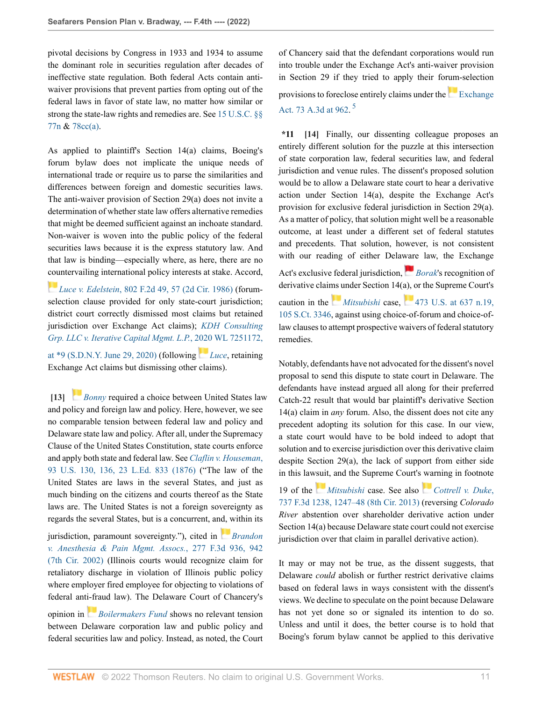pivotal decisions by Congress in 1933 and 1934 to assume the dominant role in securities regulation after decades of ineffective state regulation. Both federal Acts contain antiwaiver provisions that prevent parties from opting out of the federal laws in favor of state law, no matter how similar or strong the state-law rights and remedies are. See [15 U.S.C. §§](http://www.westlaw.com/Link/Document/FullText?findType=L&pubNum=1000546&cite=15USCAS77N&originatingDoc=Ia5e00410700211ec9d07baaeba647595&refType=LQ&originationContext=document&vr=3.0&rs=cblt1.0&transitionType=DocumentItem&contextData=(sc.Keycite)) [77n](http://www.westlaw.com/Link/Document/FullText?findType=L&pubNum=1000546&cite=15USCAS77N&originatingDoc=Ia5e00410700211ec9d07baaeba647595&refType=LQ&originationContext=document&vr=3.0&rs=cblt1.0&transitionType=DocumentItem&contextData=(sc.Keycite)) & [78cc\(a\).](http://www.westlaw.com/Link/Document/FullText?findType=L&pubNum=1000546&cite=15USCAS78CC&originatingDoc=Ia5e00410700211ec9d07baaeba647595&refType=RB&originationContext=document&vr=3.0&rs=cblt1.0&transitionType=DocumentItem&contextData=(sc.Keycite)#co_pp_8b3b0000958a4)

As applied to plaintiff's Section 14(a) claims, Boeing's forum bylaw does not implicate the unique needs of international trade or require us to parse the similarities and differences between foreign and domestic securities laws. The anti-waiver provision of Section 29(a) does not invite a determination of whether state law offers alternative remedies that might be deemed sufficient against an inchoate standard. Non-waiver is woven into the public policy of the federal securities laws because it is the express statutory law. And that law is binding—especially where, as here, there are no [cou](https://1.next.westlaw.com/Link/RelatedInformation/Flag?documentGuid=Ib0ca284994cf11d9a707f4371c9c34f0&transitionType=InlineKeyCiteFlags&originationContext=docHeaderFlag&Rank=0&ppcid=87af63fa54164b0496d5b848dd82ec18&contextData=(sc.Keycite) )ntervailing international policy interests at stake. Accord,

*Luce v. Edelstein*[, 802 F.2d 49, 57 \(2d Cir. 1986\)](http://www.westlaw.com/Link/Document/FullText?findType=Y&serNum=1986148601&pubNum=0000350&originatingDoc=Ia5e00410700211ec9d07baaeba647595&refType=RP&fi=co_pp_sp_350_57&originationContext=document&vr=3.0&rs=cblt1.0&transitionType=DocumentItem&contextData=(sc.Keycite)#co_pp_sp_350_57) (forumselection clause provided for only state-court jurisdiction; district court correctly dismissed most claims but retained jurisdiction over Exchange Act claims); *[KDH Consulting](http://www.westlaw.com/Link/Document/FullText?findType=Y&serNum=2052547282&pubNum=0000999&originatingDoc=Ia5e00410700211ec9d07baaeba647595&refType=RP&fi=co_pp_sp_999_9&originationContext=document&vr=3.0&rs=cblt1.0&transitionType=DocumentItem&contextData=(sc.Keycite)#co_pp_sp_999_9) [Grp. LLC v. Iterative Capital Mgmt. L.P.](http://www.westlaw.com/Link/Document/FullText?findType=Y&serNum=2052547282&pubNum=0000999&originatingDoc=Ia5e00410700211ec9d07baaeba647595&refType=RP&fi=co_pp_sp_999_9&originationContext=document&vr=3.0&rs=cblt1.0&transitionType=DocumentItem&contextData=(sc.Keycite)#co_pp_sp_999_9)*, [2020](https://1.next.westlaw.com/Link/RelatedInformation/Flag?documentGuid=Ib0ca284994cf11d9a707f4371c9c34f0&transitionType=InlineKeyCiteFlags&originationContext=docHeaderFlag&Rank=0&ppcid=87af63fa54164b0496d5b848dd82ec18&contextData=(sc.Keycite) ) WL 7251172, [at \\*9 \(S.D.N.Y. June 29, 2020\)](http://www.westlaw.com/Link/Document/FullText?findType=Y&serNum=2052547282&pubNum=0000999&originatingDoc=Ia5e00410700211ec9d07baaeba647595&refType=RP&fi=co_pp_sp_999_9&originationContext=document&vr=3.0&rs=cblt1.0&transitionType=DocumentItem&contextData=(sc.Keycite)#co_pp_sp_999_9) (following *[Luce](http://www.westlaw.com/Link/Document/FullText?findType=Y&serNum=1986148601&pubNum=0000350&originatingDoc=Ia5e00410700211ec9d07baaeba647595&refType=RP&originationContext=document&vr=3.0&rs=cblt1.0&transitionType=DocumentItem&contextData=(sc.Keycite))*, retaining Exchange Act claims but dismissing other claims).

<span id="page-10-0"></span>**[\[13\]](#page-2-2)** *[Bonny](http://www.westlaw.com/Link/Document/FullText?findType=Y&serNum=1993156385&pubNum=0000506&originatingDoc=Ia5e00410700211ec9d07baaeba647595&refType=RP&originationContext=document&vr=3.0&rs=cblt1.0&transitionType=DocumentItem&contextData=(sc.Keycite))* required a choice between United States law and policy and foreign law and policy. Here, however, we see no comparable tension between federal law and policy and Delaware state law and policy. After all, under the Supremacy Clause of the United States Constitution, state courts enforce and apply both state and federal law. See *[Claflin v. Houseman](http://www.westlaw.com/Link/Document/FullText?findType=Y&serNum=1876148987&pubNum=0000780&originatingDoc=Ia5e00410700211ec9d07baaeba647595&refType=RP&fi=co_pp_sp_780_136&originationContext=document&vr=3.0&rs=cblt1.0&transitionType=DocumentItem&contextData=(sc.Keycite)#co_pp_sp_780_136)*, [93 U.S. 130, 136, 23 L.Ed. 833 \(1876\)](http://www.westlaw.com/Link/Document/FullText?findType=Y&serNum=1876148987&pubNum=0000780&originatingDoc=Ia5e00410700211ec9d07baaeba647595&refType=RP&fi=co_pp_sp_780_136&originationContext=document&vr=3.0&rs=cblt1.0&transitionType=DocumentItem&contextData=(sc.Keycite)#co_pp_sp_780_136) ("The law of the United States are laws in the several States, and just as much binding on the citizens and courts thereof as the State laws are. The United States is not a foreign sovereignty as regards the several States, but is a concurrent, a[nd, w](https://1.next.westlaw.com/Link/RelatedInformation/Flag?documentGuid=Ia99e754a79c611d99c4dbb2f0352441d&transitionType=InlineKeyCiteFlags&originationContext=docHeaderFlag&Rank=0&ppcid=87af63fa54164b0496d5b848dd82ec18&contextData=(sc.Keycite) )ithin its

jurisdiction, paramount sovereignty."), cited in *[Brandon](http://www.westlaw.com/Link/Document/FullText?findType=Y&serNum=2002075849&pubNum=0000506&originatingDoc=Ia5e00410700211ec9d07baaeba647595&refType=RP&fi=co_pp_sp_506_942&originationContext=document&vr=3.0&rs=cblt1.0&transitionType=DocumentItem&contextData=(sc.Keycite)#co_pp_sp_506_942) [v. Anesthesia & Pain Mgmt. Assocs.](http://www.westlaw.com/Link/Document/FullText?findType=Y&serNum=2002075849&pubNum=0000506&originatingDoc=Ia5e00410700211ec9d07baaeba647595&refType=RP&fi=co_pp_sp_506_942&originationContext=document&vr=3.0&rs=cblt1.0&transitionType=DocumentItem&contextData=(sc.Keycite)#co_pp_sp_506_942)*, 277 F.3d 936, 942 [\(7th Cir. 2002\)](http://www.westlaw.com/Link/Document/FullText?findType=Y&serNum=2002075849&pubNum=0000506&originatingDoc=Ia5e00410700211ec9d07baaeba647595&refType=RP&fi=co_pp_sp_506_942&originationContext=document&vr=3.0&rs=cblt1.0&transitionType=DocumentItem&contextData=(sc.Keycite)#co_pp_sp_506_942) (Illinois courts would recognize claim for retaliatory discharge in violation of Illinois public policy where employer fired employee for objecting to violations of federal ant[i-fra](https://1.next.westlaw.com/Link/RelatedInformation/Flag?documentGuid=I3196de07de1011e2a98ec867961a22de&transitionType=InlineKeyCiteFlags&originationContext=docHeaderFlag&Rank=0&ppcid=87af63fa54164b0496d5b848dd82ec18&contextData=(sc.Keycite) )ud law). The Delaware Court of Chancery's opinion in *[Boilermakers Fund](http://www.westlaw.com/Link/Document/FullText?findType=Y&serNum=2030866726&pubNum=0007691&originatingDoc=Ia5e00410700211ec9d07baaeba647595&refType=RP&originationContext=document&vr=3.0&rs=cblt1.0&transitionType=DocumentItem&contextData=(sc.Keycite))* shows no relevant tension between Delaware corporation law and public policy and federal securities law and policy. Instead, as noted, the Court

of Chancery said that the defendant corporations would run into trouble under the Exchange Act's anti-waiver provision in Section 29 if they tried to apply their forum-selection provisionsto foreclose entirely claims under the [Exchange](http://www.westlaw.com/Link/Document/FullText?findType=Y&serNum=2030866726&pubNum=0007691&originatingDoc=Ia5e00410700211ec9d07baaeba647595&refType=RP&fi=co_pp_sp_7691_962&originationContext=document&vr=3.0&rs=cblt1.0&transitionType=DocumentItem&contextData=(sc.Keycite)#co_pp_sp_7691_962) [Act. 73 A.3d at 962.](http://www.westlaw.com/Link/Document/FullText?findType=Y&serNum=2030866726&pubNum=0007691&originatingDoc=Ia5e00410700211ec9d07baaeba647595&refType=RP&fi=co_pp_sp_7691_962&originationContext=document&vr=3.0&rs=cblt1.0&transitionType=DocumentItem&contextData=(sc.Keycite)#co_pp_sp_7691_962)<sup>[5](#page-14-3)</sup>

<span id="page-10-2"></span><span id="page-10-1"></span>**\*11 [\[14\]](#page-2-1)** Finally, our dissenting colleague proposes an entirely different solution for the puzzle at this intersection of state corporation law, federal securities law, and federal jurisdiction and venue rules. The dissent's proposed solution would be to allow a Delaware state court to hear a derivative action under Section 14(a), despite the Exchange Act's provision for exclusive federal jurisdiction in Section 29(a). As a matter of policy, that solution might well be a reasonable outcome, at least under a different set of federal statutes and precedents. That solution, however, is not consistent with our reading of either Dela[ware](https://1.next.westlaw.com/Link/RelatedInformation/Flag?documentGuid=Id38e8bce9be911d993e6d35cc61aab4a&transitionType=InlineKeyCiteFlags&originationContext=docHeaderFlag&Rank=0&ppcid=87af63fa54164b0496d5b848dd82ec18&contextData=(sc.Keycite) ) law, the Exchange Act's exclusive federal jurisdiction, *[Borak](http://www.westlaw.com/Link/Document/FullText?findType=Y&serNum=1964124853&originatingDoc=Ia5e00410700211ec9d07baaeba647595&refType=RP&originationContext=document&vr=3.0&rs=cblt1.0&transitionType=DocumentItem&contextData=(sc.Keycite))'s* recognition of derivative clai[ms u](https://1.next.westlaw.com/Link/RelatedInformation/Flag?documentGuid=Ic1d899969c1e11d991d0cc6b54f12d4d&transitionType=InlineKeyCiteFlags&originationContext=docHeaderFlag&Rank=0&ppcid=87af63fa54164b0496d5b848dd82ec18&contextData=(sc.Keycite) )nder Section 14(a), or the Supreme Court's caution in the *[Mitsubishi](http://www.westlaw.com/Link/Document/FullText?findType=Y&serNum=1985133734&originatingDoc=Ia5e00410700211ec9d07baaeba647595&refType=RP&originationContext=document&vr=3.0&rs=cblt1.0&transitionType=DocumentItem&contextData=(sc.Keycite))* case, [473 U.S. at 637 n.19,](http://www.westlaw.com/Link/Document/FullText?findType=Y&serNum=1985133734&pubNum=0000708&originatingDoc=Ia5e00410700211ec9d07baaeba647595&refType=RP&fi=co_pp_sp_708_637&originationContext=document&vr=3.0&rs=cblt1.0&transitionType=DocumentItem&contextData=(sc.Keycite)#co_pp_sp_708_637) [105 S.Ct. 3346](http://www.westlaw.com/Link/Document/FullText?findType=Y&serNum=1985133734&pubNum=0000708&originatingDoc=Ia5e00410700211ec9d07baaeba647595&refType=RP&fi=co_pp_sp_708_637&originationContext=document&vr=3.0&rs=cblt1.0&transitionType=DocumentItem&contextData=(sc.Keycite)#co_pp_sp_708_637), against using choice-of-forum and choice-oflaw clauses to attempt prospective waivers of federal statutory remedies.

Notably, defendants have not advocated for the dissent's novel proposal to send this dispute to state court in Delaware. The defendants have instead argued all along for their preferred Catch-22 result that would bar plaintiff's derivative Section 14(a) claim in *any* forum. Also, the dissent does not cite any precedent adopting its solution for this case. In our view, a state court would have to be bold indeed to adopt that solution and to exercise jurisdiction over this derivative claim despite Section 29(a), the lack of support from either side in this la[wsuit](https://1.next.westlaw.com/Link/RelatedInformation/Flag?documentGuid=Ic1d899969c1e11d991d0cc6b54f12d4d&transitionType=InlineKeyCiteFlags&originationContext=docHeaderFlag&Rank=0&ppcid=87af63fa54164b0496d5b848dd82ec18&contextData=(sc.Keycite) ), and the Supreme Court's [wa](https://1.next.westlaw.com/Link/RelatedInformation/Flag?documentGuid=I694324be680511e3a341ea44e5e1f25f&transitionType=InlineKeyCiteFlags&originationContext=docHeaderFlag&Rank=0&ppcid=87af63fa54164b0496d5b848dd82ec18&contextData=(sc.Keycite) )rning in footnote

19 of the *[Mitsubishi](http://www.westlaw.com/Link/Document/FullText?findType=Y&serNum=1985133734&pubNum=0000780&originatingDoc=Ia5e00410700211ec9d07baaeba647595&refType=RP&originationContext=document&vr=3.0&rs=cblt1.0&transitionType=DocumentItem&contextData=(sc.Keycite))* case. See also *[Cottrell v. Duke](http://www.westlaw.com/Link/Document/FullText?findType=Y&serNum=2032326211&pubNum=0000506&originatingDoc=Ia5e00410700211ec9d07baaeba647595&refType=RP&fi=co_pp_sp_506_1247&originationContext=document&vr=3.0&rs=cblt1.0&transitionType=DocumentItem&contextData=(sc.Keycite)#co_pp_sp_506_1247)*, [737 F.3d 1238, 1247–48 \(8th Cir. 2013\)](http://www.westlaw.com/Link/Document/FullText?findType=Y&serNum=2032326211&pubNum=0000506&originatingDoc=Ia5e00410700211ec9d07baaeba647595&refType=RP&fi=co_pp_sp_506_1247&originationContext=document&vr=3.0&rs=cblt1.0&transitionType=DocumentItem&contextData=(sc.Keycite)#co_pp_sp_506_1247) (reversing *Colorado River* abstention over shareholder derivative action under Section 14(a) because Delaware state court could not exercise jurisdiction over that claim in parallel derivative action).

It may or may not be true, as the dissent suggests, that Delaware *could* abolish or further restrict derivative claims based on federal laws in ways consistent with the dissent's views. We decline to speculate on the point because Delaware has not yet done so or signaled its intention to do so. Unless and until it does, the better course is to hold that Boeing's forum bylaw cannot be applied to this derivative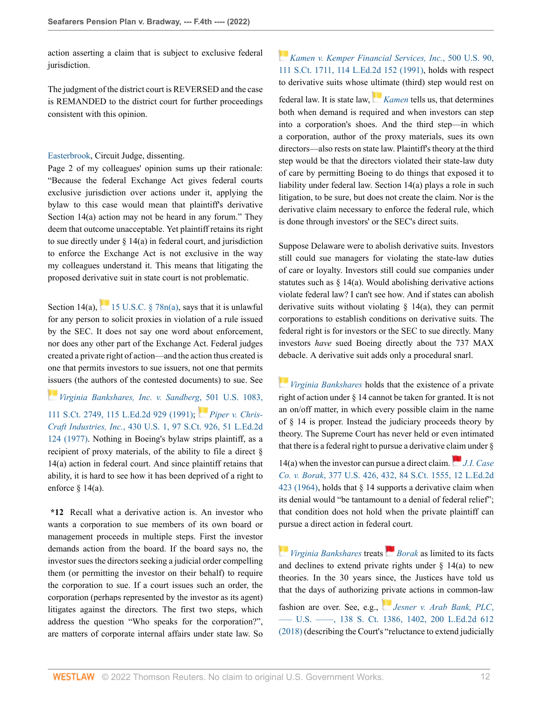action asserting a claim that is subject to exclusive federal jurisdiction.

The judgment of the district court is REVERSED and the case is REMANDED to the district court for further proceedings consistent with this opinion.

## [Easterbrook](http://www.westlaw.com/Link/Document/FullText?findType=h&pubNum=176284&cite=0183259901&originatingDoc=Ia5e00410700211ec9d07baaeba647595&refType=RQ&originationContext=document&vr=3.0&rs=cblt1.0&transitionType=DocumentItem&contextData=(sc.Keycite)), Circuit Judge, dissenting.

Page 2 of my colleagues' opinion sums up their rationale: "Because the federal Exchange Act gives federal courts exclusive jurisdiction over actions under it, applying the bylaw to this case would mean that plaintiff's derivative Section 14(a) action may not be heard in any forum." They deem that outcome unacceptable. Yet plaintiff retains its right to sue directly under  $\S 14(a)$  in federal court, and jurisdiction to enforce the Exchange Act is not exclusive in the way my colleagues understand it. This means that litigating the proposed derivative suit in state court is not problematic.

Section 14(a),  $\frac{1}{\sqrt{15}}$  [15 U.S.C. § 78n\(a\)](http://www.westlaw.com/Link/Document/FullText?findType=L&pubNum=1000546&cite=15USCAS78N&originatingDoc=Ia5e00410700211ec9d07baaeba647595&refType=RB&originationContext=document&vr=3.0&rs=cblt1.0&transitionType=DocumentItem&contextData=(sc.Keycite)#co_pp_8b3b0000958a4), says that it is unlawful for any person to solicit proxies in violation of a rule issued by the SEC. It does not say one word about enforcement, nor does any other part of the Exchange Act. Federal judges created a private right of action—and the action thus created is one that permits investors to sue issuers, not one that permits [issu](https://1.next.westlaw.com/Link/RelatedInformation/Flag?documentGuid=I5def7c629c9011d9bc61beebb95be672&transitionType=InlineKeyCiteFlags&originationContext=docHeaderFlag&Rank=0&ppcid=87af63fa54164b0496d5b848dd82ec18&contextData=(sc.Keycite) )ers (the authors of the contested documents) to sue. See

*[Virginia Bankshares, Inc. v. Sandberg](http://www.westlaw.com/Link/Document/FullText?findType=Y&serNum=1991116003&pubNum=0000708&originatingDoc=Ia5e00410700211ec9d07baaeba647595&refType=RP&originationContext=document&vr=3.0&rs=cblt1.0&transitionType=DocumentItem&contextData=(sc.Keycite))*[, 5](https://1.next.westlaw.com/Link/RelatedInformation/Flag?documentGuid=Ic1e20f7b9c1e11d991d0cc6b54f12d4d&transitionType=InlineKeyCiteFlags&originationContext=docHeaderFlag&Rank=0&ppcid=87af63fa54164b0496d5b848dd82ec18&contextData=(sc.Keycite) )01 U.S. 1083, [111 S.Ct. 2749, 115 L.Ed.2d 929 \(1991\)](http://www.westlaw.com/Link/Document/FullText?findType=Y&serNum=1991116003&pubNum=0000708&originatingDoc=Ia5e00410700211ec9d07baaeba647595&refType=RP&originationContext=document&vr=3.0&rs=cblt1.0&transitionType=DocumentItem&contextData=(sc.Keycite)); *[Piper v. Chris-](http://www.westlaw.com/Link/Document/FullText?findType=Y&serNum=1977118735&pubNum=0000708&originatingDoc=Ia5e00410700211ec9d07baaeba647595&refType=RP&originationContext=document&vr=3.0&rs=cblt1.0&transitionType=DocumentItem&contextData=(sc.Keycite))Craft Industries, Inc.*[, 430 U.S. 1, 97 S.Ct. 926, 51 L.Ed.2d](http://www.westlaw.com/Link/Document/FullText?findType=Y&serNum=1977118735&pubNum=0000708&originatingDoc=Ia5e00410700211ec9d07baaeba647595&refType=RP&originationContext=document&vr=3.0&rs=cblt1.0&transitionType=DocumentItem&contextData=(sc.Keycite)) [124 \(1977\)](http://www.westlaw.com/Link/Document/FullText?findType=Y&serNum=1977118735&pubNum=0000708&originatingDoc=Ia5e00410700211ec9d07baaeba647595&refType=RP&originationContext=document&vr=3.0&rs=cblt1.0&transitionType=DocumentItem&contextData=(sc.Keycite)). Nothing in Boeing's bylaw strips plaintiff, as a recipient of proxy materials, of the ability to file a direct § 14(a) action in federal court. And since plaintiff retains that ability, it is hard to see how it has been deprived of a right to enforce  $\frac{14(a)}{a}$ .

**\*12** Recall what a derivative action is. An investor who wants a corporation to sue members of its own board or management proceeds in multiple steps. First the investor demands action from the board. If the board says no, the investor sues the directors seeking a judicial order compelling them (or permitting the investor on their behalf) to require the corporation to sue. If a court issues such an order, the corporation (perhaps represented by the investor as its agent) litigates against the directors. The first two steps, which address the question "Who speaks for the corporation?", are matters of corporate internal affairs under state law. So

# *[Kamen v. Kemper Financial Services, Inc.](http://www.westlaw.com/Link/Document/FullText?findType=Y&serNum=1991093646&pubNum=0000708&originatingDoc=Ia5e00410700211ec9d07baaeba647595&refType=RP&originationContext=document&vr=3.0&rs=cblt1.0&transitionType=DocumentItem&contextData=(sc.Keycite))*, 500 U.S. 90, [111 S.Ct. 1711, 114 L.Ed.2d 152 \(1991\)](http://www.westlaw.com/Link/Document/FullText?findType=Y&serNum=1991093646&pubNum=0000708&originatingDoc=Ia5e00410700211ec9d07baaeba647595&refType=RP&originationContext=document&vr=3.0&rs=cblt1.0&transitionType=DocumentItem&contextData=(sc.Keycite)), holds with respect to derivative suits whose [ultim](https://1.next.westlaw.com/Link/RelatedInformation/Flag?documentGuid=I862efbb59c9011d993e6d35cc61aab4a&transitionType=InlineKeyCiteFlags&originationContext=docHeaderFlag&Rank=0&ppcid=87af63fa54164b0496d5b848dd82ec18&contextData=(sc.Keycite) )ate (third) step would rest on

federal law. It is state law, *[Kamen](http://www.westlaw.com/Link/Document/FullText?findType=Y&serNum=1991093646&pubNum=0000780&originatingDoc=Ia5e00410700211ec9d07baaeba647595&refType=RP&originationContext=document&vr=3.0&rs=cblt1.0&transitionType=DocumentItem&contextData=(sc.Keycite))* tells us, that determines both when demand is required and when investors can step into a corporation's shoes. And the third step—in which a corporation, author of the proxy materials, sues its own directors—also rests on state law. Plaintiff's theory at the third step would be that the directors violated their state-law duty of care by permitting Boeing to do things that exposed it to liability under federal law. Section 14(a) plays a role in such litigation, to be sure, but does not create the claim. Nor is the derivative claim necessary to enforce the federal rule, which is done through investors' or the SEC's direct suits.

Suppose Delaware were to abolish derivative suits. Investors still could sue managers for violating the state-law duties of care or loyalty. Investors still could sue companies under statutes such as  $\S$  14(a). Would abolishing derivative actions violate federal law? I can't see how. And if states can abolish derivative suits without violating § 14(a), they can permit corporations to establish conditions on derivative suits. The federal right is for investors or the SEC to sue directly. Many investors *have* sued Boeing directly about the 737 MAX debacle. A derivative suit adds only a procedural snarl.

*[Virginia Bankshares](http://www.westlaw.com/Link/Document/FullText?findType=Y&serNum=1991116003&pubNum=0000780&originatingDoc=Ia5e00410700211ec9d07baaeba647595&refType=RP&originationContext=document&vr=3.0&rs=cblt1.0&transitionType=DocumentItem&contextData=(sc.Keycite))* holds that the existence of a private right of action under § 14 cannot be taken for granted. It is not an on/off matter, in which every possible claim in the name of § 14 is proper. Instead the judiciary proceeds theory by theory. The Supreme Court has never held or even intimated that there is a federal right to pursue a derivative c[laim](https://1.next.westlaw.com/Link/RelatedInformation/Flag?documentGuid=Id38e8bce9be911d993e6d35cc61aab4a&transitionType=InlineKeyCiteFlags&originationContext=docHeaderFlag&Rank=0&ppcid=87af63fa54164b0496d5b848dd82ec18&contextData=(sc.Keycite) ) under §

14(a) when the investor can pursue a direct claim. *[J.I. Case](http://www.westlaw.com/Link/Document/FullText?findType=Y&serNum=1964124853&pubNum=0000780&originatingDoc=Ia5e00410700211ec9d07baaeba647595&refType=RP&fi=co_pp_sp_780_432&originationContext=document&vr=3.0&rs=cblt1.0&transitionType=DocumentItem&contextData=(sc.Keycite)#co_pp_sp_780_432) Co. v. Borak*[, 377 U.S. 426, 432, 84 S.Ct. 1555, 12 L.Ed.2d](http://www.westlaw.com/Link/Document/FullText?findType=Y&serNum=1964124853&pubNum=0000780&originatingDoc=Ia5e00410700211ec9d07baaeba647595&refType=RP&fi=co_pp_sp_780_432&originationContext=document&vr=3.0&rs=cblt1.0&transitionType=DocumentItem&contextData=(sc.Keycite)#co_pp_sp_780_432) [423 \(1964\)](http://www.westlaw.com/Link/Document/FullText?findType=Y&serNum=1964124853&pubNum=0000780&originatingDoc=Ia5e00410700211ec9d07baaeba647595&refType=RP&fi=co_pp_sp_780_432&originationContext=document&vr=3.0&rs=cblt1.0&transitionType=DocumentItem&contextData=(sc.Keycite)#co_pp_sp_780_432), holds that  $\S$  14 supports a derivative claim when its denial would "be tantamount to a denial of federal relief"; that condition does not hold when the private plaintiff can pursue a direct action in federal court.

*[Virginia Bankshares](http://www.westlaw.com/Link/Document/FullText?findType=Y&serNum=1991116003&pubNum=0000780&originatingDoc=Ia5e00410700211ec9d07baaeba647595&refType=RP&originationContext=document&vr=3.0&rs=cblt1.0&transitionType=DocumentItem&contextData=(sc.Keycite))* treats*[Borak](http://www.westlaw.com/Link/Document/FullText?findType=Y&serNum=1964124853&pubNum=0000780&originatingDoc=Ia5e00410700211ec9d07baaeba647595&refType=RP&originationContext=document&vr=3.0&rs=cblt1.0&transitionType=DocumentItem&contextData=(sc.Keycite))* as limited to its facts and declines to extend private rights under  $\S$  14(a) to new theories. In the 30 years since, the Justices have told us that the days of authorizing [priv](https://1.next.westlaw.com/Link/RelatedInformation/Flag?documentGuid=I5d7b1cb147bd11e8a7a8babcb3077f93&transitionType=InlineKeyCiteFlags&originationContext=docHeaderFlag&Rank=0&ppcid=87af63fa54164b0496d5b848dd82ec18&contextData=(sc.Keycite) )ate actions in common-law fashion are over. See, e.g., *[Jesner v. Arab Bank, PLC](http://www.westlaw.com/Link/Document/FullText?findType=Y&serNum=2044386943&pubNum=0000708&originatingDoc=Ia5e00410700211ec9d07baaeba647595&refType=RP&fi=co_pp_sp_708_1402&originationContext=document&vr=3.0&rs=cblt1.0&transitionType=DocumentItem&contextData=(sc.Keycite)#co_pp_sp_708_1402)*, [––– U.S. ––––, 138 S. Ct. 1386, 1402, 200 L.Ed.2d 612](http://www.westlaw.com/Link/Document/FullText?findType=Y&serNum=2044386943&pubNum=0000708&originatingDoc=Ia5e00410700211ec9d07baaeba647595&refType=RP&fi=co_pp_sp_708_1402&originationContext=document&vr=3.0&rs=cblt1.0&transitionType=DocumentItem&contextData=(sc.Keycite)#co_pp_sp_708_1402) [\(2018\)](http://www.westlaw.com/Link/Document/FullText?findType=Y&serNum=2044386943&pubNum=0000708&originatingDoc=Ia5e00410700211ec9d07baaeba647595&refType=RP&fi=co_pp_sp_708_1402&originationContext=document&vr=3.0&rs=cblt1.0&transitionType=DocumentItem&contextData=(sc.Keycite)#co_pp_sp_708_1402) (describing the Court's "reluctance to extend judicially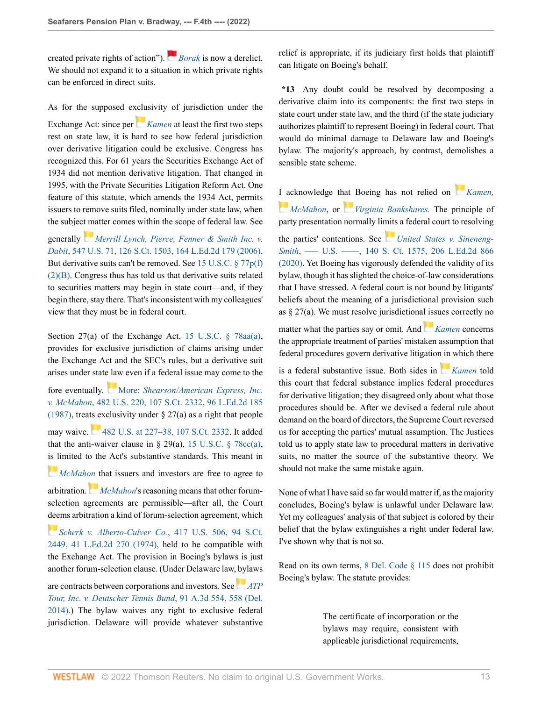created private rights of action"). *[Borak](http://www.westlaw.com/Link/Document/FullText?findType=Y&serNum=1964124853&pubNum=0000780&originatingDoc=Ia5e00410700211ec9d07baaeba647595&refType=RP&originationContext=document&vr=3.0&rs=cblt1.0&transitionType=DocumentItem&contextData=(sc.Keycite))* is now a derelict. We should not expand it to a situation in which private rights can be enforced in direct suits.

As for the supposed e[xclu](https://1.next.westlaw.com/Link/RelatedInformation/Flag?documentGuid=I862efbb59c9011d993e6d35cc61aab4a&transitionType=InlineKeyCiteFlags&originationContext=docHeaderFlag&Rank=0&ppcid=87af63fa54164b0496d5b848dd82ec18&contextData=(sc.Keycite) )sivity of jurisdiction under the

Exchange Act: since per *[Kamen](http://www.westlaw.com/Link/Document/FullText?findType=Y&serNum=1991093646&pubNum=0000780&originatingDoc=Ia5e00410700211ec9d07baaeba647595&refType=RP&originationContext=document&vr=3.0&rs=cblt1.0&transitionType=DocumentItem&contextData=(sc.Keycite))* at least the first two steps rest on state law, it is hard to see how federal jurisdiction over derivative litigation could be exclusive. Congress has recognized this. For 61 years the Securities Exchange Act of 1934 did not mention derivative litigation. That changed in 1995, with the Private Securities Litigation Reform Act. One feature of this statute, which amends the 1934 Act, permits issuers to remove suits filed, nominally under state law, when the subjec[t m](https://1.next.westlaw.com/Link/RelatedInformation/Flag?documentGuid=Ic3dd5181b94e11da97faf3f66e4b6844&transitionType=InlineKeyCiteFlags&originationContext=docHeaderFlag&Rank=0&ppcid=87af63fa54164b0496d5b848dd82ec18&contextData=(sc.Keycite) )atter comes within the scope of federal law. See

generally *[Merrill Lynch, Pierce, Fenner & Smith Inc. v.](http://www.westlaw.com/Link/Document/FullText?findType=Y&serNum=2008725143&pubNum=0000708&originatingDoc=Ia5e00410700211ec9d07baaeba647595&refType=RP&originationContext=document&vr=3.0&rs=cblt1.0&transitionType=DocumentItem&contextData=(sc.Keycite)) Dabit*[, 547 U.S. 71, 126 S.Ct. 1503, 164 L.Ed.2d 179 \(2006\)](http://www.westlaw.com/Link/Document/FullText?findType=Y&serNum=2008725143&pubNum=0000708&originatingDoc=Ia5e00410700211ec9d07baaeba647595&refType=RP&originationContext=document&vr=3.0&rs=cblt1.0&transitionType=DocumentItem&contextData=(sc.Keycite)). But derivative suits can't be removed. See [15 U.S.C. § 77p\(f\)](http://www.westlaw.com/Link/Document/FullText?findType=L&pubNum=1000546&cite=15USCAS77P&originatingDoc=Ia5e00410700211ec9d07baaeba647595&refType=RB&originationContext=document&vr=3.0&rs=cblt1.0&transitionType=DocumentItem&contextData=(sc.Keycite)#co_pp_ac4f000024371) [\(2\)\(B\).](http://www.westlaw.com/Link/Document/FullText?findType=L&pubNum=1000546&cite=15USCAS77P&originatingDoc=Ia5e00410700211ec9d07baaeba647595&refType=RB&originationContext=document&vr=3.0&rs=cblt1.0&transitionType=DocumentItem&contextData=(sc.Keycite)#co_pp_ac4f000024371) Congress thus has told us that derivative suits related to securities matters may begin in state court—and, if they begin there, stay there. That's inconsistent with my colleagues' view that they must be in federal court.

Section 27(a) of the Exchange Act, [15 U.S.C. § 78aa\(a\)](http://www.westlaw.com/Link/Document/FullText?findType=L&pubNum=1000546&cite=15USCAS78AA&originatingDoc=Ia5e00410700211ec9d07baaeba647595&refType=RB&originationContext=document&vr=3.0&rs=cblt1.0&transitionType=DocumentItem&contextData=(sc.Keycite)#co_pp_8b3b0000958a4), provides for exclusive jurisdiction of claims arising under the Exchange Act and the SEC's rules, but a derivative suit arises under state law even if a federal issue may come to the

fore eventually. [M](https://1.next.westlaw.com/Link/RelatedInformation/Flag?documentGuid=Ic1e348109c1e11d991d0cc6b54f12d4d&transitionType=InlineKeyCiteFlags&originationContext=docHeaderFlag&Rank=0&ppcid=87af63fa54164b0496d5b848dd82ec18&contextData=(sc.Keycite) )ore: *[Shearson/American Express, Inc.](http://www.westlaw.com/Link/Document/FullText?findType=Y&serNum=1987070825&pubNum=0000708&originatingDoc=Ia5e00410700211ec9d07baaeba647595&refType=RP&originationContext=document&vr=3.0&rs=cblt1.0&transitionType=DocumentItem&contextData=(sc.Keycite)) v. McMahon*[, 482 U.S. 220, 107 S.Ct. 2332, 96 L.Ed.2d 185](http://www.westlaw.com/Link/Document/FullText?findType=Y&serNum=1987070825&pubNum=0000708&originatingDoc=Ia5e00410700211ec9d07baaeba647595&refType=RP&originationContext=document&vr=3.0&rs=cblt1.0&transitionType=DocumentItem&contextData=(sc.Keycite)) [\(1987\),](http://www.westlaw.com/Link/Document/FullText?findType=Y&serNum=1987070825&pubNum=0000708&originatingDoc=Ia5e00410700211ec9d07baaeba647595&refType=RP&originationContext=document&vr=3.0&rs=cblt1.0&transitionType=DocumentItem&contextData=(sc.Keycite)) treats exclusivity under  $\S 27(a)$  as a right that people may waive. [482 U.S. at 227–38, 107 S.Ct. 2332](http://www.westlaw.com/Link/Document/FullText?findType=Y&serNum=1987070825&pubNum=0000780&originatingDoc=Ia5e00410700211ec9d07baaeba647595&refType=RP&fi=co_pp_sp_780_227&originationContext=document&vr=3.0&rs=cblt1.0&transitionType=DocumentItem&contextData=(sc.Keycite)#co_pp_sp_780_227). It added that the anti-waiver clause in § 29(a), [15 U.S.C. § 78cc\(a\)](http://www.westlaw.com/Link/Document/FullText?findType=L&pubNum=1000546&cite=15USCAS78CC&originatingDoc=Ia5e00410700211ec9d07baaeba647595&refType=RB&originationContext=document&vr=3.0&rs=cblt1.0&transitionType=DocumentItem&contextData=(sc.Keycite)#co_pp_8b3b0000958a4), [is l](https://1.next.westlaw.com/Link/RelatedInformation/Flag?documentGuid=Ic1e348109c1e11d991d0cc6b54f12d4d&transitionType=InlineKeyCiteFlags&originationContext=docHeaderFlag&Rank=0&ppcid=87af63fa54164b0496d5b848dd82ec18&contextData=(sc.Keycite) )imited to the Act's substantive standards. This meant in *[McMahon](http://www.westlaw.com/Link/Document/FullText?findType=Y&serNum=1987070825&pubNum=0000780&originatingDoc=Ia5e00410700211ec9d07baaeba647595&refType=RP&originationContext=document&vr=3.0&rs=cblt1.0&transitionType=DocumentItem&contextData=(sc.Keycite))* that issuers and investors are free to agree to

arbitration.*[McMahon](http://www.westlaw.com/Link/Document/FullText?findType=Y&serNum=1987070825&pubNum=0000780&originatingDoc=Ia5e00410700211ec9d07baaeba647595&refType=RP&originationContext=document&vr=3.0&rs=cblt1.0&transitionType=DocumentItem&contextData=(sc.Keycite))*'s reasoning means that other forumselection agreements are permissible—after all, the Court [dee](https://1.next.westlaw.com/Link/RelatedInformation/Flag?documentGuid=I222b9c4f9bf011d993e6d35cc61aab4a&transitionType=InlineKeyCiteFlags&originationContext=docHeaderFlag&Rank=0&ppcid=87af63fa54164b0496d5b848dd82ec18&contextData=(sc.Keycite) )ms arbitration a kind of forum-selection agreement, which

*[Scherk v. Alberto-Culver Co.](http://www.westlaw.com/Link/Document/FullText?findType=Y&serNum=1974127217&pubNum=0000708&originatingDoc=Ia5e00410700211ec9d07baaeba647595&refType=RP&originationContext=document&vr=3.0&rs=cblt1.0&transitionType=DocumentItem&contextData=(sc.Keycite))*, 417 U.S. 506, 94 S.Ct. [2449, 41 L.Ed.2d 270 \(1974\)](http://www.westlaw.com/Link/Document/FullText?findType=Y&serNum=1974127217&pubNum=0000708&originatingDoc=Ia5e00410700211ec9d07baaeba647595&refType=RP&originationContext=document&vr=3.0&rs=cblt1.0&transitionType=DocumentItem&contextData=(sc.Keycite)), held to be compatible with the Exchange Act. The provision in Boeing's bylaws is just another forum-selection clause. (Under Delaware law, [byl](https://1.next.westlaw.com/Link/RelatedInformation/Flag?documentGuid=I1539458cd77f11e3a795ac035416da91&transitionType=InlineKeyCiteFlags&originationContext=docHeaderFlag&Rank=0&ppcid=87af63fa54164b0496d5b848dd82ec18&contextData=(sc.Keycite) )aws

are contracts between corporations and investors. See *[ATP](http://www.westlaw.com/Link/Document/FullText?findType=Y&serNum=2033356994&pubNum=0007691&originatingDoc=Ia5e00410700211ec9d07baaeba647595&refType=RP&fi=co_pp_sp_7691_558&originationContext=document&vr=3.0&rs=cblt1.0&transitionType=DocumentItem&contextData=(sc.Keycite)#co_pp_sp_7691_558) [Tour, Inc. v. Deutscher Tennis Bund](http://www.westlaw.com/Link/Document/FullText?findType=Y&serNum=2033356994&pubNum=0007691&originatingDoc=Ia5e00410700211ec9d07baaeba647595&refType=RP&fi=co_pp_sp_7691_558&originationContext=document&vr=3.0&rs=cblt1.0&transitionType=DocumentItem&contextData=(sc.Keycite)#co_pp_sp_7691_558)*, 91 A.3d 554, 558 (Del. [2014\)](http://www.westlaw.com/Link/Document/FullText?findType=Y&serNum=2033356994&pubNum=0007691&originatingDoc=Ia5e00410700211ec9d07baaeba647595&refType=RP&fi=co_pp_sp_7691_558&originationContext=document&vr=3.0&rs=cblt1.0&transitionType=DocumentItem&contextData=(sc.Keycite)#co_pp_sp_7691_558).) The bylaw waives any right to exclusive federal jurisdiction. Delaware will provide whatever substantive relief is appropriate, if its judiciary first holds that plaintiff can litigate on Boeing's behalf.

**\*13** Any doubt could be resolved by decomposing a derivative claim into its components: the first two steps in state court under state law, and the third (if the state judiciary authorizes plaintiff to represent Boeing) in federal court. That would do minimal damage to Delaware law and Boeing's bylaw. The majority's approach, by contrast, demolishes a sensible state scheme.

[I ac](https://1.next.westlaw.com/Link/RelatedInformation/Flag?documentGuid=Ic1e348109c1e11d991d0cc6b54f12d4d&transitionType=InlineKeyCiteFlags&originationContext=docHeaderFlag&Rank=0&ppcid=87af63fa54164b0496d5b848dd82ec18&contextData=(sc.Keycite) )knowledge t[hat](https://1.next.westlaw.com/Link/RelatedInformation/Flag?documentGuid=I5def7c629c9011d9bc61beebb95be672&transitionType=InlineKeyCiteFlags&originationContext=docHeaderFlag&Rank=0&ppcid=87af63fa54164b0496d5b848dd82ec18&contextData=(sc.Keycite) ) Boeing has not relied on *Kamen*, *[McMahon](http://www.westlaw.com/Link/Document/FullText?findType=Y&serNum=1987070825&originatingDoc=Ia5e00410700211ec9d07baaeba647595&refType=RP&originationContext=document&vr=3.0&rs=cblt1.0&transitionType=DocumentItem&contextData=(sc.Keycite))*, or *[Virginia Bankshares.](http://www.westlaw.com/Link/Document/FullText?findType=Y&serNum=1991116003&pubNum=0000780&originatingDoc=Ia5e00410700211ec9d07baaeba647595&refType=RP&originationContext=document&vr=3.0&rs=cblt1.0&transitionType=DocumentItem&contextData=(sc.Keycite))* The principle of party presentation normally li[mits](https://1.next.westlaw.com/Link/RelatedInformation/Flag?documentGuid=I5c006e00900111ea9f6c9250ee334868&transitionType=InlineKeyCiteFlags&originationContext=docHeaderFlag&Rank=0&ppcid=87af63fa54164b0496d5b848dd82ec18&contextData=(sc.Keycite) ) a federal court to resolving the parties' contentions. See *[United States v. Sineneng-](http://www.westlaw.com/Link/Document/FullText?findType=Y&serNum=2050920316&pubNum=0000708&originatingDoc=Ia5e00410700211ec9d07baaeba647595&refType=RP&originationContext=document&vr=3.0&rs=cblt1.0&transitionType=DocumentItem&contextData=(sc.Keycite))Smith*, — U.S. — , 140 S. Ct. 1575, 206 L.Ed.2d 866 [\(2020\).](http://www.westlaw.com/Link/Document/FullText?findType=Y&serNum=2050920316&pubNum=0000708&originatingDoc=Ia5e00410700211ec9d07baaeba647595&refType=RP&originationContext=document&vr=3.0&rs=cblt1.0&transitionType=DocumentItem&contextData=(sc.Keycite)) Yet Boeing has vigorously defended the validity of its bylaw, though it has slighted the choice-of-law considerations that I have stressed. A federal court is not bound by litigants' beliefs about the meaning of a jurisdictional provision such as  $\S 27(a)$ . We must resolve jurisdictiona[l iss](https://1.next.westlaw.com/Link/RelatedInformation/Flag?documentGuid=I862efbb59c9011d993e6d35cc61aab4a&transitionType=InlineKeyCiteFlags&originationContext=docHeaderFlag&Rank=0&ppcid=87af63fa54164b0496d5b848dd82ec18&contextData=(sc.Keycite) )ues correctly no

matter what the parties say or omit. And *[Kamen](http://www.westlaw.com/Link/Document/FullText?findType=Y&serNum=1991093646&pubNum=0000780&originatingDoc=Ia5e00410700211ec9d07baaeba647595&refType=RP&originationContext=document&vr=3.0&rs=cblt1.0&transitionType=DocumentItem&contextData=(sc.Keycite))* concerns the appropriate treatment of parties' mistaken assumption that federal procedures govern derivative litigatio[n in](https://1.next.westlaw.com/Link/RelatedInformation/Flag?documentGuid=I862efbb59c9011d993e6d35cc61aab4a&transitionType=InlineKeyCiteFlags&originationContext=docHeaderFlag&Rank=0&ppcid=87af63fa54164b0496d5b848dd82ec18&contextData=(sc.Keycite) ) which there

is a federal substantive issue. Both sides in *[Kamen](http://www.westlaw.com/Link/Document/FullText?findType=Y&serNum=1991093646&pubNum=0000780&originatingDoc=Ia5e00410700211ec9d07baaeba647595&refType=RP&originationContext=document&vr=3.0&rs=cblt1.0&transitionType=DocumentItem&contextData=(sc.Keycite))* told this court that federal substance implies federal procedures for derivative litigation; they disagreed only about what those procedures should be. After we devised a federal rule about demand on the board of directors, the Supreme Court reversed us for accepting the parties' mutual assumption. The Justices told us to apply state law to procedural matters in derivative suits, no matter the source of the substantive theory. We should not make the same mistake again.

None of what I have said so far would matter if, as the majority concludes, Boeing's bylaw is unlawful under Delaware law. Yet my colleagues' analysis of that subject is colored by their belief that the bylaw extinguishes a right under federal law. I've shown why that is not so.

Read on its own terms, [8 Del. Code § 115](http://www.westlaw.com/Link/Document/FullText?findType=L&pubNum=1000005&cite=DESTT8S115&originatingDoc=Ia5e00410700211ec9d07baaeba647595&refType=LQ&originationContext=document&vr=3.0&rs=cblt1.0&transitionType=DocumentItem&contextData=(sc.Keycite)) does not prohibit Boeing's bylaw. The statute provides:

> The certificate of incorporation or the bylaws may require, consistent with applicable jurisdictional requirements,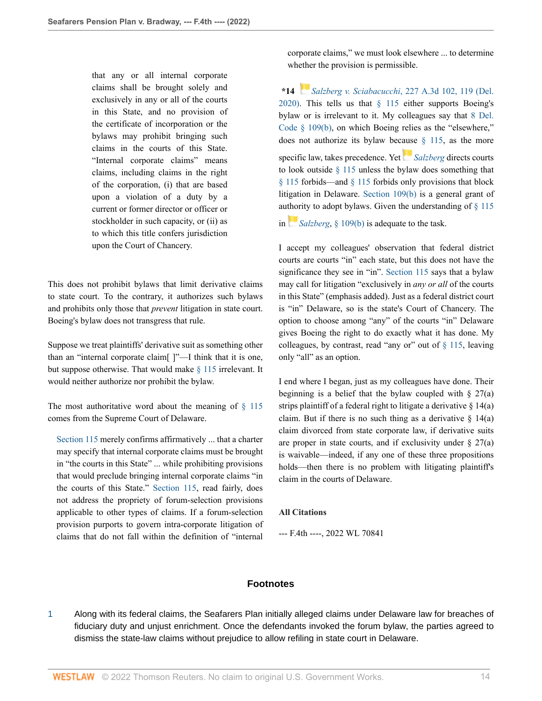that any or all internal corporate claims shall be brought solely and exclusively in any or all of the courts in this State, and no provision of the certificate of incorporation or the bylaws may prohibit bringing such claims in the courts of this State. "Internal corporate claims" means claims, including claims in the right of the corporation, (i) that are based upon a violation of a duty by a current or former director or officer or stockholder in such capacity, or (ii) as to which this title confers jurisdiction upon the Court of Chancery.

This does not prohibit bylaws that limit derivative claims to state court. To the contrary, it authorizes such bylaws and prohibits only those that *prevent* litigation in state court. Boeing's bylaw does not transgress that rule.

Suppose we treat plaintiffs' derivative suit as something other than an "internal corporate claim[ ]"—I think that it is one, but suppose otherwise. That would make [§ 115](http://www.westlaw.com/Link/Document/FullText?findType=L&pubNum=1000005&cite=DESTT8S115&originatingDoc=Ia5e00410700211ec9d07baaeba647595&refType=LQ&originationContext=document&vr=3.0&rs=cblt1.0&transitionType=DocumentItem&contextData=(sc.Keycite)) irrelevant. It would neither authorize nor prohibit the bylaw.

The most authoritative word about the meaning of  $\S$  115 comes from the Supreme Court of Delaware.

[Section 115](http://www.westlaw.com/Link/Document/FullText?findType=L&pubNum=1000005&cite=DESTT8S115&originatingDoc=Ia5e00410700211ec9d07baaeba647595&refType=LQ&originationContext=document&vr=3.0&rs=cblt1.0&transitionType=DocumentItem&contextData=(sc.Keycite)) merely confirms affirmatively ... that a charter may specify that internal corporate claims must be brought in "the courts in this State" ... while prohibiting provisions that would preclude bringing internal corporate claims "in the courts of this State." [Section 115,](http://www.westlaw.com/Link/Document/FullText?findType=L&pubNum=1000005&cite=DESTT8S115&originatingDoc=Ia5e00410700211ec9d07baaeba647595&refType=LQ&originationContext=document&vr=3.0&rs=cblt1.0&transitionType=DocumentItem&contextData=(sc.Keycite)) read fairly, does not address the propriety of forum-selection provisions applicable to other types of claims. If a forum-selection provision purports to govern intra-corporate litigation of claims that do not fall within the definition of "internal

corporate claims," we must look elsewhere ... to determine whether the provision is permissible.

**\*14** *[S](https://1.next.westlaw.com/Link/RelatedInformation/Flag?documentGuid=I240b5c60693c11ea81d388262956b33a&transitionType=InlineKeyCiteFlags&originationContext=docHeaderFlag&Rank=0&ppcid=87af63fa54164b0496d5b848dd82ec18&contextData=(sc.Keycite) )alzberg v. Sciabacucchi*[, 227 A.3d 102, 119 \(Del.](http://www.westlaw.com/Link/Document/FullText?findType=Y&serNum=2050587897&pubNum=0007691&originatingDoc=Ia5e00410700211ec9d07baaeba647595&refType=RP&fi=co_pp_sp_7691_119&originationContext=document&vr=3.0&rs=cblt1.0&transitionType=DocumentItem&contextData=(sc.Keycite)#co_pp_sp_7691_119) [2020\)](http://www.westlaw.com/Link/Document/FullText?findType=Y&serNum=2050587897&pubNum=0007691&originatingDoc=Ia5e00410700211ec9d07baaeba647595&refType=RP&fi=co_pp_sp_7691_119&originationContext=document&vr=3.0&rs=cblt1.0&transitionType=DocumentItem&contextData=(sc.Keycite)#co_pp_sp_7691_119). This tells us that  $\S$  115 either supports Boeing's bylaw or is irrelevant to it. My colleagues say that [8 Del.](http://www.westlaw.com/Link/Document/FullText?findType=L&pubNum=1000005&cite=DESTT8S109&originatingDoc=Ia5e00410700211ec9d07baaeba647595&refType=SP&originationContext=document&vr=3.0&rs=cblt1.0&transitionType=DocumentItem&contextData=(sc.Keycite)#co_pp_a83b000018c76) [Code § 109\(b\),](http://www.westlaw.com/Link/Document/FullText?findType=L&pubNum=1000005&cite=DESTT8S109&originatingDoc=Ia5e00410700211ec9d07baaeba647595&refType=SP&originationContext=document&vr=3.0&rs=cblt1.0&transitionType=DocumentItem&contextData=(sc.Keycite)#co_pp_a83b000018c76) on which Boeing relies as the "elsewhere," does not authorize its bylaw bec[ause](https://1.next.westlaw.com/Link/RelatedInformation/Flag?documentGuid=I240b5c60693c11ea81d388262956b33a&transitionType=InlineKeyCiteFlags&originationContext=docHeaderFlag&Rank=0&ppcid=87af63fa54164b0496d5b848dd82ec18&contextData=(sc.Keycite) )  $\S$  115, as the more specific law, takes precedence. Yet *[Salzberg](http://www.westlaw.com/Link/Document/FullText?findType=Y&serNum=2050587897&pubNum=0007691&originatingDoc=Ia5e00410700211ec9d07baaeba647595&refType=RP&originationContext=document&vr=3.0&rs=cblt1.0&transitionType=DocumentItem&contextData=(sc.Keycite))* directs courts to look outside  $\S$  115 unless the bylaw does something that [§ 115](http://www.westlaw.com/Link/Document/FullText?findType=L&pubNum=1000005&cite=DESTT8S115&originatingDoc=Ia5e00410700211ec9d07baaeba647595&refType=LQ&originationContext=document&vr=3.0&rs=cblt1.0&transitionType=DocumentItem&contextData=(sc.Keycite)) forbids—and [§ 115](http://www.westlaw.com/Link/Document/FullText?findType=L&pubNum=1000005&cite=DESTT8S115&originatingDoc=Ia5e00410700211ec9d07baaeba647595&refType=LQ&originationContext=document&vr=3.0&rs=cblt1.0&transitionType=DocumentItem&contextData=(sc.Keycite)) forbids only provisions that block litigation in Delaware. [Section 109\(b\)](http://www.westlaw.com/Link/Document/FullText?findType=L&pubNum=1000005&cite=DESTT8S109&originatingDoc=Ia5e00410700211ec9d07baaeba647595&refType=SP&originationContext=document&vr=3.0&rs=cblt1.0&transitionType=DocumentItem&contextData=(sc.Keycite)#co_pp_a83b000018c76) is a general grant of au[thor](https://1.next.westlaw.com/Link/RelatedInformation/Flag?documentGuid=I240b5c60693c11ea81d388262956b33a&transitionType=InlineKeyCiteFlags&originationContext=docHeaderFlag&Rank=0&ppcid=87af63fa54164b0496d5b848dd82ec18&contextData=(sc.Keycite) )ity to adopt bylaws. Given the understanding of  $\S$  115

in *[Salzberg](http://www.westlaw.com/Link/Document/FullText?findType=Y&serNum=2050587897&pubNum=0007691&originatingDoc=Ia5e00410700211ec9d07baaeba647595&refType=RP&originationContext=document&vr=3.0&rs=cblt1.0&transitionType=DocumentItem&contextData=(sc.Keycite))*, [§ 109\(b\)](http://www.westlaw.com/Link/Document/FullText?findType=L&pubNum=1000005&cite=DESTT8S109&originatingDoc=Ia5e00410700211ec9d07baaeba647595&refType=SP&originationContext=document&vr=3.0&rs=cblt1.0&transitionType=DocumentItem&contextData=(sc.Keycite)#co_pp_a83b000018c76) is adequate to the task.

I accept my colleagues' observation that federal district courts are courts "in" each state, but this does not have the significance they see in "in". [Section 115](http://www.westlaw.com/Link/Document/FullText?findType=L&pubNum=1000005&cite=DESTT8S115&originatingDoc=Ia5e00410700211ec9d07baaeba647595&refType=LQ&originationContext=document&vr=3.0&rs=cblt1.0&transitionType=DocumentItem&contextData=(sc.Keycite)) says that a bylaw may call for litigation "exclusively in *any or all* of the courts in this State" (emphasis added). Just as a federal district court is "in" Delaware, so is the state's Court of Chancery. The option to choose among "any" of the courts "in" Delaware gives Boeing the right to do exactly what it has done. My colleagues, by contrast, read "any or" out of  $\S$  115, leaving only "all" as an option.

I end where I began, just as my colleagues have done. Their beginning is a belief that the bylaw coupled with  $\S 27(a)$ strips plaintiff of a federal right to litigate a derivative  $\S 14(a)$ claim. But if there is no such thing as a derivative  $\S$  14(a) claim divorced from state corporate law, if derivative suits are proper in state courts, and if exclusivity under  $\S$  27(a) is waivable—indeed, if any one of these three propositions holds—then there is no problem with litigating plaintiff's claim in the courts of Delaware.

# **All Citations**

--- F.4th ----, 2022 WL 70841

# **Footnotes**

<span id="page-13-0"></span>[1](#page-3-3) Along with its federal claims, the Seafarers Plan initially alleged claims under Delaware law for breaches of fiduciary duty and unjust enrichment. Once the defendants invoked the forum bylaw, the parties agreed to dismiss the state-law claims without prejudice to allow refiling in state court in Delaware.